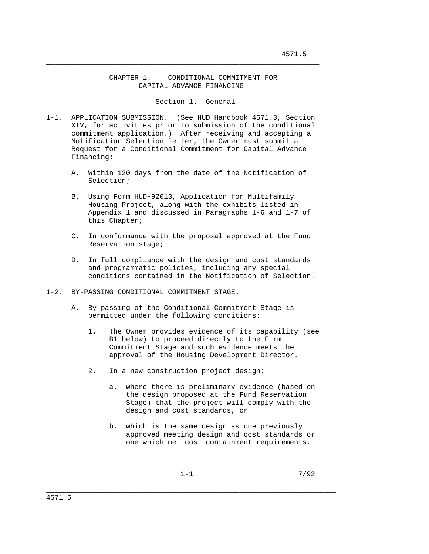## CHAPTER 1. CONDITIONAL COMMITMENT FOR CAPITAL ADVANCE FINANCING

 $\_$  ,  $\_$  ,  $\_$  ,  $\_$  ,  $\_$  ,  $\_$  ,  $\_$  ,  $\_$  ,  $\_$  ,  $\_$  ,  $\_$  ,  $\_$  ,  $\_$  ,  $\_$  ,  $\_$  ,  $\_$  ,  $\_$  ,  $\_$  ,  $\_$  ,  $\_$  ,  $\_$  ,  $\_$  ,  $\_$  ,  $\_$  ,  $\_$  ,  $\_$  ,  $\_$  ,  $\_$  ,  $\_$  ,  $\_$  ,  $\_$  ,  $\_$  ,  $\_$  ,  $\_$  ,  $\_$  ,  $\_$  ,  $\_$  ,

#### Section 1. General

- 1-1. APPLICATION SUBMISSION. (See HUD Handbook 4571.3, Section XIV, for activities prior to submission of the conditional commitment application.) After receiving and accepting a Notification Selection letter, the Owner must submit a Request for a Conditional Commitment for Capital Advance Financing:
	- A. Within 120 days from the date of the Notification of Selection;
	- B. Using Form HUD-92013, Application for Multifamily Housing Project, along with the exhibits listed in Appendix 1 and discussed in Paragraphs 1-6 and 1-7 of this Chapter;
	- C. In conformance with the proposal approved at the Fund Reservation stage;
	- D. In full compliance with the design and cost standards and programmatic policies, including any special conditions contained in the Notification of Selection.
- 1-2. BY-PASSING CONDITIONAL COMMITMENT STAGE.
	- A. By-passing of the Conditional Commitment Stage is permitted under the following conditions:
		- 1. The Owner provides evidence of its capability (see B1 below) to proceed directly to the Firm Commitment Stage and such evidence meets the approval of the Housing Development Director.
		- 2. In a new construction project design:
			- a. where there is preliminary evidence (based on the design proposed at the Fund Reservation Stage) that the project will comply with the design and cost standards, or
			- b. which is the same design as one previously approved meeting design and cost standards or one which met cost containment requirements.
				-

\_\_\_\_\_\_\_\_\_\_\_\_\_\_\_\_\_\_\_\_\_\_\_\_\_\_\_\_\_\_\_\_\_\_\_\_\_\_\_\_\_\_\_\_\_\_\_\_\_\_\_\_\_\_\_\_\_\_\_\_\_\_\_\_\_\_\_\_\_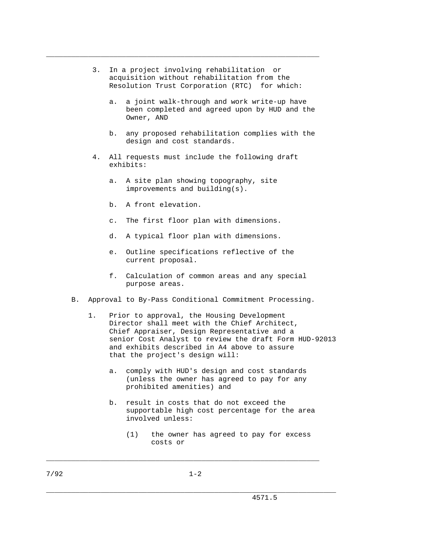3. In a project involving rehabilitation or acquisition without rehabilitation from the Resolution Trust Corporation (RTC) for which:

\_\_\_\_\_\_\_\_\_\_\_\_\_\_\_\_\_\_\_\_\_\_\_\_\_\_\_\_\_\_\_\_\_\_\_\_\_\_\_\_\_\_\_\_\_\_\_\_\_\_\_\_\_\_\_\_\_\_\_\_\_\_\_\_\_

- a. a joint walk-through and work write-up have been completed and agreed upon by HUD and the Owner, AND
- b. any proposed rehabilitation complies with the design and cost standards.
- 4. All requests must include the following draft exhibits:
	- a. A site plan showing topography, site improvements and building(s).
	- b. A front elevation.
	- c. The first floor plan with dimensions.
	- d. A typical floor plan with dimensions.
	- e. Outline specifications reflective of the current proposal.
	- f. Calculation of common areas and any special purpose areas.
- B. Approval to By-Pass Conditional Commitment Processing.
	- 1. Prior to approval, the Housing Development Director shall meet with the Chief Architect, Chief Appraiser, Design Representative and a senior Cost Analyst to review the draft Form HUD-92013 and exhibits described in A4 above to assure that the project's design will:
		- a. comply with HUD's design and cost standards (unless the owner has agreed to pay for any prohibited amenities) and
		- b. result in costs that do not exceed the supportable high cost percentage for the area involved unless:
			- (1) the owner has agreed to pay for excess costs or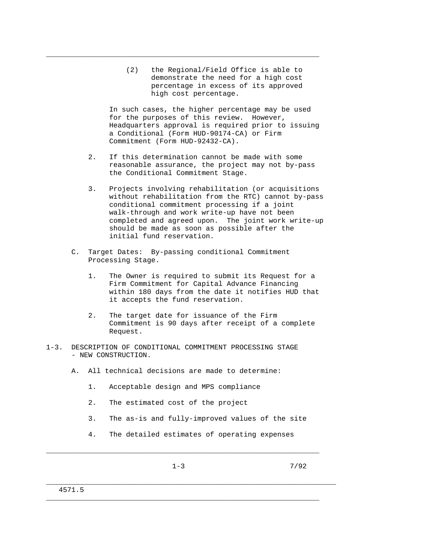(2) the Regional/Field Office is able to demonstrate the need for a high cost percentage in excess of its approved high cost percentage.

\_\_\_\_\_\_\_\_\_\_\_\_\_\_\_\_\_\_\_\_\_\_\_\_\_\_\_\_\_\_\_\_\_\_\_\_\_\_\_\_\_\_\_\_\_\_\_\_\_\_\_\_\_\_\_\_\_\_\_\_\_\_\_\_\_

 In such cases, the higher percentage may be used for the purposes of this review. However, Headquarters approval is required prior to issuing a Conditional (Form HUD-90174-CA) or Firm Commitment (Form HUD-92432-CA).

- 2. If this determination cannot be made with some reasonable assurance, the project may not by-pass the Conditional Commitment Stage.
- 3. Projects involving rehabilitation (or acquisitions without rehabilitation from the RTC) cannot by-pass conditional commitment processing if a joint walk-through and work write-up have not been completed and agreed upon. The joint work write-up should be made as soon as possible after the initial fund reservation.
- C. Target Dates: By-passing conditional Commitment Processing Stage.
	- 1. The Owner is required to submit its Request for a Firm Commitment for Capital Advance Financing within 180 days from the date it notifies HUD that it accepts the fund reservation.
	- 2. The target date for issuance of the Firm Commitment is 90 days after receipt of a complete Request.
- 1-3. DESCRIPTION OF CONDITIONAL COMMITMENT PROCESSING STAGE - NEW CONSTRUCTION.
	- A. All technical decisions are made to determine:
		- 1. Acceptable design and MPS compliance
		- 2. The estimated cost of the project
		- 3. The as-is and fully-improved values of the site
		- 4. The detailed estimates of operating expenses

 $\_$  ,  $\_$  ,  $\_$  ,  $\_$  ,  $\_$  ,  $\_$  ,  $\_$  ,  $\_$  ,  $\_$  ,  $\_$  ,  $\_$  ,  $\_$  ,  $\_$  ,  $\_$  ,  $\_$  ,  $\_$  ,  $\_$  ,  $\_$  ,  $\_$  ,  $\_$  ,  $\_$  ,  $\_$  ,  $\_$  ,  $\_$  ,  $\_$  ,  $\_$  ,  $\_$  ,  $\_$  ,  $\_$  ,  $\_$  ,  $\_$  ,  $\_$  ,  $\_$  ,  $\_$  ,  $\_$  ,  $\_$  ,  $\_$  ,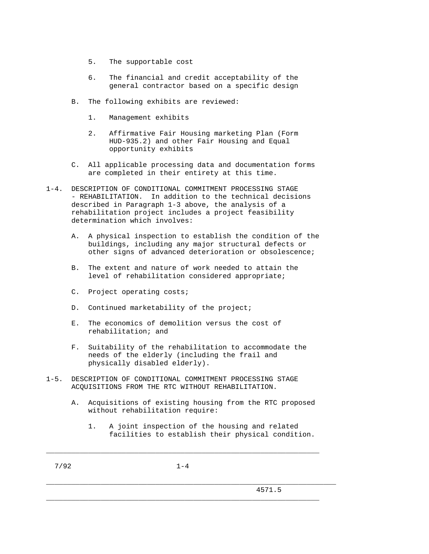- 5. The supportable cost
- 6. The financial and credit acceptability of the general contractor based on a specific design
- B. The following exhibits are reviewed:
	- 1. Management exhibits
	- 2. Affirmative Fair Housing marketing Plan (Form HUD-935.2) and other Fair Housing and Equal opportunity exhibits
- C. All applicable processing data and documentation forms are completed in their entirety at this time.
- 1-4. DESCRIPTION OF CONDITIONAL COMMITMENT PROCESSING STAGE - REHABILITATION. In addition to the technical decisions described in Paragraph 1-3 above, the analysis of a rehabilitation project includes a project feasibility determination which involves:
	- A. A physical inspection to establish the condition of the buildings, including any major structural defects or other signs of advanced deterioration or obsolescence;
	- B. The extent and nature of work needed to attain the level of rehabilitation considered appropriate;
	- C. Project operating costs;
	- D. Continued marketability of the project;
	- E. The economics of demolition versus the cost of rehabilitation; and
	- F. Suitability of the rehabilitation to accommodate the needs of the elderly (including the frail and physically disabled elderly).
- 1-5. DESCRIPTION OF CONDITIONAL COMMITMENT PROCESSING STAGE ACQUISITIONS FROM THE RTC WITHOUT REHABILITATION.
	- A. Acquisitions of existing housing from the RTC proposed without rehabilitation require:
		- 1. A joint inspection of the housing and related facilities to establish their physical condition.

 $7/92$  1-4

 $\_$  ,  $\_$  ,  $\_$  ,  $\_$  ,  $\_$  ,  $\_$  ,  $\_$  ,  $\_$  ,  $\_$  ,  $\_$  ,  $\_$  ,  $\_$  ,  $\_$  ,  $\_$  ,  $\_$  ,  $\_$  ,  $\_$  ,  $\_$  ,  $\_$  ,  $\_$  ,  $\_$  ,  $\_$  ,  $\_$  ,  $\_$  ,  $\_$  ,  $\_$  ,  $\_$  ,  $\_$  ,  $\_$  ,  $\_$  ,  $\_$  ,  $\_$  ,  $\_$  ,  $\_$  ,  $\_$  ,  $\_$  ,  $\_$  ,

\_\_\_\_\_\_\_\_\_\_\_\_\_\_\_\_\_\_\_\_\_\_\_\_\_\_\_\_\_\_\_\_\_\_\_\_\_\_\_\_\_\_\_\_\_\_\_\_\_\_\_\_\_\_\_\_\_\_\_\_\_\_\_\_\_\_\_\_\_

 $\_$  ,  $\_$  ,  $\_$  ,  $\_$  ,  $\_$  ,  $\_$  ,  $\_$  ,  $\_$  ,  $\_$  ,  $\_$  ,  $\_$  ,  $\_$  ,  $\_$  ,  $\_$  ,  $\_$  ,  $\_$  ,  $\_$  ,  $\_$  ,  $\_$  ,  $\_$  ,  $\_$  ,  $\_$  ,  $\_$  ,  $\_$  ,  $\_$  ,  $\_$  ,  $\_$  ,  $\_$  ,  $\_$  ,  $\_$  ,  $\_$  ,  $\_$  ,  $\_$  ,  $\_$  ,  $\_$  ,  $\_$  ,  $\_$  ,

4571.5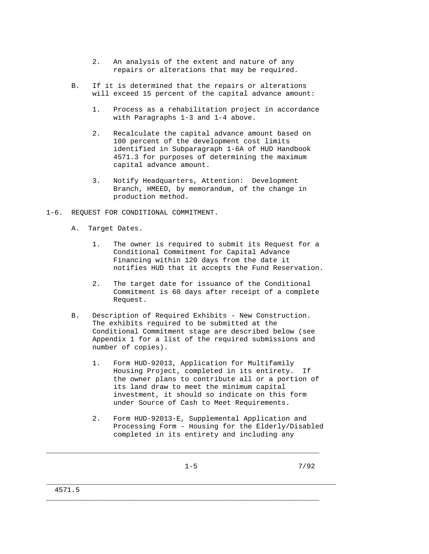- 2. An analysis of the extent and nature of any repairs or alterations that may be required.
- B. If it is determined that the repairs or alterations will exceed 15 percent of the capital advance amount:
	- 1. Process as a rehabilitation project in accordance with Paragraphs 1-3 and 1-4 above.
	- 2. Recalculate the capital advance amount based on 100 percent of the development cost limits identified in Subparagraph 1-6A of HUD Handbook 4571.3 for purposes of determining the maximum capital advance amount.
	- 3. Notify Headquarters, Attention: Development Branch, HMEED, by memorandum, of the change in production method.
- 1-6. REQUEST FOR CONDITIONAL COMMITMENT.
	- A. Target Dates.
		- 1. The owner is required to submit its Request for a Conditional Commitment for Capital Advance Financing within 120 days from the date it notifies HUD that it accepts the Fund Reservation.
		- 2. The target date for issuance of the Conditional Commitment is 60 days after receipt of a complete Request.
	- B. Description of Required Exhibits New Construction. The exhibits required to be submitted at the Conditional Commitment stage are described below (see Appendix 1 for a list of the required submissions and number of copies).
		- 1. Form HUD-92013, Application for Multifamily Housing Project, completed in its entirety. If the owner plans to contribute all or a portion of its land draw to meet the minimum capital investment, it should so indicate on this form under Source of Cash to Meet Requirements.
		- 2. Form HUD-92013-E, Supplemental Application and Processing Form - Housing for the Elderly/Disabled completed in its entirety and including any

 $\_$  ,  $\_$  ,  $\_$  ,  $\_$  ,  $\_$  ,  $\_$  ,  $\_$  ,  $\_$  ,  $\_$  ,  $\_$  ,  $\_$  ,  $\_$  ,  $\_$  ,  $\_$  ,  $\_$  ,  $\_$  ,  $\_$  ,  $\_$  ,  $\_$  ,  $\_$  ,  $\_$  ,  $\_$  ,  $\_$  ,  $\_$  ,  $\_$  ,  $\_$  ,  $\_$  ,  $\_$  ,  $\_$  ,  $\_$  ,  $\_$  ,  $\_$  ,  $\_$  ,  $\_$  ,  $\_$  ,  $\_$  ,  $\_$  ,

 $\_$  ,  $\_$  ,  $\_$  ,  $\_$  ,  $\_$  ,  $\_$  ,  $\_$  ,  $\_$  ,  $\_$  ,  $\_$  ,  $\_$  ,  $\_$  ,  $\_$  ,  $\_$  ,  $\_$  ,  $\_$  ,  $\_$  ,  $\_$  ,  $\_$  ,  $\_$  ,  $\_$  ,  $\_$  ,  $\_$  ,  $\_$  ,  $\_$  ,  $\_$  ,  $\_$  ,  $\_$  ,  $\_$  ,  $\_$  ,  $\_$  ,  $\_$  ,  $\_$  ,  $\_$  ,  $\_$  ,  $\_$  ,  $\_$  ,

 $1-5$  7/92

4571.5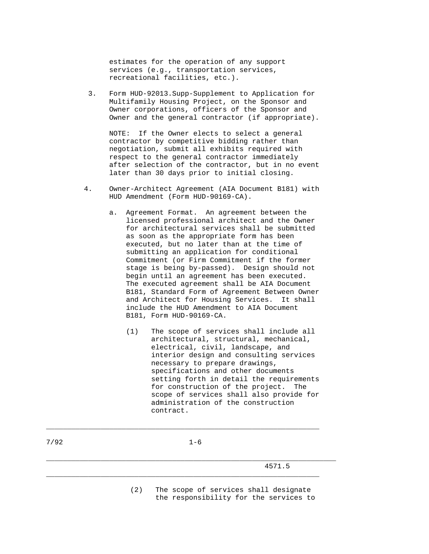estimates for the operation of any support services (e.g., transportation services, recreational facilities, etc.).

 3. Form HUD-92013.Supp-Supplement to Application for Multifamily Housing Project, on the Sponsor and Owner corporations, officers of the Sponsor and Owner and the general contractor (if appropriate).

 NOTE: If the Owner elects to select a general contractor by competitive bidding rather than negotiation, submit all exhibits required with respect to the general contractor immediately after selection of the contractor, but in no event later than 30 days prior to initial closing.

- 4. Owner-Architect Agreement (AIA Document B181) with HUD Amendment (Form HUD-90169-CA).
	- a. Agreement Format. An agreement between the licensed professional architect and the Owner for architectural services shall be submitted as soon as the appropriate form has been executed, but no later than at the time of submitting an application for conditional Commitment (or Firm Commitment if the former stage is being by-passed). Design should not begin until an agreement has been executed. The executed agreement shall be AIA Document B181, Standard Form of Agreement Between Owner and Architect for Housing Services. It shall include the HUD Amendment to AIA Document B181, Form HUD-90169-CA.
		- (1) The scope of services shall include all architectural, structural, mechanical, electrical, civil, landscape, and interior design and consulting services necessary to prepare drawings, specifications and other documents setting forth in detail the requirements for construction of the project. The scope of services shall also provide for administration of the construction contract.

 $7/92$  1-6

\_\_\_\_\_\_\_\_\_\_\_\_\_\_\_\_\_\_\_\_\_\_\_\_\_\_\_\_\_\_\_\_\_\_\_\_\_\_\_\_\_\_\_\_\_\_\_\_\_\_\_\_\_\_\_\_\_\_\_\_\_\_\_\_\_\_\_\_\_

\_\_\_\_\_\_\_\_\_\_\_\_\_\_\_\_\_\_\_\_\_\_\_\_\_\_\_\_\_\_\_\_\_\_\_\_\_\_\_\_\_\_\_\_\_\_\_\_\_\_\_\_\_\_\_\_\_\_\_\_\_\_\_\_\_

\_\_\_\_\_\_\_\_\_\_\_\_\_\_\_\_\_\_\_\_\_\_\_\_\_\_\_\_\_\_\_\_\_\_\_\_\_\_\_\_\_\_\_\_\_\_\_\_\_\_\_\_\_\_\_\_\_\_\_\_\_\_\_\_\_

4571.5

 (2) The scope of services shall designate the responsibility for the services to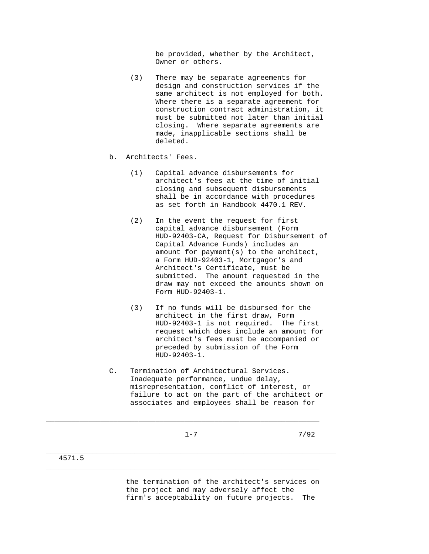be provided, whether by the Architect, Owner or others.

- (3) There may be separate agreements for design and construction services if the same architect is not employed for both. Where there is a separate agreement for construction contract administration, it must be submitted not later than initial closing. Where separate agreements are made, inapplicable sections shall be deleted.
- b. Architects' Fees.
	- (1) Capital advance disbursements for architect's fees at the time of initial closing and subsequent disbursements shall be in accordance with procedures as set forth in Handbook 4470.1 REV.
	- (2) In the event the request for first capital advance disbursement (Form HUD-92403-CA, Request for Disbursement of Capital Advance Funds) includes an amount for payment(s) to the architect, a Form HUD-92403-1, Mortgagor's and Architect's Certificate, must be submitted. The amount requested in the draw may not exceed the amounts shown on Form HUD-92403-1.
	- (3) If no funds will be disbursed for the architect in the first draw, Form HUD-92403-1 is not required. The first request which does include an amount for architect's fees must be accompanied or preceded by submission of the Form HUD-92403-1.
- C. Termination of Architectural Services. Inadequate performance, undue delay, misrepresentation, conflict of interest, or failure to act on the part of the architect or associates and employees shall be reason for

 $\_$  ,  $\_$  ,  $\_$  ,  $\_$  ,  $\_$  ,  $\_$  ,  $\_$  ,  $\_$  ,  $\_$  ,  $\_$  ,  $\_$  ,  $\_$  ,  $\_$  ,  $\_$  ,  $\_$  ,  $\_$  ,  $\_$  ,  $\_$  ,  $\_$  ,  $\_$  ,  $\_$  ,  $\_$  ,  $\_$  ,  $\_$  ,  $\_$  ,  $\_$  ,  $\_$  ,  $\_$  ,  $\_$  ,  $\_$  ,  $\_$  ,  $\_$  ,  $\_$  ,  $\_$  ,  $\_$  ,  $\_$  ,  $\_$  ,

\_\_\_\_\_\_\_\_\_\_\_\_\_\_\_\_\_\_\_\_\_\_\_\_\_\_\_\_\_\_\_\_\_\_\_\_\_\_\_\_\_\_\_\_\_\_\_\_\_\_\_\_\_\_\_\_\_\_\_\_\_\_\_\_\_

\_\_\_\_\_\_\_\_\_\_\_\_\_\_\_\_\_\_\_\_\_\_\_\_\_\_\_\_\_\_\_\_\_\_\_\_\_\_\_\_\_\_\_\_\_\_\_\_\_\_\_\_\_\_\_\_\_\_\_\_\_\_\_\_\_\_\_\_\_

 $1-7$  7/92

4571.5

 the termination of the architect's services on the project and may adversely affect the firm's acceptability on future projects. The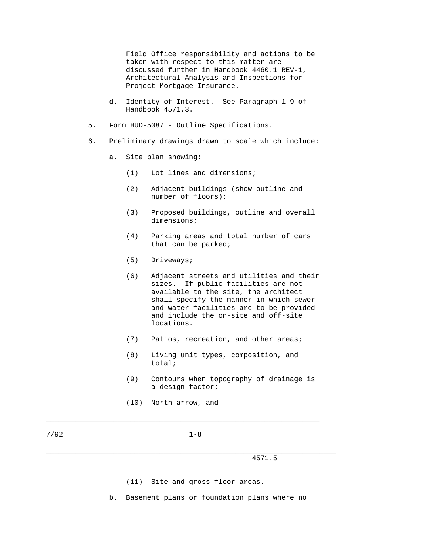Field Office responsibility and actions to be taken with respect to this matter are discussed further in Handbook 4460.1 REV-1, Architectural Analysis and Inspections for Project Mortgage Insurance.

- d. Identity of Interest. See Paragraph 1-9 of Handbook 4571.3.
- 5. Form HUD-5087 Outline Specifications.
- 6. Preliminary drawings drawn to scale which include:
	- a. Site plan showing:
		- (1) Lot lines and dimensions;
		- (2) Adjacent buildings (show outline and number of floors);
		- (3) Proposed buildings, outline and overall dimensions;
		- (4) Parking areas and total number of cars that can be parked;
		- (5) Driveways;
		- (6) Adjacent streets and utilities and their sizes. If public facilities are not available to the site, the architect shall specify the manner in which sewer and water facilities are to be provided and include the on-site and off-site locations.
		- (7) Patios, recreation, and other areas;
		- (8) Living unit types, composition, and total;
		- (9) Contours when topography of drainage is a design factor;
		- (10) North arrow, and

 $7/92$  1-8

\_\_\_\_\_\_\_\_\_\_\_\_\_\_\_\_\_\_\_\_\_\_\_\_\_\_\_\_\_\_\_\_\_\_\_\_\_\_\_\_\_\_\_\_\_\_\_\_\_\_\_\_\_\_\_\_\_\_\_\_\_\_\_\_\_\_\_\_\_

 $\_$  ,  $\_$  ,  $\_$  ,  $\_$  ,  $\_$  ,  $\_$  ,  $\_$  ,  $\_$  ,  $\_$  ,  $\_$  ,  $\_$  ,  $\_$  ,  $\_$  ,  $\_$  ,  $\_$  ,  $\_$  ,  $\_$  ,  $\_$  ,  $\_$  ,  $\_$  ,  $\_$  ,  $\_$  ,  $\_$  ,  $\_$  ,  $\_$  ,  $\_$  ,  $\_$  ,  $\_$  ,  $\_$  ,  $\_$  ,  $\_$  ,  $\_$  ,  $\_$  ,  $\_$  ,  $\_$  ,  $\_$  ,  $\_$  ,

\_\_\_\_\_\_\_\_\_\_\_\_\_\_\_\_\_\_\_\_\_\_\_\_\_\_\_\_\_\_\_\_\_\_\_\_\_\_\_\_\_\_\_\_\_\_\_\_\_\_\_\_\_\_\_\_\_\_\_\_\_\_\_\_\_

- 4571.5
- (11) Site and gross floor areas.

b. Basement plans or foundation plans where no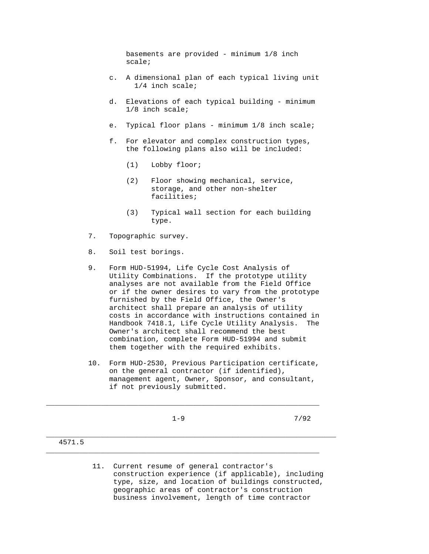basements are provided - minimum 1/8 inch scale;

- c. A dimensional plan of each typical living unit 1/4 inch scale;
- d. Elevations of each typical building minimum 1/8 inch scale;
- e. Typical floor plans minimum 1/8 inch scale;
- f. For elevator and complex construction types, the following plans also will be included:
	- (1) Lobby floor;
	- (2) Floor showing mechanical, service, storage, and other non-shelter facilities;
	- (3) Typical wall section for each building type.
- 7. Topographic survey.
- 8. Soil test borings.
- 9. Form HUD-51994, Life Cycle Cost Analysis of Utility Combinations. If the prototype utility analyses are not available from the Field Office or if the owner desires to vary from the prototype furnished by the Field Office, the Owner's architect shall prepare an analysis of utility costs in accordance with instructions contained in Handbook 7418.1, Life Cycle Utility Analysis. The Owner's architect shall recommend the best combination, complete Form HUD-51994 and submit them together with the required exhibits.
- 10. Form HUD-2530, Previous Participation certificate, on the general contractor (if identified), management agent, Owner, Sponsor, and consultant, if not previously submitted.

 $\_$  ,  $\_$  ,  $\_$  ,  $\_$  ,  $\_$  ,  $\_$  ,  $\_$  ,  $\_$  ,  $\_$  ,  $\_$  ,  $\_$  ,  $\_$  ,  $\_$  ,  $\_$  ,  $\_$  ,  $\_$  ,  $\_$  ,  $\_$  ,  $\_$  ,  $\_$  ,  $\_$  ,  $\_$  ,  $\_$  ,  $\_$  ,  $\_$  ,  $\_$  ,  $\_$  ,  $\_$  ,  $\_$  ,  $\_$  ,  $\_$  ,  $\_$  ,  $\_$  ,  $\_$  ,  $\_$  ,  $\_$  ,  $\_$  ,

\_\_\_\_\_\_\_\_\_\_\_\_\_\_\_\_\_\_\_\_\_\_\_\_\_\_\_\_\_\_\_\_\_\_\_\_\_\_\_\_\_\_\_\_\_\_\_\_\_\_\_\_\_\_\_\_\_\_\_\_\_\_\_\_\_\_\_\_\_

\_\_\_\_\_\_\_\_\_\_\_\_\_\_\_\_\_\_\_\_\_\_\_\_\_\_\_\_\_\_\_\_\_\_\_\_\_\_\_\_\_\_\_\_\_\_\_\_\_\_\_\_\_\_\_\_\_\_\_\_\_\_\_\_\_

 $1-9$  7/92

#### 4571.5

 11. Current resume of general contractor's construction experience (if applicable), including type, size, and location of buildings constructed, geographic areas of contractor's construction business involvement, length of time contractor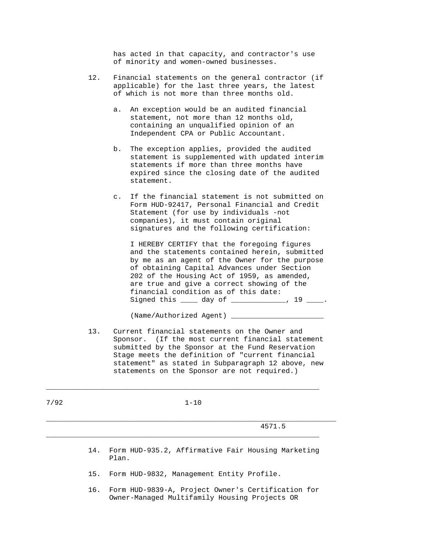has acted in that capacity, and contractor's use of minority and women-owned businesses.

- 12. Financial statements on the general contractor (if applicable) for the last three years, the latest of which is not more than three months old.
	- a. An exception would be an audited financial statement, not more than 12 months old, containing an unqualified opinion of an Independent CPA or Public Accountant.
	- b. The exception applies, provided the audited statement is supplemented with updated interim statements if more than three months have expired since the closing date of the audited statement.
	- c. If the financial statement is not submitted on Form HUD-92417, Personal Financial and Credit Statement (for use by individuals -not companies), it must contain original signatures and the following certification:

 I HEREBY CERTIFY that the foregoing figures and the statements contained herein, submitted by me as an agent of the Owner for the purpose of obtaining Capital Advances under Section 202 of the Housing Act of 1959, as amended, are true and give a correct showing of the financial condition as of this date: Signed this \_\_\_\_ day of \_\_\_\_\_\_\_\_\_\_\_\_, 19 \_\_\_\_.

(Name/Authorized Agent) \_

 13. Current financial statements on the Owner and Sponsor. (If the most current financial statement submitted by the Sponsor at the Fund Reservation Stage meets the definition of "current financial statement" as stated in Subparagraph 12 above, new statements on the Sponsor are not required.)

7/92 1-10

\_\_\_\_\_\_\_\_\_\_\_\_\_\_\_\_\_\_\_\_\_\_\_\_\_\_\_\_\_\_\_\_\_\_\_\_\_\_\_\_\_\_\_\_\_\_\_\_\_\_\_\_\_\_\_\_\_\_\_\_\_\_\_\_\_\_\_\_\_

 $\_$  ,  $\_$  ,  $\_$  ,  $\_$  ,  $\_$  ,  $\_$  ,  $\_$  ,  $\_$  ,  $\_$  ,  $\_$  ,  $\_$  ,  $\_$  ,  $\_$  ,  $\_$  ,  $\_$  ,  $\_$  ,  $\_$  ,  $\_$  ,  $\_$  ,  $\_$  ,  $\_$  ,  $\_$  ,  $\_$  ,  $\_$  ,  $\_$  ,  $\_$  ,  $\_$  ,  $\_$  ,  $\_$  ,  $\_$  ,  $\_$  ,  $\_$  ,  $\_$  ,  $\_$  ,  $\_$  ,  $\_$  ,  $\_$  ,

4571.5

- 14. Form HUD-935.2, Affirmative Fair Housing Marketing Plan.
- 15. Form HUD-9832, Management Entity Profile.

\_\_\_\_\_\_\_\_\_\_\_\_\_\_\_\_\_\_\_\_\_\_\_\_\_\_\_\_\_\_\_\_\_\_\_\_\_\_\_\_\_\_\_\_\_\_\_\_\_\_\_\_\_\_\_\_\_\_\_\_\_\_\_\_\_

 16. Form HUD-9839-A, Project Owner's Certification for Owner-Managed Multifamily Housing Projects OR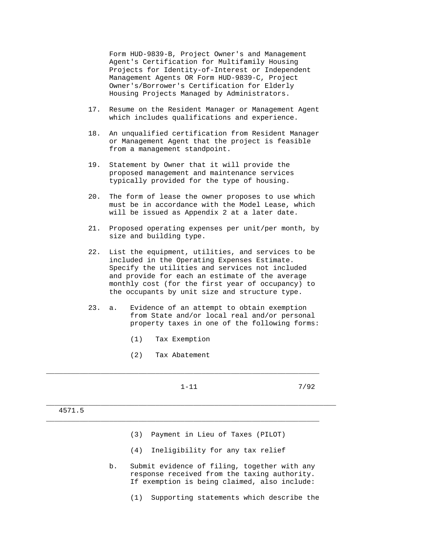Form HUD-9839-B, Project Owner's and Management Agent's Certification for Multifamily Housing Projects for Identity-of-Interest or Independent Management Agents OR Form HUD-9839-C, Project Owner's/Borrower's Certification for Elderly Housing Projects Managed by Administrators.

- 17. Resume on the Resident Manager or Management Agent which includes qualifications and experience.
- 18. An unqualified certification from Resident Manager or Management Agent that the project is feasible from a management standpoint.
- 19. Statement by Owner that it will provide the proposed management and maintenance services typically provided for the type of housing.
- 20. The form of lease the owner proposes to use which must be in accordance with the Model Lease, which will be issued as Appendix 2 at a later date.
- 21. Proposed operating expenses per unit/per month, by size and building type.
- 22. List the equipment, utilities, and services to be included in the Operating Expenses Estimate. Specify the utilities and services not included and provide for each an estimate of the average monthly cost (for the first year of occupancy) to the occupants by unit size and structure type.
- 23. a. Evidence of an attempt to obtain exemption from State and/or local real and/or personal property taxes in one of the following forms:
	- (1) Tax Exemption
	- (2) Tax Abatement
		-

\_\_\_\_\_\_\_\_\_\_\_\_\_\_\_\_\_\_\_\_\_\_\_\_\_\_\_\_\_\_\_\_\_\_\_\_\_\_\_\_\_\_\_\_\_\_\_\_\_\_\_\_\_\_\_\_\_\_\_\_\_\_\_\_\_\_\_\_\_

 $\_$  ,  $\_$  ,  $\_$  ,  $\_$  ,  $\_$  ,  $\_$  ,  $\_$  ,  $\_$  ,  $\_$  ,  $\_$  ,  $\_$  ,  $\_$  ,  $\_$  ,  $\_$  ,  $\_$  ,  $\_$  ,  $\_$  ,  $\_$  ,  $\_$  ,  $\_$  ,  $\_$  ,  $\_$  ,  $\_$  ,  $\_$  ,  $\_$  ,  $\_$  ,  $\_$  ,  $\_$  ,  $\_$  ,  $\_$  ,  $\_$  ,  $\_$  ,  $\_$  ,  $\_$  ,  $\_$  ,  $\_$  ,  $\_$  ,

 $\_$  ,  $\_$  ,  $\_$  ,  $\_$  ,  $\_$  ,  $\_$  ,  $\_$  ,  $\_$  ,  $\_$  ,  $\_$  ,  $\_$  ,  $\_$  ,  $\_$  ,  $\_$  ,  $\_$  ,  $\_$  ,  $\_$  ,  $\_$  ,  $\_$  ,  $\_$  ,  $\_$  ,  $\_$  ,  $\_$  ,  $\_$  ,  $\_$  ,  $\_$  ,  $\_$  ,  $\_$  ,  $\_$  ,  $\_$  ,  $\_$  ,  $\_$  ,  $\_$  ,  $\_$  ,  $\_$  ,  $\_$  ,  $\_$  ,

1-11 7/92

## 4571.5

- (3) Payment in Lieu of Taxes (PILOT)
- (4) Ineligibility for any tax relief
- b. Submit evidence of filing, together with any response received from the taxing authority. If exemption is being claimed, also include:
	- (1) Supporting statements which describe the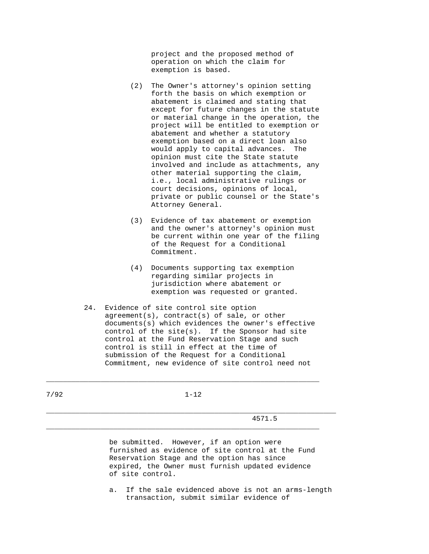project and the proposed method of operation on which the claim for exemption is based.

- (2) The Owner's attorney's opinion setting forth the basis on which exemption or abatement is claimed and stating that except for future changes in the statute or material change in the operation, the project will be entitled to exemption or abatement and whether a statutory exemption based on a direct loan also would apply to capital advances. The opinion must cite the State statute involved and include as attachments, any other material supporting the claim, i.e., local administrative rulings or court decisions, opinions of local, private or public counsel or the State's Attorney General.
- (3) Evidence of tax abatement or exemption and the owner's attorney's opinion must be current within one year of the filing of the Request for a Conditional Commitment.
- (4) Documents supporting tax exemption regarding similar projects in jurisdiction where abatement or exemption was requested or granted.
- agreement(s), contract(s) of sale, or other documents(s) which evidences the owner's effective control of the site(s). If the Sponsor had site control at the Fund Reservation Stage and such control is still in effect at the time of submission of the Request for a Conditional Commitment, new evidence of site control need not

24. Evidence of site control site option

 be submitted. However, if an option were furnished as evidence of site control at the Fund Reservation Stage and the option has since expired, the Owner must furnish updated evidence of site control.

 a. If the sale evidenced above is not an arms-length transaction, submit similar evidence of

7/92 1-12

 $\_$  ,  $\_$  ,  $\_$  ,  $\_$  ,  $\_$  ,  $\_$  ,  $\_$  ,  $\_$  ,  $\_$  ,  $\_$  ,  $\_$  ,  $\_$  ,  $\_$  ,  $\_$  ,  $\_$  ,  $\_$  ,  $\_$  ,  $\_$  ,  $\_$  ,  $\_$  ,  $\_$  ,  $\_$  ,  $\_$  ,  $\_$  ,  $\_$  ,  $\_$  ,  $\_$  ,  $\_$  ,  $\_$  ,  $\_$  ,  $\_$  ,  $\_$  ,  $\_$  ,  $\_$  ,  $\_$  ,  $\_$  ,  $\_$  ,

\_\_\_\_\_\_\_\_\_\_\_\_\_\_\_\_\_\_\_\_\_\_\_\_\_\_\_\_\_\_\_\_\_\_\_\_\_\_\_\_\_\_\_\_\_\_\_\_\_\_\_\_\_\_\_\_\_\_\_\_\_\_\_\_\_

## \_\_\_\_\_\_\_\_\_\_\_\_\_\_\_\_\_\_\_\_\_\_\_\_\_\_\_\_\_\_\_\_\_\_\_\_\_\_\_\_\_\_\_\_\_\_\_\_\_\_\_\_\_\_\_\_\_\_\_\_\_\_\_\_\_\_\_\_\_ 4571.5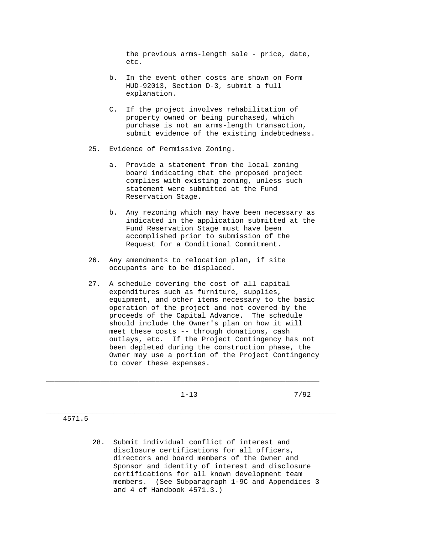the previous arms-length sale - price, date, etc.

- b. In the event other costs are shown on Form HUD-92013, Section D-3, submit a full explanation.
- C. If the project involves rehabilitation of property owned or being purchased, which purchase is not an arms-length transaction, submit evidence of the existing indebtedness.
- 25. Evidence of Permissive Zoning.
	- a. Provide a statement from the local zoning board indicating that the proposed project complies with existing zoning, unless such statement were submitted at the Fund Reservation Stage.
	- b. Any rezoning which may have been necessary as indicated in the application submitted at the Fund Reservation Stage must have been accomplished prior to submission of the Request for a Conditional Commitment.
- 26. Any amendments to relocation plan, if site occupants are to be displaced.
- 27. A schedule covering the cost of all capital expenditures such as furniture, supplies, equipment, and other items necessary to the basic operation of the project and not covered by the proceeds of the Capital Advance. The schedule should include the Owner's plan on how it will meet these costs -- through donations, cash outlays, etc. If the Project Contingency has not been depleted during the construction phase, the Owner may use a portion of the Project Contingency to cover these expenses.

\_\_\_\_\_\_\_\_\_\_\_\_\_\_\_\_\_\_\_\_\_\_\_\_\_\_\_\_\_\_\_\_\_\_\_\_\_\_\_\_\_\_\_\_\_\_\_\_\_\_\_\_\_\_\_\_\_\_\_\_\_\_\_\_\_\_\_\_\_

 $\_$  ,  $\_$  ,  $\_$  ,  $\_$  ,  $\_$  ,  $\_$  ,  $\_$  ,  $\_$  ,  $\_$  ,  $\_$  ,  $\_$  ,  $\_$  ,  $\_$  ,  $\_$  ,  $\_$  ,  $\_$  ,  $\_$  ,  $\_$  ,  $\_$  ,  $\_$  ,  $\_$  ,  $\_$  ,  $\_$  ,  $\_$  ,  $\_$  ,  $\_$  ,  $\_$  ,  $\_$  ,  $\_$  ,  $\_$  ,  $\_$  ,  $\_$  ,  $\_$  ,  $\_$  ,  $\_$  ,  $\_$  ,  $\_$  ,

\_\_\_\_\_\_\_\_\_\_\_\_\_\_\_\_\_\_\_\_\_\_\_\_\_\_\_\_\_\_\_\_\_\_\_\_\_\_\_\_\_\_\_\_\_\_\_\_\_\_\_\_\_\_\_\_\_\_\_\_\_\_\_\_\_

1-13 7/92

### 4571.5

 28. Submit individual conflict of interest and disclosure certifications for all officers, directors and board members of the Owner and Sponsor and identity of interest and disclosure certifications for all known development team members. (See Subparagraph 1-9C and Appendices 3 and 4 of Handbook 4571.3.)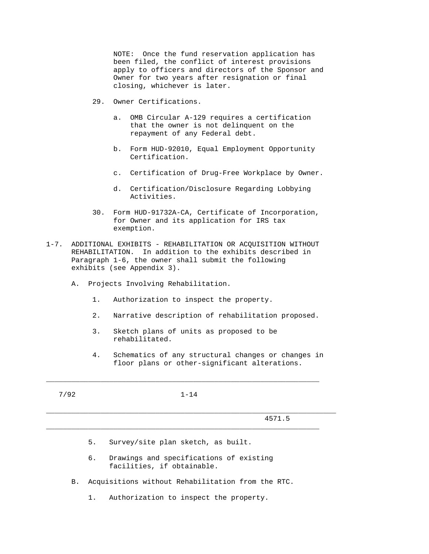NOTE: Once the fund reservation application has been filed, the conflict of interest provisions apply to officers and directors of the Sponsor and Owner for two years after resignation or final closing, whichever is later.

- 29. Owner Certifications.
	- a. OMB Circular A-129 requires a certification that the owner is not delinquent on the repayment of any Federal debt.
	- b. Form HUD-92010, Equal Employment Opportunity Certification.
	- c. Certification of Drug-Free Workplace by Owner.
	- d. Certification/Disclosure Regarding Lobbying Activities.
- 30. Form HUD-91732A-CA, Certificate of Incorporation, for Owner and its application for IRS tax exemption.
- 1-7. ADDITIONAL EXHIBITS REHABILITATION OR ACQUISITION WITHOUT REHABILITATION. In addition to the exhibits described in Paragraph 1-6, the owner shall submit the following exhibits (see Appendix 3).
	- A. Projects Involving Rehabilitation.
		- 1. Authorization to inspect the property.
		- 2. Narrative description of rehabilitation proposed.
		- 3. Sketch plans of units as proposed to be rehabilitated.
		- 4. Schematics of any structural changes or changes in floor plans or other-significant alterations.

7/92 1-14

\_\_\_\_\_\_\_\_\_\_\_\_\_\_\_\_\_\_\_\_\_\_\_\_\_\_\_\_\_\_\_\_\_\_\_\_\_\_\_\_\_\_\_\_\_\_\_\_\_\_\_\_\_\_\_\_\_\_\_\_\_\_\_\_\_\_\_\_\_

 $\_$  ,  $\_$  ,  $\_$  ,  $\_$  ,  $\_$  ,  $\_$  ,  $\_$  ,  $\_$  ,  $\_$  ,  $\_$  ,  $\_$  ,  $\_$  ,  $\_$  ,  $\_$  ,  $\_$  ,  $\_$  ,  $\_$  ,  $\_$  ,  $\_$  ,  $\_$  ,  $\_$  ,  $\_$  ,  $\_$  ,  $\_$  ,  $\_$  ,  $\_$  ,  $\_$  ,  $\_$  ,  $\_$  ,  $\_$  ,  $\_$  ,  $\_$  ,  $\_$  ,  $\_$  ,  $\_$  ,  $\_$  ,  $\_$  ,

\_\_\_\_\_\_\_\_\_\_\_\_\_\_\_\_\_\_\_\_\_\_\_\_\_\_\_\_\_\_\_\_\_\_\_\_\_\_\_\_\_\_\_\_\_\_\_\_\_\_\_\_\_\_\_\_\_\_\_\_\_\_\_\_\_

4571.5

- 5. Survey/site plan sketch, as built.
- 6. Drawings and specifications of existing facilities, if obtainable.
- B. Acquisitions without Rehabilitation from the RTC.
	- 1. Authorization to inspect the property.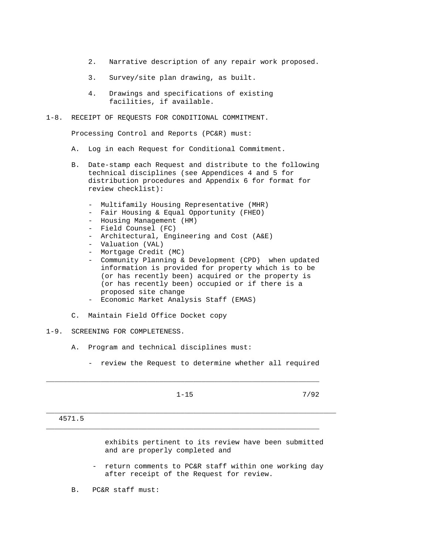- 2. Narrative description of any repair work proposed.
- 3. Survey/site plan drawing, as built.
- 4. Drawings and specifications of existing facilities, if available.

1-8. RECEIPT OF REQUESTS FOR CONDITIONAL COMMITMENT.

Processing Control and Reports (PC&R) must:

- A. Log in each Request for Conditional Commitment.
- B. Date-stamp each Request and distribute to the following technical disciplines (see Appendices 4 and 5 for distribution procedures and Appendix 6 for format for review checklist):
	- Multifamily Housing Representative (MHR)
	- Fair Housing & Equal Opportunity (FHEO)
	- Housing Management (HM)
	- Field Counsel (FC)
	- Architectural, Engineering and Cost (A&E)
	- Valuation (VAL)
	- Mortgage Credit (MC)
	- Community Planning & Development (CPD) when updated information is provided for property which is to be (or has recently been) acquired or the property is (or has recently been) occupied or if there is a proposed site change
	- Economic Market Analysis Staff (EMAS)
- C. Maintain Field Office Docket copy

## 1-9. SCREENING FOR COMPLETENESS.

- A. Program and technical disciplines must:
	- review the Request to determine whether all required

\_\_\_\_\_\_\_\_\_\_\_\_\_\_\_\_\_\_\_\_\_\_\_\_\_\_\_\_\_\_\_\_\_\_\_\_\_\_\_\_\_\_\_\_\_\_\_\_\_\_\_\_\_\_\_\_\_\_\_\_\_\_\_\_\_

\_\_\_\_\_\_\_\_\_\_\_\_\_\_\_\_\_\_\_\_\_\_\_\_\_\_\_\_\_\_\_\_\_\_\_\_\_\_\_\_\_\_\_\_\_\_\_\_\_\_\_\_\_\_\_\_\_\_\_\_\_\_\_\_\_\_\_\_\_

 $\_$  ,  $\_$  ,  $\_$  ,  $\_$  ,  $\_$  ,  $\_$  ,  $\_$  ,  $\_$  ,  $\_$  ,  $\_$  ,  $\_$  ,  $\_$  ,  $\_$  ,  $\_$  ,  $\_$  ,  $\_$  ,  $\_$  ,  $\_$  ,  $\_$  ,  $\_$  ,  $\_$  ,  $\_$  ,  $\_$  ,  $\_$  ,  $\_$  ,  $\_$  ,  $\_$  ,  $\_$  ,  $\_$  ,  $\_$  ,  $\_$  ,  $\_$  ,  $\_$  ,  $\_$  ,  $\_$  ,  $\_$  ,  $\_$  ,

1-15 7/92

### 4571.5

 exhibits pertinent to its review have been submitted and are properly completed and

- return comments to PC&R staff within one working day after receipt of the Request for review.
- B. PC&R staff must: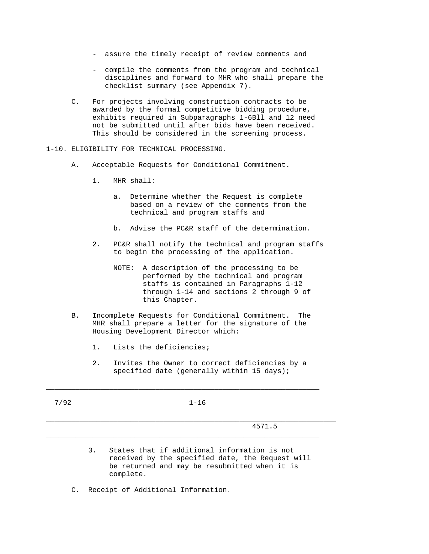- assure the timely receipt of review comments and
- compile the comments from the program and technical disciplines and forward to MHR who shall prepare the checklist summary (see Appendix 7).
- C. For projects involving construction contracts to be awarded by the formal competitive bidding procedure, exhibits required in Subparagraphs 1-6Bll and 12 need not be submitted until after bids have been received. This should be considered in the screening process.
- 1-10. ELIGIBILITY FOR TECHNICAL PROCESSING.
	- A. Acceptable Requests for Conditional Commitment.
		- 1. MHR shall:
			- a. Determine whether the Request is complete based on a review of the comments from the technical and program staffs and
			- b. Advise the PC&R staff of the determination.
		- 2. PC&R shall notify the technical and program staffs to begin the processing of the application.
			- NOTE: A description of the processing to be performed by the technical and program staffs is contained in Paragraphs 1-12 through 1-14 and sections 2 through 9 of this Chapter.
	- B. Incomplete Requests for Conditional Commitment. The MHR shall prepare a letter for the signature of the Housing Development Director which:
		- 1. Lists the deficiencies;
		- 2. Invites the Owner to correct deficiencies by a specified date (generally within 15 days);

7/92 1-16

\_\_\_\_\_\_\_\_\_\_\_\_\_\_\_\_\_\_\_\_\_\_\_\_\_\_\_\_\_\_\_\_\_\_\_\_\_\_\_\_\_\_\_\_\_\_\_\_\_\_\_\_\_\_\_\_\_\_\_\_\_\_\_\_\_\_\_\_\_

 $\_$  ,  $\_$  ,  $\_$  ,  $\_$  ,  $\_$  ,  $\_$  ,  $\_$  ,  $\_$  ,  $\_$  ,  $\_$  ,  $\_$  ,  $\_$  ,  $\_$  ,  $\_$  ,  $\_$  ,  $\_$  ,  $\_$  ,  $\_$  ,  $\_$  ,  $\_$  ,  $\_$  ,  $\_$  ,  $\_$  ,  $\_$  ,  $\_$  ,  $\_$  ,  $\_$  ,  $\_$  ,  $\_$  ,  $\_$  ,  $\_$  ,  $\_$  ,  $\_$  ,  $\_$  ,  $\_$  ,  $\_$  ,  $\_$  ,

\_\_\_\_\_\_\_\_\_\_\_\_\_\_\_\_\_\_\_\_\_\_\_\_\_\_\_\_\_\_\_\_\_\_\_\_\_\_\_\_\_\_\_\_\_\_\_\_\_\_\_\_\_\_\_\_\_\_\_\_\_\_\_\_\_

4571.5

- 3. States that if additional information is not received by the specified date, the Request will be returned and may be resubmitted when it is complete.
- C. Receipt of Additional Information.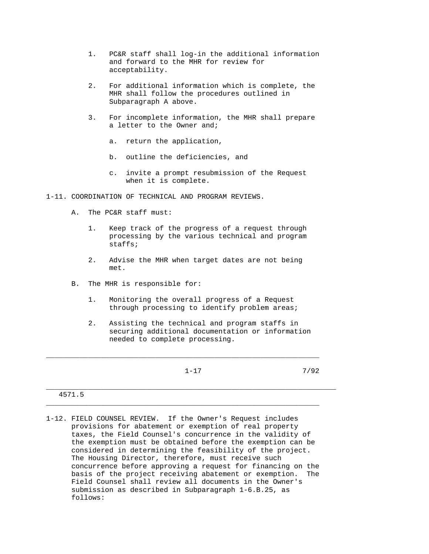- 1. PC&R staff shall log-in the additional information and forward to the MHR for review for acceptability.
- 2. For additional information which is complete, the MHR shall follow the procedures outlined in Subparagraph A above.
- 3. For incomplete information, the MHR shall prepare a letter to the Owner and;
	- a. return the application,
	- b. outline the deficiencies, and
	- c. invite a prompt resubmission of the Request when it is complete.
- 1-11. COORDINATION OF TECHNICAL AND PROGRAM REVIEWS.
	- A. The PC&R staff must:
		- 1. Keep track of the progress of a request through processing by the various technical and program staffs;
		- 2. Advise the MHR when target dates are not being met.
	- B. The MHR is responsible for:
		- 1. Monitoring the overall progress of a Request through processing to identify problem areas;
		- 2. Assisting the technical and program staffs in securing additional documentation or information needed to complete processing.

\_\_\_\_\_\_\_\_\_\_\_\_\_\_\_\_\_\_\_\_\_\_\_\_\_\_\_\_\_\_\_\_\_\_\_\_\_\_\_\_\_\_\_\_\_\_\_\_\_\_\_\_\_\_\_\_\_\_\_\_\_\_\_\_\_

\_\_\_\_\_\_\_\_\_\_\_\_\_\_\_\_\_\_\_\_\_\_\_\_\_\_\_\_\_\_\_\_\_\_\_\_\_\_\_\_\_\_\_\_\_\_\_\_\_\_\_\_\_\_\_\_\_\_\_\_\_\_\_\_\_

 $1-17$   $7/92$ 

## 4571.5

1-12. FIELD COUNSEL REVIEW. If the Owner's Request includes provisions for abatement or exemption of real property taxes, the Field Counsel's concurrence in the validity of the exemption must be obtained before the exemption can be considered in determining the feasibility of the project. The Housing Director, therefore, must receive such concurrence before approving a request for financing on the basis of the project receiving abatement or exemption. The Field Counsel shall review all documents in the Owner's submission as described in Subparagraph 1-6.B.25, as follows: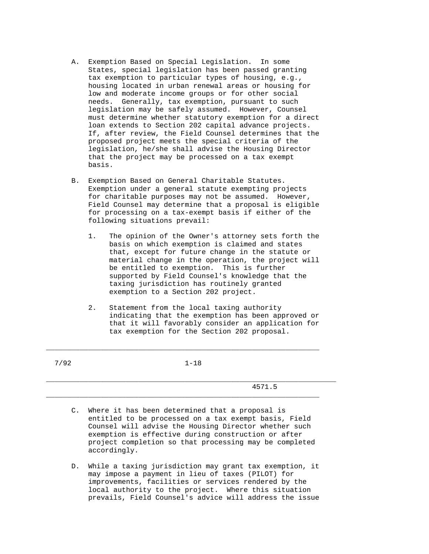- A. Exemption Based on Special Legislation. In some States, special legislation has been passed granting tax exemption to particular types of housing, e.g., housing located in urban renewal areas or housing for low and moderate income groups or for other social needs. Generally, tax exemption, pursuant to such legislation may be safely assumed. However, Counsel must determine whether statutory exemption for a direct loan extends to Section 202 capital advance projects. If, after review, the Field Counsel determines that the proposed project meets the special criteria of the legislation, he/she shall advise the Housing Director that the project may be processed on a tax exempt basis.
- B. Exemption Based on General Charitable Statutes. Exemption under a general statute exempting projects for charitable purposes may not be assumed. However, Field Counsel may determine that a proposal is eligible for processing on a tax-exempt basis if either of the following situations prevail:
	- 1. The opinion of the Owner's attorney sets forth the basis on which exemption is claimed and states that, except for future change in the statute or material change in the operation, the project will be entitled to exemption. This is further supported by Field Counsel's knowledge that the taxing jurisdiction has routinely granted exemption to a Section 202 project.
	- 2. Statement from the local taxing authority indicating that the exemption has been approved or that it will favorably consider an application for tax exemption for the Section 202 proposal.

| 7/92           | $1 - 18$                                        |
|----------------|-------------------------------------------------|
|                | 4571.5                                          |
| $\mathsf{C}$ . | Where it has been determined that a proposal is |

- C. Where it has been determined that a proposal is entitled to be processed on a tax exempt basis, Field Counsel will advise the Housing Director whether such exemption is effective during construction or after project completion so that processing may be completed accordingly.
	- D. While a taxing jurisdiction may grant tax exemption, it may impose a payment in lieu of taxes (PILOT) for improvements, facilities or services rendered by the local authority to the project. Where this situation prevails, Field Counsel's advice will address the issue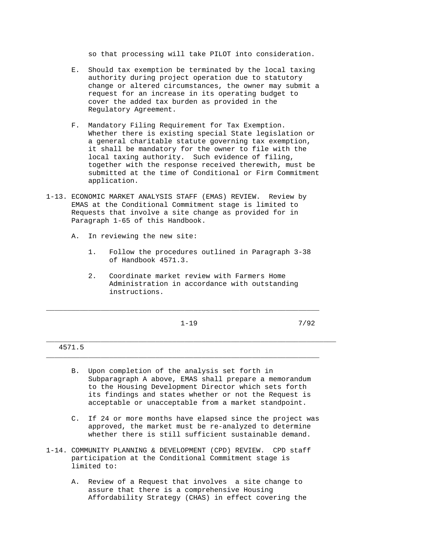so that processing will take PILOT into consideration.

- E. Should tax exemption be terminated by the local taxing authority during project operation due to statutory change or altered circumstances, the owner may submit a request for an increase in its operating budget to cover the added tax burden as provided in the Regulatory Agreement.
- F. Mandatory Filing Requirement for Tax Exemption. Whether there is existing special State legislation or a general charitable statute governing tax exemption, it shall be mandatory for the owner to file with the local taxing authority. Such evidence of filing, together with the response received therewith, must be submitted at the time of Conditional or Firm Commitment application.
- 1-13. ECONOMIC MARKET ANALYSIS STAFF (EMAS) REVIEW. Review by EMAS at the Conditional Commitment stage is limited to Requests that involve a site change as provided for in Paragraph 1-65 of this Handbook.
	- A. In reviewing the new site:
		- 1. Follow the procedures outlined in Paragraph 3-38 of Handbook 4571.3.
		- 2. Coordinate market review with Farmers Home Administration in accordance with outstanding instructions.

\_\_\_\_\_\_\_\_\_\_\_\_\_\_\_\_\_\_\_\_\_\_\_\_\_\_\_\_\_\_\_\_\_\_\_\_\_\_\_\_\_\_\_\_\_\_\_\_\_\_\_\_\_\_\_\_\_\_\_\_\_\_\_\_\_\_\_\_\_

 $\_$  ,  $\_$  ,  $\_$  ,  $\_$  ,  $\_$  ,  $\_$  ,  $\_$  ,  $\_$  ,  $\_$  ,  $\_$  ,  $\_$  ,  $\_$  ,  $\_$  ,  $\_$  ,  $\_$  ,  $\_$  ,  $\_$  ,  $\_$  ,  $\_$  ,  $\_$  ,  $\_$  ,  $\_$  ,  $\_$  ,  $\_$  ,  $\_$  ,  $\_$  ,  $\_$  ,  $\_$  ,  $\_$  ,  $\_$  ,  $\_$  ,  $\_$  ,  $\_$  ,  $\_$  ,  $\_$  ,  $\_$  ,  $\_$  ,

 $1-19$   $7/92$ 

- B. Upon completion of the analysis set forth in Subparagraph A above, EMAS shall prepare a memorandum to the Housing Development Director which sets forth its findings and states whether or not the Request is acceptable or unacceptable from a market standpoint.
- C. If 24 or more months have elapsed since the project was approved, the market must be re-analyzed to determine whether there is still sufficient sustainable demand.
- 1-14. COMMUNITY PLANNING & DEVELOPMENT (CPD) REVIEW. CPD staff participation at the Conditional Commitment stage is limited to:
	- A. Review of a Request that involves a site change to assure that there is a comprehensive Housing Affordability Strategy (CHAS) in effect covering the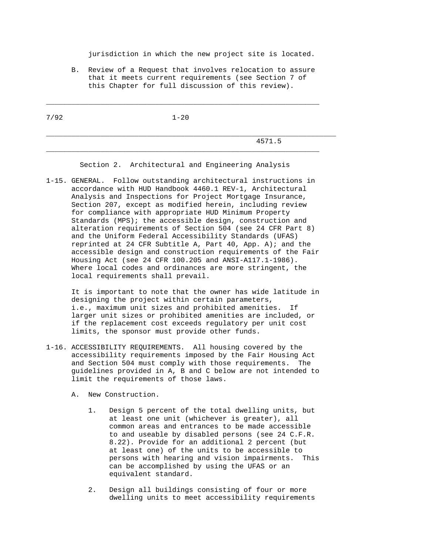jurisdiction in which the new project site is located.

 B. Review of a Request that involves relocation to assure that it meets current requirements (see Section 7 of this Chapter for full discussion of this review).

 $\_$  ,  $\_$  ,  $\_$  ,  $\_$  ,  $\_$  ,  $\_$  ,  $\_$  ,  $\_$  ,  $\_$  ,  $\_$  ,  $\_$  ,  $\_$  ,  $\_$  ,  $\_$  ,  $\_$  ,  $\_$  ,  $\_$  ,  $\_$  ,  $\_$  ,  $\_$  ,  $\_$  ,  $\_$  ,  $\_$  ,  $\_$  ,  $\_$  ,  $\_$  ,  $\_$  ,  $\_$  ,  $\_$  ,  $\_$  ,  $\_$  ,  $\_$  ,  $\_$  ,  $\_$  ,  $\_$  ,  $\_$  ,  $\_$  ,

7/92 1-20 \_\_\_\_\_\_\_\_\_\_\_\_\_\_\_\_\_\_\_\_\_\_\_\_\_\_\_\_\_\_\_\_\_\_\_\_\_\_\_\_\_\_\_\_\_\_\_\_\_\_\_\_\_\_\_\_\_\_\_\_\_\_\_\_\_\_\_\_\_ 4571.5  $\_$  ,  $\_$  ,  $\_$  ,  $\_$  ,  $\_$  ,  $\_$  ,  $\_$  ,  $\_$  ,  $\_$  ,  $\_$  ,  $\_$  ,  $\_$  ,  $\_$  ,  $\_$  ,  $\_$  ,  $\_$  ,  $\_$  ,  $\_$  ,  $\_$  ,  $\_$  ,  $\_$  ,  $\_$  ,  $\_$  ,  $\_$  ,  $\_$  ,  $\_$  ,  $\_$  ,  $\_$  ,  $\_$  ,  $\_$  ,  $\_$  ,  $\_$  ,  $\_$  ,  $\_$  ,  $\_$  ,  $\_$  ,  $\_$  ,

Section 2. Architectural and Engineering Analysis

1-15. GENERAL. Follow outstanding architectural instructions in accordance with HUD Handbook 4460.1 REV-1, Architectural Analysis and Inspections for Project Mortgage Insurance, Section 207, except as modified herein, including review for compliance with appropriate HUD Minimum Property Standards (MPS); the accessible design, construction and alteration requirements of Section 504 (see 24 CFR Part 8) and the Uniform Federal Accessibility Standards (UFAS) reprinted at 24 CFR Subtitle A, Part 40, App. A); and the accessible design and construction requirements of the Fair Housing Act (see 24 CFR 100.205 and ANSI-A117.1-1986). Where local codes and ordinances are more stringent, the local requirements shall prevail.

 It is important to note that the owner has wide latitude in designing the project within certain parameters, i.e., maximum unit sizes and prohibited amenities. If larger unit sizes or prohibited amenities are included, or if the replacement cost exceeds regulatory per unit cost limits, the sponsor must provide other funds.

- 1-16. ACCESSIBILITY REQUIREMENTS. All housing covered by the accessibility requirements imposed by the Fair Housing Act and Section 504 must comply with those requirements. The guidelines provided in A, B and C below are not intended to limit the requirements of those laws.
	- A. New Construction.
		- 1. Design 5 percent of the total dwelling units, but at least one unit (whichever is greater), all common areas and entrances to be made accessible to and useable by disabled persons (see 24 C.F.R. 8.22). Provide for an additional 2 percent (but at least one) of the units to be accessible to persons with hearing and vision impairments. This can be accomplished by using the UFAS or an equivalent standard.
		- 2. Design all buildings consisting of four or more dwelling units to meet accessibility requirements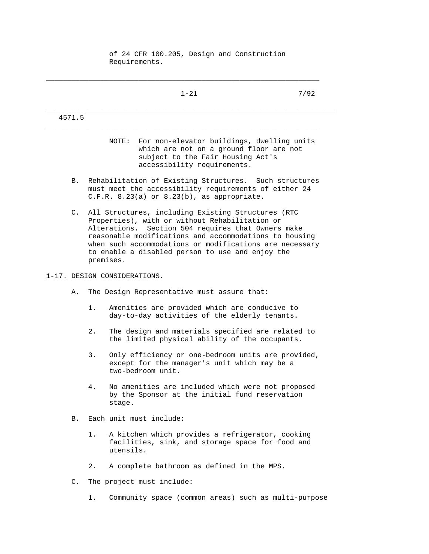of 24 CFR 100.205, Design and Construction Requirements.

 $\_$  ,  $\_$  ,  $\_$  ,  $\_$  ,  $\_$  ,  $\_$  ,  $\_$  ,  $\_$  ,  $\_$  ,  $\_$  ,  $\_$  ,  $\_$  ,  $\_$  ,  $\_$  ,  $\_$  ,  $\_$  ,  $\_$  ,  $\_$  ,  $\_$  ,  $\_$  ,  $\_$  ,  $\_$  ,  $\_$  ,  $\_$  ,  $\_$  ,  $\_$  ,  $\_$  ,  $\_$  ,  $\_$  ,  $\_$  ,  $\_$  ,  $\_$  ,  $\_$  ,  $\_$  ,  $\_$  ,  $\_$  ,  $\_$  ,

 $1-21$  7/92 \_\_\_\_\_\_\_\_\_\_\_\_\_\_\_\_\_\_\_\_\_\_\_\_\_\_\_\_\_\_\_\_\_\_\_\_\_\_\_\_\_\_\_\_\_\_\_\_\_\_\_\_\_\_\_\_\_\_\_\_\_\_\_\_\_\_\_\_\_ 4571.5 \_\_\_\_\_\_\_\_\_\_\_\_\_\_\_\_\_\_\_\_\_\_\_\_\_\_\_\_\_\_\_\_\_\_\_\_\_\_\_\_\_\_\_\_\_\_\_\_\_\_\_\_\_\_\_\_\_\_\_\_\_\_\_\_\_ NOTE: For non-elevator buildings, dwelling units which are not on a ground floor are not subject to the Fair Housing Act's accessibility requirements. B. Rehabilitation of Existing Structures. Such structures must meet the accessibility requirements of either 24 C.F.R. 8.23(a) or 8.23(b), as appropriate. C. All Structures, including Existing Structures (RTC Properties), with or without Rehabilitation or

 Alterations. Section 504 requires that Owners make reasonable modifications and accommodations to housing when such accommodations or modifications are necessary to enable a disabled person to use and enjoy the premises.

## 1-17. DESIGN CONSIDERATIONS.

- A. The Design Representative must assure that:
	- 1. Amenities are provided which are conducive to day-to-day activities of the elderly tenants.
	- 2. The design and materials specified are related to the limited physical ability of the occupants.
	- 3. Only efficiency or one-bedroom units are provided, except for the manager's unit which may be a two-bedroom unit.
	- 4. No amenities are included which were not proposed by the Sponsor at the initial fund reservation stage.
- B. Each unit must include:
	- 1. A kitchen which provides a refrigerator, cooking facilities, sink, and storage space for food and utensils.
	- 2. A complete bathroom as defined in the MPS.
- C. The project must include:
	- 1. Community space (common areas) such as multi-purpose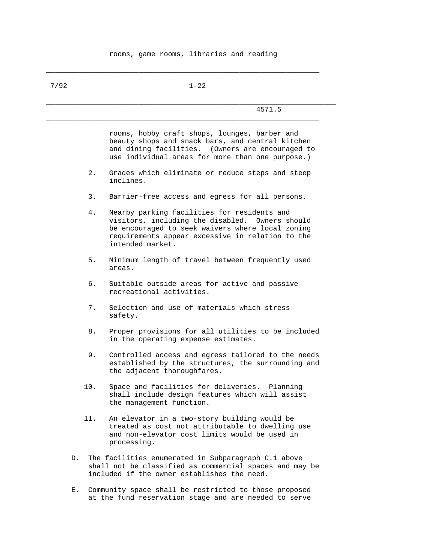$\_$  ,  $\_$  ,  $\_$  ,  $\_$  ,  $\_$  ,  $\_$  ,  $\_$  ,  $\_$  ,  $\_$  ,  $\_$  ,  $\_$  ,  $\_$  ,  $\_$  ,  $\_$  ,  $\_$  ,  $\_$  ,  $\_$  ,  $\_$  ,  $\_$  ,  $\_$  ,  $\_$  ,  $\_$  ,  $\_$  ,  $\_$  ,  $\_$  ,  $\_$  ,  $\_$  ,  $\_$  ,  $\_$  ,  $\_$  ,  $\_$  ,  $\_$  ,  $\_$  ,  $\_$  ,  $\_$  ,  $\_$  ,  $\_$  ,

| 7/92 | $1 - 22$                                                                                                                                                                                                                   |
|------|----------------------------------------------------------------------------------------------------------------------------------------------------------------------------------------------------------------------------|
|      | 4571.5                                                                                                                                                                                                                     |
|      | rooms, hobby craft shops, lounges, barber and<br>beauty shops and snack bars, and central kitchen<br>and dining facilities. (Owners are encouraged to<br>use individual areas for more than one purpose.)                  |
| 2.   | Grades which eliminate or reduce steps and steep<br>inclines.                                                                                                                                                              |
| 3.   | Barrier-free access and egress for all persons.                                                                                                                                                                            |
| 4.   | Nearby parking facilities for residents and<br>visitors, including the disabled. Owners should<br>be encouraged to seek waivers where local zoning<br>requirements appear excessive in relation to the<br>intended market. |
| 5.   | Minimum length of travel between frequently used<br>areas.                                                                                                                                                                 |
| б.   | Suitable outside areas for active and passive<br>recreational activities.                                                                                                                                                  |
| 7.   | Selection and use of materials which stress<br>safety.                                                                                                                                                                     |
| 8.   | Proper provisions for all utilities to be included<br>in the operating expense estimates.                                                                                                                                  |
| 9.   | Controlled access and egress tailored to the needs<br>established by the structures, the surrounding and<br>the adjacent thoroughfares.                                                                                    |
| 10.  | Space and facilities for deliveries. Planning<br>shall include design features which will assist<br>the management function.                                                                                               |
| 11.  | An elevator in a two-story building would be<br>treated as cost not attributable to dwelling use<br>and non-elevator cost limits would be used in<br>processing.                                                           |
| D.   | The facilities enumerated in Subparagraph C.1 above<br>shall not be classified as commercial spaces and may be<br>included if the owner establishes the need.                                                              |

 E. Community space shall be restricted to those proposed at the fund reservation stage and are needed to serve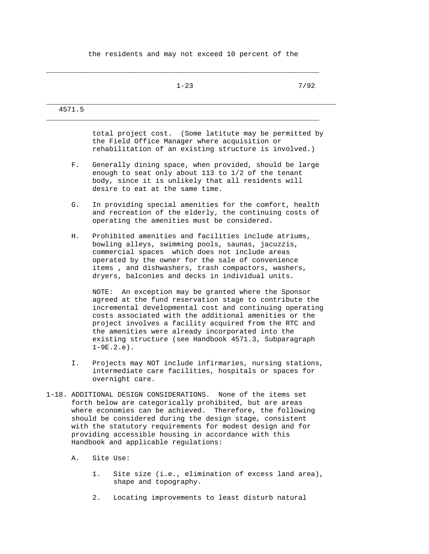the residents and may not exceed 10 percent of the

|        | $1 - 23$                                                                                                                                                                                                                                                                                                                                                                                                                     | 7/92 |
|--------|------------------------------------------------------------------------------------------------------------------------------------------------------------------------------------------------------------------------------------------------------------------------------------------------------------------------------------------------------------------------------------------------------------------------------|------|
| 4571.5 |                                                                                                                                                                                                                                                                                                                                                                                                                              |      |
|        | total project cost. (Some latitute may be permitted by<br>the Field Office Manager where acquisition or<br>rehabilitation of an existing structure is involved.)                                                                                                                                                                                                                                                             |      |
| F.     | Generally dining space, when provided, should be large<br>enough to seat only about 113 to 1/2 of the tenant<br>body, since it is unlikely that all residents will<br>desire to eat at the same time.                                                                                                                                                                                                                        |      |
| G.     | In providing special amenities for the comfort, health<br>and recreation of the elderly, the continuing costs of<br>operating the amenities must be considered.                                                                                                                                                                                                                                                              |      |
| Η.     | Prohibited amenities and facilities include atriums,<br>bowling alleys, swimming pools, saunas, jacuzzis,<br>commercial spaces which does not include areas<br>operated by the owner for the sale of convenience<br>items, and dishwashers, trash compactors, washers,<br>dryers, balconies and decks in individual units.                                                                                                   |      |
|        | An exception may be granted where the Sponsor<br>NOTE:<br>agreed at the fund reservation stage to contribute the<br>incremental developmental cost and continuing operating<br>costs associated with the additional amenities or the<br>project involves a facility acquired from the RTC and<br>the amenities were already incorporated into the<br>existing structure (see Handbook 4571.3, Subparagraph<br>$1 - 9E.2.e$ . |      |
| Ι.     | Projects may NOT include infirmaries, nursing stations,<br>intermediate care facilities, hospitals or spaces for<br>overnight care.                                                                                                                                                                                                                                                                                          |      |
|        | 1-18. ADDITIONAL DESIGN CONSIDERATIONS. None of the items set<br>forth below are categorically prohibited, but are areas<br>where economies can be achieved. Therefore, the following<br>should be considered during the design stage, consistent<br>with the statutory requirements for modest design and for<br>providing accessible housing in accordance with this<br>Handbook and applicable regulations:               |      |
| А.     | Site Use:                                                                                                                                                                                                                                                                                                                                                                                                                    |      |

 1. Site size (i.e., elimination of excess land area), shape and topography.

2. Locating improvements to least disturb natural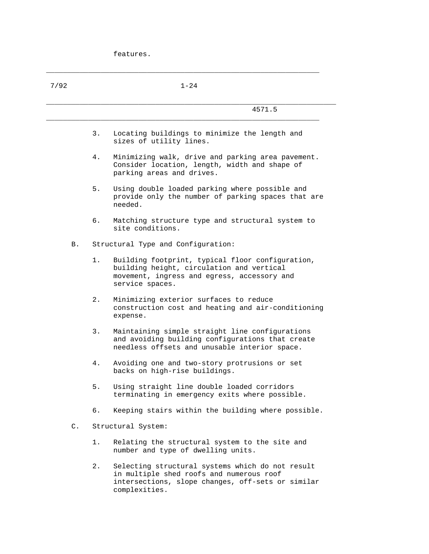features.

| 7/92 | $1 - 24$                                                                                                                                                                 |
|------|--------------------------------------------------------------------------------------------------------------------------------------------------------------------------|
|      | 4571.5                                                                                                                                                                   |
|      | 3.<br>Locating buildings to minimize the length and<br>sizes of utility lines.                                                                                           |
|      | 4.<br>Minimizing walk, drive and parking area pavement.<br>Consider location, length, width and shape of<br>parking areas and drives.                                    |
|      | 5.<br>Using double loaded parking where possible and<br>provide only the number of parking spaces that are<br>needed.                                                    |
|      | б.<br>Matching structure type and structural system to<br>site conditions.                                                                                               |
| Β.   | Structural Type and Configuration:                                                                                                                                       |
|      | Building footprint, typical floor configuration,<br>1.<br>building height, circulation and vertical<br>movement, ingress and egress, accessory and<br>service spaces.    |
|      | 2.<br>Minimizing exterior surfaces to reduce<br>construction cost and heating and air-conditioning<br>expense.                                                           |
|      | 3.<br>Maintaining simple straight line configurations<br>and avoiding building configurations that create<br>needless offsets and unusable interior space.               |
|      | 4.<br>Avoiding one and two-story protrusions or set<br>backs on high-rise buildings.                                                                                     |
|      | 5.<br>Using straight line double loaded corridors<br>terminating in emergency exits where possible.                                                                      |
|      | Keeping stairs within the building where possible.<br>б.                                                                                                                 |
| C.   | Structural System:                                                                                                                                                       |
|      | Relating the structural system to the site and<br>1.<br>number and type of dwelling units.                                                                               |
|      | 2.<br>Selecting structural systems which do not result<br>in multiple shed roofs and numerous roof<br>intersections, slope changes, off-sets or similar<br>complexities. |

\_\_\_\_\_\_\_\_\_\_\_\_\_\_\_\_\_\_\_\_\_\_\_\_\_\_\_\_\_\_\_\_\_\_\_\_\_\_\_\_\_\_\_\_\_\_\_\_\_\_\_\_\_\_\_\_\_\_\_\_\_\_\_\_\_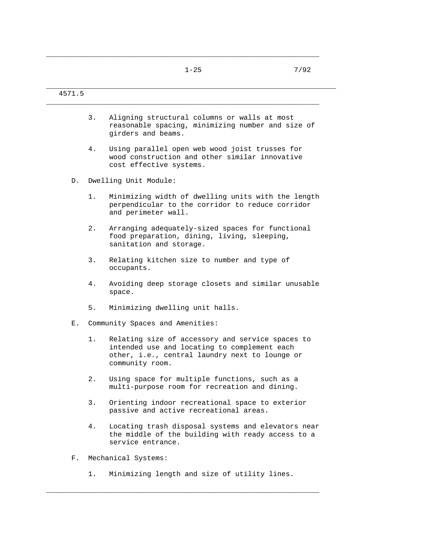|    | 3.    | Aligning structural columns or walls at most<br>reasonable spacing, minimizing number and size of<br>girders and beams.                                               |
|----|-------|-----------------------------------------------------------------------------------------------------------------------------------------------------------------------|
|    | 4.    | Using parallel open web wood joist trusses for<br>wood construction and other similar innovative<br>cost effective systems.                                           |
| D. |       | Dwelling Unit Module:                                                                                                                                                 |
|    | 1.    | Minimizing width of dwelling units with the length<br>perpendicular to the corridor to reduce corridor<br>and perimeter wall.                                         |
|    | 2.    | Arranging adequately-sized spaces for functional<br>food preparation, dining, living, sleeping,<br>sanitation and storage.                                            |
|    | 3.    | Relating kitchen size to number and type of<br>occupants.                                                                                                             |
|    | 4.    | Avoiding deep storage closets and similar unusable<br>space.                                                                                                          |
|    | 5.    | Minimizing dwelling unit halls.                                                                                                                                       |
| Е. |       | Community Spaces and Amenities:                                                                                                                                       |
|    | 1.    | Relating size of accessory and service spaces to<br>intended use and locating to complement each<br>other, i.e., central laundry next to lounge or<br>community room. |
|    | $2$ . | Using space for multiple functions, such as a<br>multi-purpose room for recreation and dining.                                                                        |
|    | 3.    | Orienting indoor recreational space to exterior<br>passive and active recreational areas.                                                                             |
|    | 4.    | Locating trash disposal systems and elevators near<br>the middle of the building with ready access to a<br>service entrance.                                          |
| F. |       | Mechanical Systems:                                                                                                                                                   |
|    | 1.    | Minimizing length and size of utility lines.                                                                                                                          |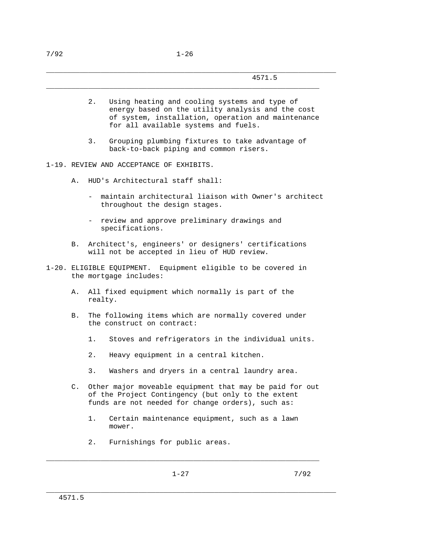for all available systems and fuels.

- review and approve preliminary drawings and

 B. Architect's, engineers' or designers' certifications will not be accepted in lieu of HUD review.

1-20. ELIGIBLE EQUIPMENT. Equipment eligible to be covered in

A. All fixed equipment which normally is part of the

B. The following items which are normally covered under

\_\_\_\_\_\_\_\_\_\_\_\_\_\_\_\_\_\_\_\_\_\_\_\_\_\_\_\_\_\_\_\_\_\_\_\_\_\_\_\_\_\_\_\_\_\_\_\_\_\_\_\_\_\_\_\_\_\_\_\_\_\_\_\_\_\_\_\_\_

2. Using heating and cooling systems and type of

 3. Grouping plumbing fixtures to take advantage of back-to-back piping and common risers.

- maintain architectural liaison with Owner's architect

 energy based on the utility analysis and the cost of system, installation, operation and maintenance

# 2. Heavy equipment in a central kitchen.

the construct on contract:

1-19. REVIEW AND ACCEPTANCE OF EXHIBITS.

specifications.

the mortgage includes:

realty.

A. HUD's Architectural staff shall:

throughout the design stages.

3. Washers and dryers in a central laundry area.

1. Stoves and refrigerators in the individual units.

- C. Other major moveable equipment that may be paid for out of the Project Contingency (but only to the extent funds are not needed for change orders), such as:
	- 1. Certain maintenance equipment, such as a lawn mower.

\_\_\_\_\_\_\_\_\_\_\_\_\_\_\_\_\_\_\_\_\_\_\_\_\_\_\_\_\_\_\_\_\_\_\_\_\_\_\_\_\_\_\_\_\_\_\_\_\_\_\_\_\_\_\_\_\_\_\_\_\_\_\_\_\_\_\_\_\_

2. Furnishings for public areas.

\_\_\_\_\_\_\_\_\_\_\_\_\_\_\_\_\_\_\_\_\_\_\_\_\_\_\_\_\_\_\_\_\_\_\_\_\_\_\_\_\_\_\_\_\_\_\_\_\_\_\_\_\_\_\_\_\_\_\_\_\_\_\_\_\_

4571.5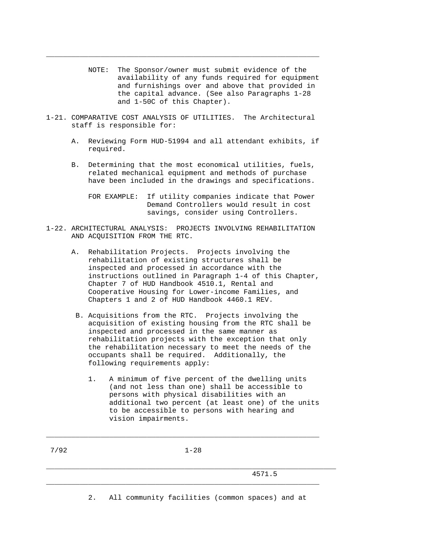- NOTE: The Sponsor/owner must submit evidence of the availability of any funds required for equipment and furnishings over and above that provided in the capital advance. (See also Paragraphs 1-28 and 1-50C of this Chapter).
- 1-21. COMPARATIVE COST ANALYSIS OF UTILITIES. The Architectural staff is responsible for:

- A. Reviewing Form HUD-51994 and all attendant exhibits, if required.
- B. Determining that the most economical utilities, fuels, related mechanical equipment and methods of purchase have been included in the drawings and specifications.

 FOR EXAMPLE: If utility companies indicate that Power Demand Controllers would result in cost savings, consider using Controllers.

- 1-22. ARCHITECTURAL ANALYSIS: PROJECTS INVOLVING REHABILITATION AND ACQUISITION FROM THE RTC.
	- A. Rehabilitation Projects. Projects involving the rehabilitation of existing structures shall be inspected and processed in accordance with the instructions outlined in Paragraph 1-4 of this Chapter, Chapter 7 of HUD Handbook 4510.1, Rental and Cooperative Housing for Lower-income Families, and Chapters 1 and 2 of HUD Handbook 4460.1 REV.
		- B. Acquisitions from the RTC. Projects involving the acquisition of existing housing from the RTC shall be inspected and processed in the same manner as rehabilitation projects with the exception that only the rehabilitation necessary to meet the needs of the occupants shall be required. Additionally, the following requirements apply:
			- 1. A minimum of five percent of the dwelling units (and not less than one) shall be accessible to persons with physical disabilities with an additional two percent (at least one) of the units to be accessible to persons with hearing and vision impairments.
- 

7/92 1-28

\_\_\_\_\_\_\_\_\_\_\_\_\_\_\_\_\_\_\_\_\_\_\_\_\_\_\_\_\_\_\_\_\_\_\_\_\_\_\_\_\_\_\_\_\_\_\_\_\_\_\_\_\_\_\_\_\_\_\_\_\_\_\_\_\_\_\_\_\_

\_\_\_\_\_\_\_\_\_\_\_\_\_\_\_\_\_\_\_\_\_\_\_\_\_\_\_\_\_\_\_\_\_\_\_\_\_\_\_\_\_\_\_\_\_\_\_\_\_\_\_\_\_\_\_\_\_\_\_\_\_\_\_\_\_

\_\_\_\_\_\_\_\_\_\_\_\_\_\_\_\_\_\_\_\_\_\_\_\_\_\_\_\_\_\_\_\_\_\_\_\_\_\_\_\_\_\_\_\_\_\_\_\_\_\_\_\_\_\_\_\_\_\_\_\_\_\_\_\_\_

4571.5

2. All community facilities (common spaces) and at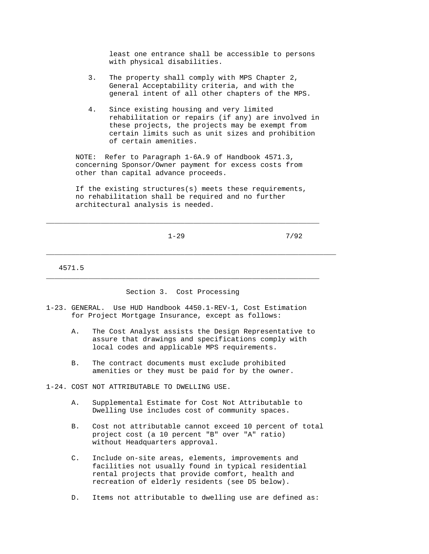least one entrance shall be accessible to persons with physical disabilities.

- 3. The property shall comply with MPS Chapter 2, General Acceptability criteria, and with the general intent of all other chapters of the MPS.
- 4. Since existing housing and very limited rehabilitation or repairs (if any) are involved in these projects, the projects may be exempt from certain limits such as unit sizes and prohibition of certain amenities.

 NOTE: Refer to Paragraph 1-6A.9 of Handbook 4571.3, concerning Sponsor/Owner payment for excess costs from other than capital advance proceeds.

 If the existing structures(s) meets these requirements, no rehabilitation shall be required and no further architectural analysis is needed.

\_\_\_\_\_\_\_\_\_\_\_\_\_\_\_\_\_\_\_\_\_\_\_\_\_\_\_\_\_\_\_\_\_\_\_\_\_\_\_\_\_\_\_\_\_\_\_\_\_\_\_\_\_\_\_\_\_\_\_\_\_\_\_\_\_\_\_\_\_

\_\_\_\_\_\_\_\_\_\_\_\_\_\_\_\_\_\_\_\_\_\_\_\_\_\_\_\_\_\_\_\_\_\_\_\_\_\_\_\_\_\_\_\_\_\_\_\_\_\_\_\_\_\_\_\_\_\_\_\_\_\_\_\_\_

1-29 7/92

4571.5

Section 3. Cost Processing

\_\_\_\_\_\_\_\_\_\_\_\_\_\_\_\_\_\_\_\_\_\_\_\_\_\_\_\_\_\_\_\_\_\_\_\_\_\_\_\_\_\_\_\_\_\_\_\_\_\_\_\_\_\_\_\_\_\_\_\_\_\_\_\_\_

- 1-23. GENERAL. Use HUD Handbook 4450.1-REV-1, Cost Estimation for Project Mortgage Insurance, except as follows:
	- A. The Cost Analyst assists the Design Representative to assure that drawings and specifications comply with local codes and applicable MPS requirements.
	- B. The contract documents must exclude prohibited amenities or they must be paid for by the owner.

1-24. COST NOT ATTRIBUTABLE TO DWELLING USE.

- A. Supplemental Estimate for Cost Not Attributable to Dwelling Use includes cost of community spaces.
- B. Cost not attributable cannot exceed 10 percent of total project cost (a 10 percent "B" over "A" ratio) without Headquarters approval.
- C. Include on-site areas, elements, improvements and facilities not usually found in typical residential rental projects that provide comfort, health and recreation of elderly residents (see D5 below).
- D. Items not attributable to dwelling use are defined as: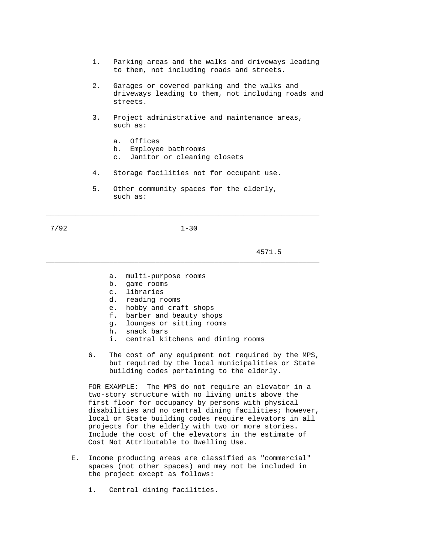- 1. Parking areas and the walks and driveways leading to them, not including roads and streets.
- 2. Garages or covered parking and the walks and driveways leading to them, not including roads and streets.
- 3. Project administrative and maintenance areas, such as:
	- a. Offices
	- b. Employee bathrooms
	- c. Janitor or cleaning closets
- 4. Storage facilities not for occupant use.
- 5. Other community spaces for the elderly, such as:

\_\_\_\_\_\_\_\_\_\_\_\_\_\_\_\_\_\_\_\_\_\_\_\_\_\_\_\_\_\_\_\_\_\_\_\_\_\_\_\_\_\_\_\_\_\_\_\_\_\_\_\_\_\_\_\_\_\_\_\_\_\_\_\_\_

7/92 1-30

\_\_\_\_\_\_\_\_\_\_\_\_\_\_\_\_\_\_\_\_\_\_\_\_\_\_\_\_\_\_\_\_\_\_\_\_\_\_\_\_\_\_\_\_\_\_\_\_\_\_\_\_\_\_\_\_\_\_\_\_\_\_\_\_\_\_\_\_\_

### 4571.5

- a. multi-purpose rooms
- b. game rooms<br>c. libraries
- libraries
- d. reading rooms
- e. hobby and craft shops
- f. barber and beauty shops
- g. lounges or sitting rooms
- h. snack bars
- i. central kitchens and dining rooms
- 6. The cost of any equipment not required by the MPS, but required by the local municipalities or State building codes pertaining to the elderly.

 FOR EXAMPLE: The MPS do not require an elevator in a two-story structure with no living units above the first floor for occupancy by persons with physical disabilities and no central dining facilities; however, local or State building codes require elevators in all projects for the elderly with two or more stories. Include the cost of the elevators in the estimate of Cost Not Attributable to Dwelling Use.

- E. Income producing areas are classified as "commercial" spaces (not other spaces) and may not be included in the project except as follows:
	- 1. Central dining facilities.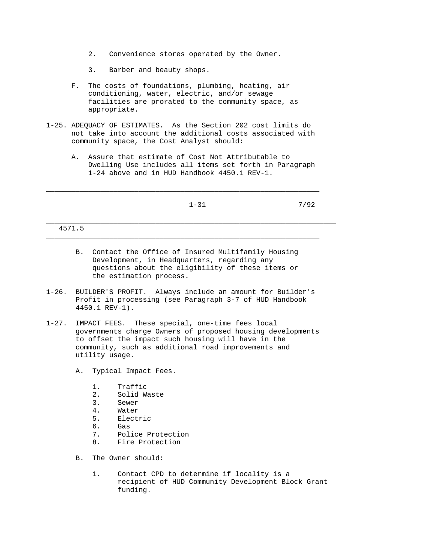- 2. Convenience stores operated by the Owner.
- 3. Barber and beauty shops.
- F. The costs of foundations, plumbing, heating, air conditioning, water, electric, and/or sewage facilities are prorated to the community space, as appropriate.
- 1-25. ADEQUACY OF ESTIMATES. As the Section 202 cost limits do not take into account the additional costs associated with community space, the Cost Analyst should:
	- A. Assure that estimate of Cost Not Attributable to Dwelling Use includes all items set forth in Paragraph 1-24 above and in HUD Handbook 4450.1 REV-1.

| $1 - 31$ | 7/92 |
|----------|------|
|----------|------|

\_\_\_\_\_\_\_\_\_\_\_\_\_\_\_\_\_\_\_\_\_\_\_\_\_\_\_\_\_\_\_\_\_\_\_\_\_\_\_\_\_\_\_\_\_\_\_\_\_\_\_\_\_\_\_\_\_\_\_\_\_\_\_\_\_\_\_\_\_

#### 4571.5

 B. Contact the Office of Insured Multifamily Housing Development, in Headquarters, regarding any questions about the eligibility of these items or the estimation process.

\_\_\_\_\_\_\_\_\_\_\_\_\_\_\_\_\_\_\_\_\_\_\_\_\_\_\_\_\_\_\_\_\_\_\_\_\_\_\_\_\_\_\_\_\_\_\_\_\_\_\_\_\_\_\_\_\_\_\_\_\_\_\_\_\_

- 1-26. BUILDER'S PROFIT. Always include an amount for Builder's Profit in processing (see Paragraph 3-7 of HUD Handbook 4450.1 REV-1).
- 1-27. IMPACT FEES. These special, one-time fees local governments charge Owners of proposed housing developments to offset the impact such housing will have in the community, such as additional road improvements and utility usage.
	- A. Typical Impact Fees.
		- 1. Traffic
		- 2. Solid Waste
		- 3. Sewer
		- 4. Water
		- 5. Electric
		- 6. Gas
		- 7. Police Protection
		- 8. Fire Protection
	- B. The Owner should:
		- 1. Contact CPD to determine if locality is a recipient of HUD Community Development Block Grant funding.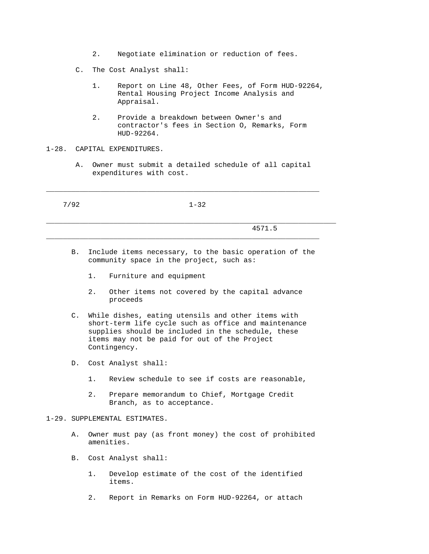- 2. Negotiate elimination or reduction of fees.
- C. The Cost Analyst shall:
	- 1. Report on Line 48, Other Fees, of Form HUD-92264, Rental Housing Project Income Analysis and Appraisal.
	- 2. Provide a breakdown between Owner's and contractor's fees in Section O, Remarks, Form HUD-92264.
- 1-28. CAPITAL EXPENDITURES.
	- A. Owner must submit a detailed schedule of all capital expenditures with cost.

\_\_\_\_\_\_\_\_\_\_\_\_\_\_\_\_\_\_\_\_\_\_\_\_\_\_\_\_\_\_\_\_\_\_\_\_\_\_\_\_\_\_\_\_\_\_\_\_\_\_\_\_\_\_\_\_\_\_\_\_\_\_\_\_\_

7/92 1-32

4571.5

 B. Include items necessary, to the basic operation of the community space in the project, such as:

\_\_\_\_\_\_\_\_\_\_\_\_\_\_\_\_\_\_\_\_\_\_\_\_\_\_\_\_\_\_\_\_\_\_\_\_\_\_\_\_\_\_\_\_\_\_\_\_\_\_\_\_\_\_\_\_\_\_\_\_\_\_\_\_\_\_\_\_\_

- 1. Furniture and equipment
- 2. Other items not covered by the capital advance proceeds
- C. While dishes, eating utensils and other items with short-term life cycle such as office and maintenance supplies should be included in the schedule, these items may not be paid for out of the Project Contingency.
- D. Cost Analyst shall:
	- 1. Review schedule to see if costs are reasonable,
	- 2. Prepare memorandum to Chief, Mortgage Credit Branch, as to acceptance.

#### 1-29. SUPPLEMENTAL ESTIMATES.

- A. Owner must pay (as front money) the cost of prohibited amenities.
- B. Cost Analyst shall:
	- 1. Develop estimate of the cost of the identified items.
	- 2. Report in Remarks on Form HUD-92264, or attach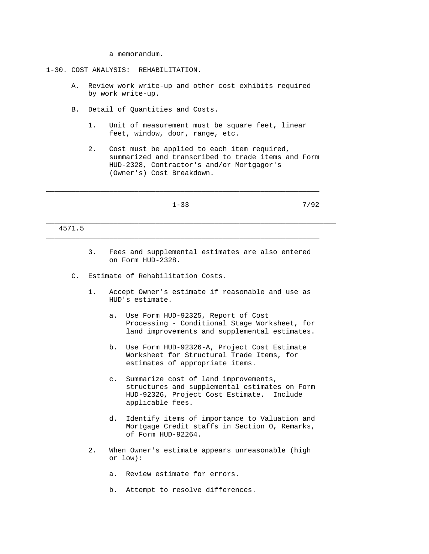a memorandum.

1-30. COST ANALYSIS: REHABILITATION.

- A. Review work write-up and other cost exhibits required by work write-up.
- B. Detail of Quantities and Costs.
	- 1. Unit of measurement must be square feet, linear feet, window, door, range, etc.
	- 2. Cost must be applied to each item required, summarized and transcribed to trade items and Form HUD-2328, Contractor's and/or Mortgagor's (Owner's) Cost Breakdown.

\_\_\_\_\_\_\_\_\_\_\_\_\_\_\_\_\_\_\_\_\_\_\_\_\_\_\_\_\_\_\_\_\_\_\_\_\_\_\_\_\_\_\_\_\_\_\_\_\_\_\_\_\_\_\_\_\_\_\_\_\_\_\_\_\_

\_\_\_\_\_\_\_\_\_\_\_\_\_\_\_\_\_\_\_\_\_\_\_\_\_\_\_\_\_\_\_\_\_\_\_\_\_\_\_\_\_\_\_\_\_\_\_\_\_\_\_\_\_\_\_\_\_\_\_\_\_\_\_\_\_

1-33 7/92

#### 4571.5

 3. Fees and supplemental estimates are also entered on Form HUD-2328.

\_\_\_\_\_\_\_\_\_\_\_\_\_\_\_\_\_\_\_\_\_\_\_\_\_\_\_\_\_\_\_\_\_\_\_\_\_\_\_\_\_\_\_\_\_\_\_\_\_\_\_\_\_\_\_\_\_\_\_\_\_\_\_\_\_\_\_\_\_

- C. Estimate of Rehabilitation Costs.
	- 1. Accept Owner's estimate if reasonable and use as HUD's estimate.
		- a. Use Form HUD-92325, Report of Cost Processing - Conditional Stage Worksheet, for land improvements and supplemental estimates.
		- b. Use Form HUD-92326-A, Project Cost Estimate Worksheet for Structural Trade Items, for estimates of appropriate items.
		- c. Summarize cost of land improvements, structures and supplemental estimates on Form HUD-92326, Project Cost Estimate. Include applicable fees.
		- d. Identify items of importance to Valuation and Mortgage Credit staffs in Section O, Remarks, of Form HUD-92264.
	- 2. When Owner's estimate appears unreasonable (high or low):
		- a. Review estimate for errors.
		- b. Attempt to resolve differences.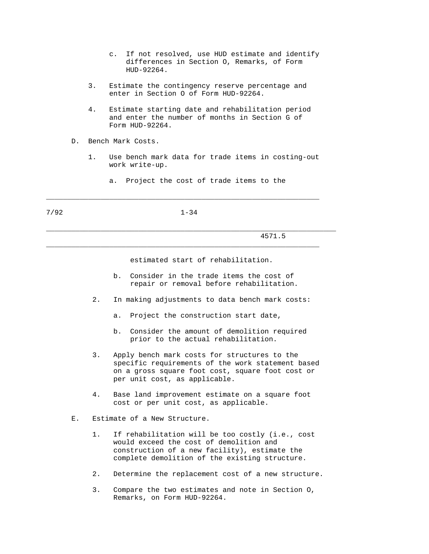- c. If not resolved, use HUD estimate and identify differences in Section O, Remarks, of Form HUD-92264.
- 3. Estimate the contingency reserve percentage and enter in Section O of Form HUD-92264.
- 4. Estimate starting date and rehabilitation period and enter the number of months in Section G of Form HUD-92264.
- D. Bench Mark Costs.
	- 1. Use bench mark data for trade items in costing-out work write-up.
		- a. Project the cost of trade items to the

7/92 1-34

\_\_\_\_\_\_\_\_\_\_\_\_\_\_\_\_\_\_\_\_\_\_\_\_\_\_\_\_\_\_\_\_\_\_\_\_\_\_\_\_\_\_\_\_\_\_\_\_\_\_\_\_\_\_\_\_\_\_\_\_\_\_\_\_\_\_\_\_\_

\_\_\_\_\_\_\_\_\_\_\_\_\_\_\_\_\_\_\_\_\_\_\_\_\_\_\_\_\_\_\_\_\_\_\_\_\_\_\_\_\_\_\_\_\_\_\_\_\_\_\_\_\_\_\_\_\_\_\_\_\_\_\_\_\_

\_\_\_\_\_\_\_\_\_\_\_\_\_\_\_\_\_\_\_\_\_\_\_\_\_\_\_\_\_\_\_\_\_\_\_\_\_\_\_\_\_\_\_\_\_\_\_\_\_\_\_\_\_\_\_\_\_\_\_\_\_\_\_\_\_

4571.5

estimated start of rehabilitation.

- b. Consider in the trade items the cost of repair or removal before rehabilitation.
- 2. In making adjustments to data bench mark costs:
	- a. Project the construction start date,
	- b. Consider the amount of demolition required prior to the actual rehabilitation.
- 3. Apply bench mark costs for structures to the specific requirements of the work statement based on a gross square foot cost, square foot cost or per unit cost, as applicable.
- 4. Base land improvement estimate on a square foot cost or per unit cost, as applicable.
- E. Estimate of a New Structure.
	- 1. If rehabilitation will be too costly (i.e., cost would exceed the cost of demolition and construction of a new facility), estimate the complete demolition of the existing structure.
	- 2. Determine the replacement cost of a new structure.
	- 3. Compare the two estimates and note in Section O, Remarks, on Form HUD-92264.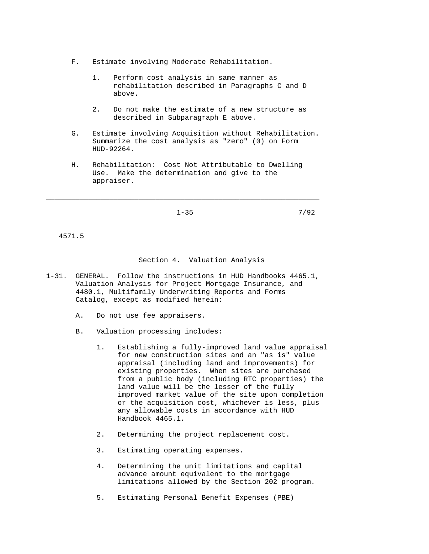- F. Estimate involving Moderate Rehabilitation.
	- 1. Perform cost analysis in same manner as rehabilitation described in Paragraphs C and D above.
	- 2. Do not make the estimate of a new structure as described in Subparagraph E above.
- G. Estimate involving Acquisition without Rehabilitation. Summarize the cost analysis as "zero" (0) on Form HUD-92264.
- H. Rehabilitation: Cost Not Attributable to Dwelling Use. Make the determination and give to the appraiser.

\_\_\_\_\_\_\_\_\_\_\_\_\_\_\_\_\_\_\_\_\_\_\_\_\_\_\_\_\_\_\_\_\_\_\_\_\_\_\_\_\_\_\_\_\_\_\_\_\_\_\_\_\_\_\_\_\_\_\_\_\_\_\_\_\_\_\_\_\_

 $\_$  ,  $\_$  ,  $\_$  ,  $\_$  ,  $\_$  ,  $\_$  ,  $\_$  ,  $\_$  ,  $\_$  ,  $\_$  ,  $\_$  ,  $\_$  ,  $\_$  ,  $\_$  ,  $\_$  ,  $\_$  ,  $\_$  ,  $\_$  ,  $\_$  ,  $\_$  ,  $\_$  ,  $\_$  ,  $\_$  ,  $\_$  ,  $\_$  ,  $\_$  ,  $\_$  ,  $\_$  ,  $\_$  ,  $\_$  ,  $\_$  ,  $\_$  ,  $\_$  ,  $\_$  ,  $\_$  ,  $\_$  ,  $\_$  ,

 $1-35$  7/92

4571.5

### Section 4. Valuation Analysis

- 1-31. GENERAL. Follow the instructions in HUD Handbooks 4465.1, Valuation Analysis for Project Mortgage Insurance, and 4480.1, Multifamily Underwriting Reports and Forms Catalog, except as modified herein:
	- A. Do not use fee appraisers.
	- B. Valuation processing includes:
		- 1. Establishing a fully-improved land value appraisal for new construction sites and an "as is" value appraisal (including land and improvements) for existing properties. When sites are purchased from a public body (including RTC properties) the land value will be the lesser of the fully improved market value of the site upon completion or the acquisition cost, whichever is less, plus any allowable costs in accordance with HUD Handbook 4465.1.
		- 2. Determining the project replacement cost.
		- 3. Estimating operating expenses.
		- 4. Determining the unit limitations and capital advance amount equivalent to the mortgage limitations allowed by the Section 202 program.
		- 5. Estimating Personal Benefit Expenses (PBE)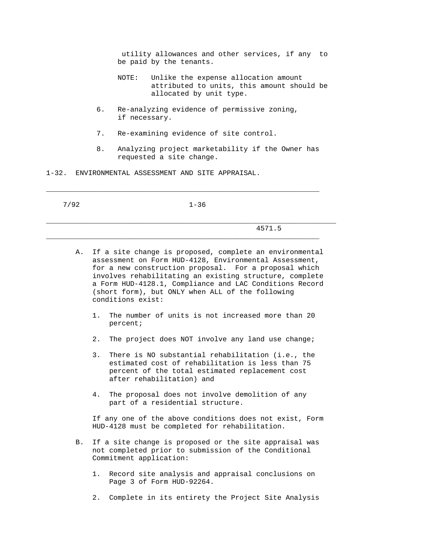utility allowances and other services, if any to be paid by the tenants.

- NOTE: Unlike the expense allocation amount attributed to units, this amount should be allocated by unit type.
- 6. Re-analyzing evidence of permissive zoning, if necessary.
- 7. Re-examining evidence of site control.
- 8. Analyzing project marketability if the Owner has requested a site change.

1-32. ENVIRONMENTAL ASSESSMENT AND SITE APPRAISAL.

| 7/92 | $1 - 36$ |        |  |
|------|----------|--------|--|
|      |          | 4571.5 |  |

 $\_$  ,  $\_$  ,  $\_$  ,  $\_$  ,  $\_$  ,  $\_$  ,  $\_$  ,  $\_$  ,  $\_$  ,  $\_$  ,  $\_$  ,  $\_$  ,  $\_$  ,  $\_$  ,  $\_$  ,  $\_$  ,  $\_$  ,  $\_$  ,  $\_$  ,  $\_$  ,  $\_$  ,  $\_$  ,  $\_$  ,  $\_$  ,  $\_$  ,  $\_$  ,  $\_$  ,  $\_$  ,  $\_$  ,  $\_$  ,  $\_$  ,  $\_$  ,  $\_$  ,  $\_$  ,  $\_$  ,  $\_$  ,  $\_$  ,

- A. If a site change is proposed, complete an environmental assessment on Form HUD-4128, Environmental Assessment, for a new construction proposal. For a proposal which involves rehabilitating an existing structure, complete a Form HUD-4128.1, Compliance and LAC Conditions Record (short form), but ONLY when ALL of the following conditions exist:
	- 1. The number of units is not increased more than 20 percent;
	- 2. The project does NOT involve any land use change;
	- 3. There is NO substantial rehabilitation (i.e., the estimated cost of rehabilitation is less than 75 percent of the total estimated replacement cost after rehabilitation) and
	- 4. The proposal does not involve demolition of any part of a residential structure.

 If any one of the above conditions does not exist, Form HUD-4128 must be completed for rehabilitation.

- B. If a site change is proposed or the site appraisal was not completed prior to submission of the Conditional Commitment application:
	- 1. Record site analysis and appraisal conclusions on Page 3 of Form HUD-92264.
	- 2. Complete in its entirety the Project Site Analysis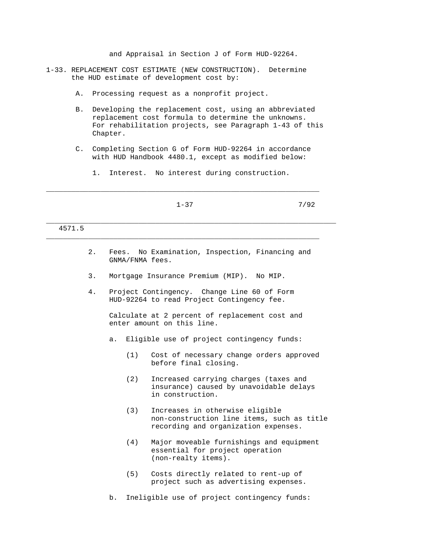and Appraisal in Section J of Form HUD-92264.

- 1-33. REPLACEMENT COST ESTIMATE (NEW CONSTRUCTION). Determine the HUD estimate of development cost by:
	- A. Processing request as a nonprofit project.
	- B. Developing the replacement cost, using an abbreviated replacement cost formula to determine the unknowns. For rehabilitation projects, see Paragraph 1-43 of this Chapter.
	- C. Completing Section G of Form HUD-92264 in accordance with HUD Handbook 4480.1, except as modified below:
		- 1. Interest. No interest during construction.

\_\_\_\_\_\_\_\_\_\_\_\_\_\_\_\_\_\_\_\_\_\_\_\_\_\_\_\_\_\_\_\_\_\_\_\_\_\_\_\_\_\_\_\_\_\_\_\_\_\_\_\_\_\_\_\_\_\_\_\_\_\_\_\_\_\_\_\_\_

| ٧ |  |
|---|--|
|   |  |

 $\_$  ,  $\_$  ,  $\_$  ,  $\_$  ,  $\_$  ,  $\_$  ,  $\_$  ,  $\_$  ,  $\_$  ,  $\_$  ,  $\_$  ,  $\_$  ,  $\_$  ,  $\_$  ,  $\_$  ,  $\_$  ,  $\_$  ,  $\_$  ,  $\_$  ,  $\_$  ,  $\_$  ,  $\_$  ,  $\_$  ,  $\_$  ,  $\_$  ,  $\_$  ,  $\_$  ,  $\_$  ,  $\_$  ,  $\_$  ,  $\_$  ,  $\_$  ,  $\_$  ,  $\_$  ,  $\_$  ,  $\_$  ,  $\_$  ,

 $\_$  ,  $\_$  ,  $\_$  ,  $\_$  ,  $\_$  ,  $\_$  ,  $\_$  ,  $\_$  ,  $\_$  ,  $\_$  ,  $\_$  ,  $\_$  ,  $\_$  ,  $\_$  ,  $\_$  ,  $\_$  ,  $\_$  ,  $\_$  ,  $\_$  ,  $\_$  ,  $\_$  ,  $\_$  ,  $\_$  ,  $\_$  ,  $\_$  ,  $\_$  ,  $\_$  ,  $\_$  ,  $\_$  ,  $\_$  ,  $\_$  ,  $\_$  ,  $\_$  ,  $\_$  ,  $\_$  ,  $\_$  ,  $\_$  ,

 $1-37$  7/92

#### 4571.5

- 2. Fees. No Examination, Inspection, Financing and GNMA/FNMA fees.
- 3. Mortgage Insurance Premium (MIP). No MIP.
- 4. Project Contingency. Change Line 60 of Form HUD-92264 to read Project Contingency fee.

 Calculate at 2 percent of replacement cost and enter amount on this line.

- a. Eligible use of project contingency funds:
	- (1) Cost of necessary change orders approved before final closing.
	- (2) Increased carrying charges (taxes and insurance) caused by unavoidable delays in construction.
	- (3) Increases in otherwise eligible non-construction line items, such as title recording and organization expenses.
	- (4) Major moveable furnishings and equipment essential for project operation (non-realty items).
	- (5) Costs directly related to rent-up of project such as advertising expenses.
- b. Ineligible use of project contingency funds: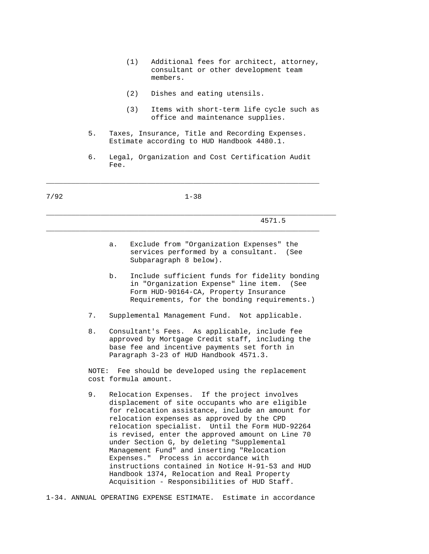- (1) Additional fees for architect, attorney, consultant or other development team members.
- (2) Dishes and eating utensils.
- (3) Items with short-term life cycle such as office and maintenance supplies.
- 5. Taxes, Insurance, Title and Recording Expenses. Estimate according to HUD Handbook 4480.1.
- 6. Legal, Organization and Cost Certification Audit Fee.

7/92 1-38

\_\_\_\_\_\_\_\_\_\_\_\_\_\_\_\_\_\_\_\_\_\_\_\_\_\_\_\_\_\_\_\_\_\_\_\_\_\_\_\_\_\_\_\_\_\_\_\_\_\_\_\_\_\_\_\_\_\_\_\_\_\_\_\_\_\_\_\_\_

 $\_$  ,  $\_$  ,  $\_$  ,  $\_$  ,  $\_$  ,  $\_$  ,  $\_$  ,  $\_$  ,  $\_$  ,  $\_$  ,  $\_$  ,  $\_$  ,  $\_$  ,  $\_$  ,  $\_$  ,  $\_$  ,  $\_$  ,  $\_$  ,  $\_$  ,  $\_$  ,  $\_$  ,  $\_$  ,  $\_$  ,  $\_$  ,  $\_$  ,  $\_$  ,  $\_$  ,  $\_$  ,  $\_$  ,  $\_$  ,  $\_$  ,  $\_$  ,  $\_$  ,  $\_$  ,  $\_$  ,  $\_$  ,  $\_$  ,

 $\_$  ,  $\_$  ,  $\_$  ,  $\_$  ,  $\_$  ,  $\_$  ,  $\_$  ,  $\_$  ,  $\_$  ,  $\_$  ,  $\_$  ,  $\_$  ,  $\_$  ,  $\_$  ,  $\_$  ,  $\_$  ,  $\_$  ,  $\_$  ,  $\_$  ,  $\_$  ,  $\_$  ,  $\_$  ,  $\_$  ,  $\_$  ,  $\_$  ,  $\_$  ,  $\_$  ,  $\_$  ,  $\_$  ,  $\_$  ,  $\_$  ,  $\_$  ,  $\_$  ,  $\_$  ,  $\_$  ,  $\_$  ,  $\_$  ,

4571.5

- a. Exclude from "Organization Expenses" the services performed by a consultant. (See Subparagraph 8 below).
- b. Include sufficient funds for fidelity bonding in "Organization Expense" line item. (See Form HUD-90164-CA, Property Insurance Requirements, for the bonding requirements.)
- 7. Supplemental Management Fund. Not applicable.
- 8. Consultant's Fees. As applicable, include fee approved by Mortgage Credit staff, including the base fee and incentive payments set forth in Paragraph 3-23 of HUD Handbook 4571.3.

 NOTE: Fee should be developed using the replacement cost formula amount.

 9. Relocation Expenses. If the project involves displacement of site occupants who are eligible for relocation assistance, include an amount for relocation expenses as approved by the CPD relocation specialist. Until the Form HUD-92264 is revised, enter the approved amount on Line 70 under Section G, by deleting "Supplemental Management Fund" and inserting "Relocation Expenses." Process in accordance with instructions contained in Notice H-91-53 and HUD Handbook 1374, Relocation and Real Property Acquisition - Responsibilities of HUD Staff.

1-34. ANNUAL OPERATING EXPENSE ESTIMATE. Estimate in accordance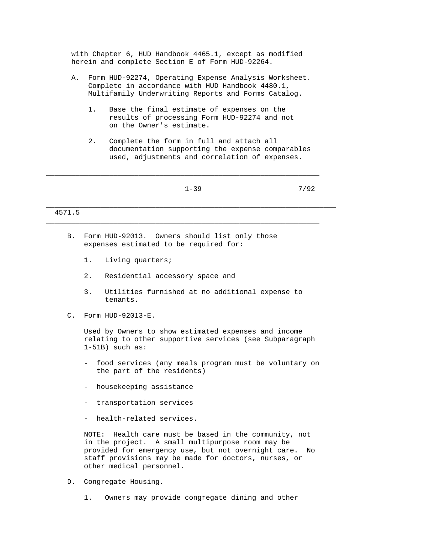with Chapter 6, HUD Handbook 4465.1, except as modified herein and complete Section E of Form HUD-92264.

- A. Form HUD-92274, Operating Expense Analysis Worksheet. Complete in accordance with HUD Handbook 4480.1, Multifamily Underwriting Reports and Forms Catalog.
	- 1. Base the final estimate of expenses on the results of processing Form HUD-92274 and not on the Owner's estimate.

\_\_\_\_\_\_\_\_\_\_\_\_\_\_\_\_\_\_\_\_\_\_\_\_\_\_\_\_\_\_\_\_\_\_\_\_\_\_\_\_\_\_\_\_\_\_\_\_\_\_\_\_\_\_\_\_\_\_\_\_\_\_\_\_\_

 $\_$  ,  $\_$  ,  $\_$  ,  $\_$  ,  $\_$  ,  $\_$  ,  $\_$  ,  $\_$  ,  $\_$  ,  $\_$  ,  $\_$  ,  $\_$  ,  $\_$  ,  $\_$  ,  $\_$  ,  $\_$  ,  $\_$  ,  $\_$  ,  $\_$  ,  $\_$  ,  $\_$  ,  $\_$  ,  $\_$  ,  $\_$  ,  $\_$  ,  $\_$  ,  $\_$  ,  $\_$  ,  $\_$  ,  $\_$  ,  $\_$  ,  $\_$  ,  $\_$  ,  $\_$  ,  $\_$  ,  $\_$  ,  $\_$  ,

\_\_\_\_\_\_\_\_\_\_\_\_\_\_\_\_\_\_\_\_\_\_\_\_\_\_\_\_\_\_\_\_\_\_\_\_\_\_\_\_\_\_\_\_\_\_\_\_\_\_\_\_\_\_\_\_\_\_\_\_\_\_\_\_\_\_\_\_\_

 2. Complete the form in full and attach all documentation supporting the expense comparables used, adjustments and correlation of expenses.

## 4571.5

- B. Form HUD-92013. Owners should list only those expenses estimated to be required for:
	- 1. Living quarters;
	- 2. Residential accessory space and
	- 3. Utilities furnished at no additional expense to tenants.
- C. Form HUD-92013-E.

 Used by Owners to show estimated expenses and income relating to other supportive services (see Subparagraph 1-51B) such as:

- food services (any meals program must be voluntary on the part of the residents)
- housekeeping assistance
- transportation services
- health-related services.

 NOTE: Health care must be based in the community, not in the project. A small multipurpose room may be provided for emergency use, but not overnight care. No staff provisions may be made for doctors, nurses, or other medical personnel.

- D. Congregate Housing.
	- 1. Owners may provide congregate dining and other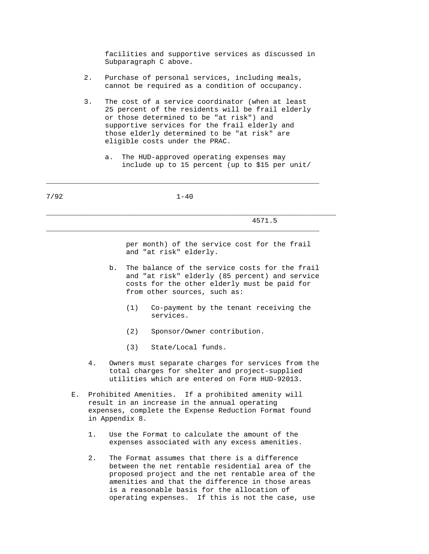facilities and supportive services as discussed in Subparagraph C above.

- 2. Purchase of personal services, including meals, cannot be required as a condition of occupancy.
- 3. The cost of a service coordinator (when at least 25 percent of the residents will be frail elderly or those determined to be "at risk") and supportive services for the frail elderly and those elderly determined to be "at risk" are eligible costs under the PRAC.
	- a. The HUD-approved operating expenses may include up to 15 percent (up to \$15 per unit/

7/92 1-40

 $\_$  ,  $\_$  ,  $\_$  ,  $\_$  ,  $\_$  ,  $\_$  ,  $\_$  ,  $\_$  ,  $\_$  ,  $\_$  ,  $\_$  ,  $\_$  ,  $\_$  ,  $\_$  ,  $\_$  ,  $\_$  ,  $\_$  ,  $\_$  ,  $\_$  ,  $\_$  ,  $\_$  ,  $\_$  ,  $\_$  ,  $\_$  ,  $\_$  ,  $\_$  ,  $\_$  ,  $\_$  ,  $\_$  ,  $\_$  ,  $\_$  ,  $\_$  ,  $\_$  ,  $\_$  ,  $\_$  ,  $\_$  ,  $\_$  ,

\_\_\_\_\_\_\_\_\_\_\_\_\_\_\_\_\_\_\_\_\_\_\_\_\_\_\_\_\_\_\_\_\_\_\_\_\_\_\_\_\_\_\_\_\_\_\_\_\_\_\_\_\_\_\_\_\_\_\_\_\_\_\_\_\_\_\_\_\_

 $\_$  ,  $\_$  ,  $\_$  ,  $\_$  ,  $\_$  ,  $\_$  ,  $\_$  ,  $\_$  ,  $\_$  ,  $\_$  ,  $\_$  ,  $\_$  ,  $\_$  ,  $\_$  ,  $\_$  ,  $\_$  ,  $\_$  ,  $\_$  ,  $\_$  ,  $\_$  ,  $\_$  ,  $\_$  ,  $\_$  ,  $\_$  ,  $\_$  ,  $\_$  ,  $\_$  ,  $\_$  ,  $\_$  ,  $\_$  ,  $\_$  ,  $\_$  ,  $\_$  ,  $\_$  ,  $\_$  ,  $\_$  ,  $\_$  ,

4571.5

 per month) of the service cost for the frail and "at risk" elderly.

- b. The balance of the service costs for the frail and "at risk" elderly (85 percent) and service costs for the other elderly must be paid for from other sources, such as:
	- (1) Co-payment by the tenant receiving the services.
	- (2) Sponsor/Owner contribution.
	- (3) State/Local funds.
- 4. Owners must separate charges for services from the total charges for shelter and project-supplied utilities which are entered on Form HUD-92013.
- E. Prohibited Amenities. If a prohibited amenity will result in an increase in the annual operating expenses, complete the Expense Reduction Format found in Appendix 8.
	- 1. Use the Format to calculate the amount of the expenses associated with any excess amenities.
	- 2. The Format assumes that there is a difference between the net rentable residential area of the proposed project and the net rentable area of the amenities and that the difference in those areas is a reasonable basis for the allocation of operating expenses. If this is not the case, use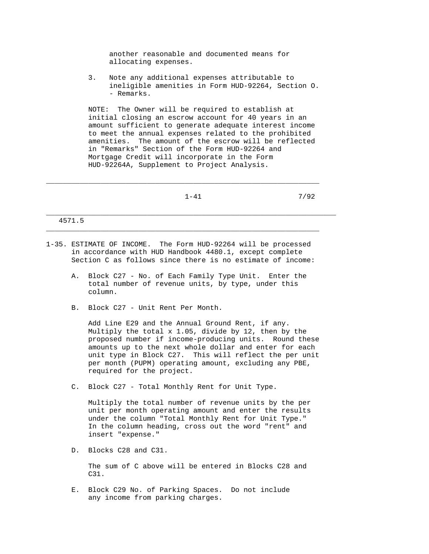another reasonable and documented means for allocating expenses.

 3. Note any additional expenses attributable to ineligible amenities in Form HUD-92264, Section O. - Remarks.

 NOTE: The Owner will be required to establish at initial closing an escrow account for 40 years in an amount sufficient to generate adequate interest income to meet the annual expenses related to the prohibited amenities. The amount of the escrow will be reflected in "Remarks" Section of the Form HUD-92264 and Mortgage Credit will incorporate in the Form HUD-92264A, Supplement to Project Analysis.

 $1-41$  7/92

\_\_\_\_\_\_\_\_\_\_\_\_\_\_\_\_\_\_\_\_\_\_\_\_\_\_\_\_\_\_\_\_\_\_\_\_\_\_\_\_\_\_\_\_\_\_\_\_\_\_\_\_\_\_\_\_\_\_\_\_\_\_\_\_\_\_\_\_\_

 $\_$  ,  $\_$  ,  $\_$  ,  $\_$  ,  $\_$  ,  $\_$  ,  $\_$  ,  $\_$  ,  $\_$  ,  $\_$  ,  $\_$  ,  $\_$  ,  $\_$  ,  $\_$  ,  $\_$  ,  $\_$  ,  $\_$  ,  $\_$  ,  $\_$  ,  $\_$  ,  $\_$  ,  $\_$  ,  $\_$  ,  $\_$  ,  $\_$  ,  $\_$  ,  $\_$  ,  $\_$  ,  $\_$  ,  $\_$  ,  $\_$  ,  $\_$  ,  $\_$  ,  $\_$  ,  $\_$  ,  $\_$  ,  $\_$  ,

4571.5

1-35. ESTIMATE OF INCOME. The Form HUD-92264 will be processed in accordance with HUD Handbook 4480.1, except complete Section C as follows since there is no estimate of income:

 $\_$  ,  $\_$  ,  $\_$  ,  $\_$  ,  $\_$  ,  $\_$  ,  $\_$  ,  $\_$  ,  $\_$  ,  $\_$  ,  $\_$  ,  $\_$  ,  $\_$  ,  $\_$  ,  $\_$  ,  $\_$  ,  $\_$  ,  $\_$  ,  $\_$  ,  $\_$  ,  $\_$  ,  $\_$  ,  $\_$  ,  $\_$  ,  $\_$  ,  $\_$  ,  $\_$  ,  $\_$  ,  $\_$  ,  $\_$  ,  $\_$  ,  $\_$  ,  $\_$  ,  $\_$  ,  $\_$  ,  $\_$  ,  $\_$  ,

- A. Block C27 No. of Each Family Type Unit. Enter the total number of revenue units, by type, under this column.
- B. Block C27 Unit Rent Per Month.

 Add Line E29 and the Annual Ground Rent, if any. Multiply the total x 1.05, divide by 12, then by the proposed number if income-producing units. Round these amounts up to the next whole dollar and enter for each unit type in Block C27. This will reflect the per unit per month (PUPM) operating amount, excluding any PBE, required for the project.

C. Block C27 - Total Monthly Rent for Unit Type.

 Multiply the total number of revenue units by the per unit per month operating amount and enter the results under the column "Total Monthly Rent for Unit Type." In the column heading, cross out the word "rent" and insert "expense."

D. Blocks C28 and C31.

 The sum of C above will be entered in Blocks C28 and C31.

 E. Block C29 No. of Parking Spaces. Do not include any income from parking charges.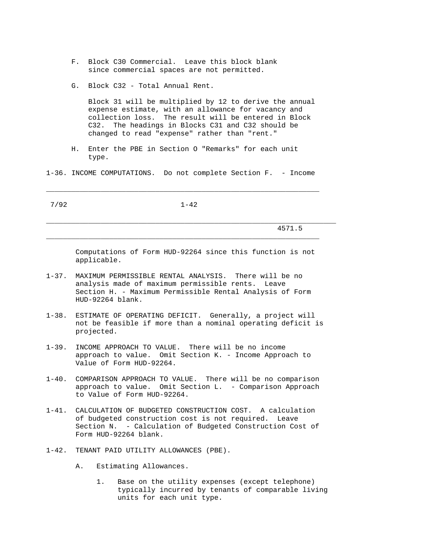- F. Block C30 Commercial. Leave this block blank since commercial spaces are not permitted.
- G. Block C32 Total Annual Rent.

 Block 31 will be multiplied by 12 to derive the annual expense estimate, with an allowance for vacancy and collection loss. The result will be entered in Block C32. The headings in Blocks C31 and C32 should be changed to read "expense" rather than "rent."

- H. Enter the PBE in Section O "Remarks" for each unit type.
- 1-36. INCOME COMPUTATIONS. Do not complete Section F. Income

 $\_$  ,  $\_$  ,  $\_$  ,  $\_$  ,  $\_$  ,  $\_$  ,  $\_$  ,  $\_$  ,  $\_$  ,  $\_$  ,  $\_$  ,  $\_$  ,  $\_$  ,  $\_$  ,  $\_$  ,  $\_$  ,  $\_$  ,  $\_$  ,  $\_$  ,  $\_$  ,  $\_$  ,  $\_$  ,  $\_$  ,  $\_$  ,  $\_$  ,  $\_$  ,  $\_$  ,  $\_$  ,  $\_$  ,  $\_$  ,  $\_$  ,  $\_$  ,  $\_$  ,  $\_$  ,  $\_$  ,  $\_$  ,  $\_$  ,

 $\_$  ,  $\_$  ,  $\_$  ,  $\_$  ,  $\_$  ,  $\_$  ,  $\_$  ,  $\_$  ,  $\_$  ,  $\_$  ,  $\_$  ,  $\_$  ,  $\_$  ,  $\_$  ,  $\_$  ,  $\_$  ,  $\_$  ,  $\_$  ,  $\_$  ,  $\_$  ,  $\_$  ,  $\_$  ,  $\_$  ,  $\_$  ,  $\_$  ,  $\_$  ,  $\_$  ,  $\_$  ,  $\_$  ,  $\_$  ,  $\_$  ,  $\_$  ,  $\_$  ,  $\_$  ,  $\_$  ,  $\_$  ,  $\_$  ,

7/92 1-42

\_\_\_\_\_\_\_\_\_\_\_\_\_\_\_\_\_\_\_\_\_\_\_\_\_\_\_\_\_\_\_\_\_\_\_\_\_\_\_\_\_\_\_\_\_\_\_\_\_\_\_\_\_\_\_\_\_\_\_\_\_\_\_\_\_\_\_\_\_

4571.5

 Computations of Form HUD-92264 since this function is not applicable.

- 1-37. MAXIMUM PERMISSIBLE RENTAL ANALYSIS. There will be no analysis made of maximum permissible rents. Leave Section H. - Maximum Permissible Rental Analysis of Form HUD-92264 blank.
- 1-38. ESTIMATE OF OPERATING DEFICIT. Generally, a project will not be feasible if more than a nominal operating deficit is projected.
- 1-39. INCOME APPROACH TO VALUE. There will be no income approach to value. Omit Section K. - Income Approach to Value of Form HUD-92264.
- 1-40. COMPARISON APPROACH TO VALUE. There will be no comparison approach to value. Omit Section L. - Comparison Approach to Value of Form HUD-92264.
- 1-41. CALCULATION OF BUDGETED CONSTRUCTION COST. A calculation of budgeted construction cost is not required. Leave Section N. - Calculation of Budgeted Construction Cost of Form HUD-92264 blank.
- 1-42. TENANT PAID UTILITY ALLOWANCES (PBE).
	- A. Estimating Allowances.
		- 1. Base on the utility expenses (except telephone) typically incurred by tenants of comparable living units for each unit type.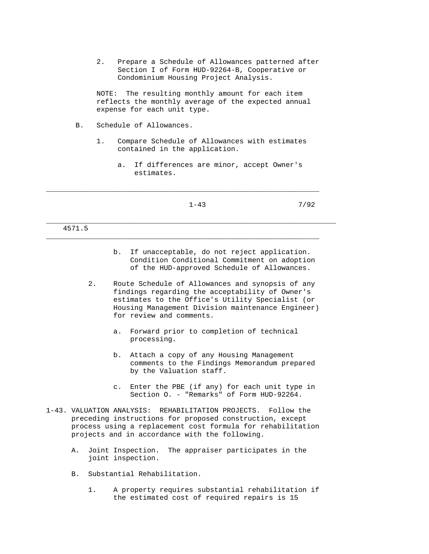2. Prepare a Schedule of Allowances patterned after Section I of Form HUD-92264-B, Cooperative or Condominium Housing Project Analysis.

 NOTE: The resulting monthly amount for each item reflects the monthly average of the expected annual expense for each unit type.

- B. Schedule of Allowances.
	- 1. Compare Schedule of Allowances with estimates contained in the application.
		- a. If differences are minor, accept Owner's estimates.

\_\_\_\_\_\_\_\_\_\_\_\_\_\_\_\_\_\_\_\_\_\_\_\_\_\_\_\_\_\_\_\_\_\_\_\_\_\_\_\_\_\_\_\_\_\_\_\_\_\_\_\_\_\_\_\_\_\_\_\_\_\_\_\_\_\_\_\_\_

 $\_$  ,  $\_$  ,  $\_$  ,  $\_$  ,  $\_$  ,  $\_$  ,  $\_$  ,  $\_$  ,  $\_$  ,  $\_$  ,  $\_$  ,  $\_$  ,  $\_$  ,  $\_$  ,  $\_$  ,  $\_$  ,  $\_$  ,  $\_$  ,  $\_$  ,  $\_$  ,  $\_$  ,  $\_$  ,  $\_$  ,  $\_$  ,  $\_$  ,  $\_$  ,  $\_$  ,  $\_$  ,  $\_$  ,  $\_$  ,  $\_$  ,  $\_$  ,  $\_$  ,  $\_$  ,  $\_$  ,  $\_$  ,  $\_$  ,

 $\_$  ,  $\_$  ,  $\_$  ,  $\_$  ,  $\_$  ,  $\_$  ,  $\_$  ,  $\_$  ,  $\_$  ,  $\_$  ,  $\_$  ,  $\_$  ,  $\_$  ,  $\_$  ,  $\_$  ,  $\_$  ,  $\_$  ,  $\_$  ,  $\_$  ,  $\_$  ,  $\_$  ,  $\_$  ,  $\_$  ,  $\_$  ,  $\_$  ,  $\_$  ,  $\_$  ,  $\_$  ,  $\_$  ,  $\_$  ,  $\_$  ,  $\_$  ,  $\_$  ,  $\_$  ,  $\_$  ,  $\_$  ,  $\_$  ,

 $1-43$   $7/92$ 

#### 4571.5

- b. If unacceptable, do not reject application. Condition Conditional Commitment on adoption of the HUD-approved Schedule of Allowances.
- 2. Route Schedule of Allowances and synopsis of any findings regarding the acceptability of Owner's estimates to the Office's Utility Specialist (or Housing Management Division maintenance Engineer) for review and comments.
	- a. Forward prior to completion of technical processing.
	- b. Attach a copy of any Housing Management comments to the Findings Memorandum prepared by the Valuation staff.
	- c. Enter the PBE (if any) for each unit type in Section O. - "Remarks" of Form HUD-92264.
- 1-43. VALUATION ANALYSIS: REHABILITATION PROJECTS. Follow the preceding instructions for proposed construction, except process using a replacement cost formula for rehabilitation projects and in accordance with the following.
	- A. Joint Inspection. The appraiser participates in the joint inspection.
	- B. Substantial Rehabilitation.
		- 1. A property requires substantial rehabilitation if the estimated cost of required repairs is 15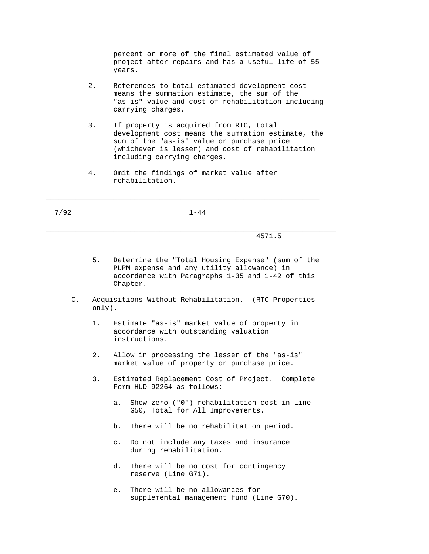percent or more of the final estimated value of project after repairs and has a useful life of 55 years.

- 2. References to total estimated development cost means the summation estimate, the sum of the "as-is" value and cost of rehabilitation including carrying charges.
- 3. If property is acquired from RTC, total development cost means the summation estimate, the sum of the "as-is" value or purchase price (whichever is lesser) and cost of rehabilitation including carrying charges.
- 4. Omit the findings of market value after rehabilitation.

 $\_$  ,  $\_$  ,  $\_$  ,  $\_$  ,  $\_$  ,  $\_$  ,  $\_$  ,  $\_$  ,  $\_$  ,  $\_$  ,  $\_$  ,  $\_$  ,  $\_$  ,  $\_$  ,  $\_$  ,  $\_$  ,  $\_$  ,  $\_$  ,  $\_$  ,  $\_$  ,  $\_$  ,  $\_$  ,  $\_$  ,  $\_$  ,  $\_$  ,  $\_$  ,  $\_$  ,  $\_$  ,  $\_$  ,  $\_$  ,  $\_$  ,  $\_$  ,  $\_$  ,  $\_$  ,  $\_$  ,  $\_$  ,  $\_$  ,

\_\_\_\_\_\_\_\_\_\_\_\_\_\_\_\_\_\_\_\_\_\_\_\_\_\_\_\_\_\_\_\_\_\_\_\_\_\_\_\_\_\_\_\_\_\_\_\_\_\_\_\_\_\_\_\_\_\_\_\_\_\_\_\_\_

7/92 1-44

\_\_\_\_\_\_\_\_\_\_\_\_\_\_\_\_\_\_\_\_\_\_\_\_\_\_\_\_\_\_\_\_\_\_\_\_\_\_\_\_\_\_\_\_\_\_\_\_\_\_\_\_\_\_\_\_\_\_\_\_\_\_\_\_\_\_\_\_\_

4571.5

- 5. Determine the "Total Housing Expense" (sum of the PUPM expense and any utility allowance) in accordance with Paragraphs 1-35 and 1-42 of this Chapter.
- C. Acquisitions Without Rehabilitation. (RTC Properties only).
	- 1. Estimate "as-is" market value of property in accordance with outstanding valuation instructions.
	- 2. Allow in processing the lesser of the "as-is" market value of property or purchase price.
	- 3. Estimated Replacement Cost of Project. Complete Form HUD-92264 as follows:
		- a. Show zero ("0") rehabilitation cost in Line G50, Total for All Improvements.
		- b. There will be no rehabilitation period.
		- c. Do not include any taxes and insurance during rehabilitation.
		- d. There will be no cost for contingency reserve (Line G71).
		- e. There will be no allowances for supplemental management fund (Line G70).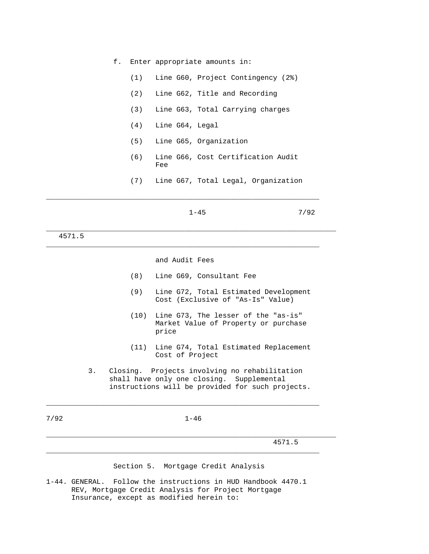|  |  | Enter appropriate amounts in: |  |  |
|--|--|-------------------------------|--|--|
|--|--|-------------------------------|--|--|

- (1) Line G60, Project Contingency (2%)
- (2) Line G62, Title and Recording
- (3) Line G63, Total Carrying charges
- (4) Line G64, Legal
- (5) Line G65, Organization
- (6) Line G66, Cost Certification Audit **Free** *Fee* 
	- (7) Line G67, Total Legal, Organization
- $1-45$  7/92

4571.5

and Audit Fees

\_\_\_\_\_\_\_\_\_\_\_\_\_\_\_\_\_\_\_\_\_\_\_\_\_\_\_\_\_\_\_\_\_\_\_\_\_\_\_\_\_\_\_\_\_\_\_\_\_\_\_\_\_\_\_\_\_\_\_\_\_\_\_\_\_

 $\_$  ,  $\_$  ,  $\_$  ,  $\_$  ,  $\_$  ,  $\_$  ,  $\_$  ,  $\_$  ,  $\_$  ,  $\_$  ,  $\_$  ,  $\_$  ,  $\_$  ,  $\_$  ,  $\_$  ,  $\_$  ,  $\_$  ,  $\_$  ,  $\_$  ,  $\_$  ,  $\_$  ,  $\_$  ,  $\_$  ,  $\_$  ,  $\_$  ,  $\_$  ,  $\_$  ,  $\_$  ,  $\_$  ,  $\_$  ,  $\_$  ,  $\_$  ,  $\_$  ,  $\_$  ,  $\_$  ,  $\_$  ,  $\_$  ,

- (8) Line G69, Consultant Fee
- (9) Line G72, Total Estimated Development Cost (Exclusive of "As-Is" Value)
- (10) Line G73, The lesser of the "as-is" Market Value of Property or purchase price
- (11) Line G74, Total Estimated Replacement Cost of Project
- 3. Closing. Projects involving no rehabilitation shall have only one closing. Supplemental instructions will be provided for such projects.

| $1 - 46$ |  |
|----------|--|
|          |  |

\_\_\_\_\_\_\_\_\_\_\_\_\_\_\_\_\_\_\_\_\_\_\_\_\_\_\_\_\_\_\_\_\_\_\_\_\_\_\_\_\_\_\_\_\_\_\_\_\_\_\_\_\_\_\_\_\_\_\_\_\_\_\_\_\_\_\_\_\_ 4571.5

Section 5. Mortgage Credit Analysis

 $\_$  ,  $\_$  ,  $\_$  ,  $\_$  ,  $\_$  ,  $\_$  ,  $\_$  ,  $\_$  ,  $\_$  ,  $\_$  ,  $\_$  ,  $\_$  ,  $\_$  ,  $\_$  ,  $\_$  ,  $\_$  ,  $\_$  ,  $\_$  ,  $\_$  ,  $\_$  ,  $\_$  ,  $\_$  ,  $\_$  ,  $\_$  ,  $\_$  ,  $\_$  ,  $\_$  ,  $\_$  ,  $\_$  ,  $\_$  ,  $\_$  ,  $\_$  ,  $\_$  ,  $\_$  ,  $\_$  ,  $\_$  ,  $\_$  ,

\_\_\_\_\_\_\_\_\_\_\_\_\_\_\_\_\_\_\_\_\_\_\_\_\_\_\_\_\_\_\_\_\_\_\_\_\_\_\_\_\_\_\_\_\_\_\_\_\_\_\_\_\_\_\_\_\_\_\_\_\_\_\_\_\_

1-44. GENERAL. Follow the instructions in HUD Handbook 4470.1 REV, Mortgage Credit Analysis for Project Mortgage Insurance, except as modified herein to: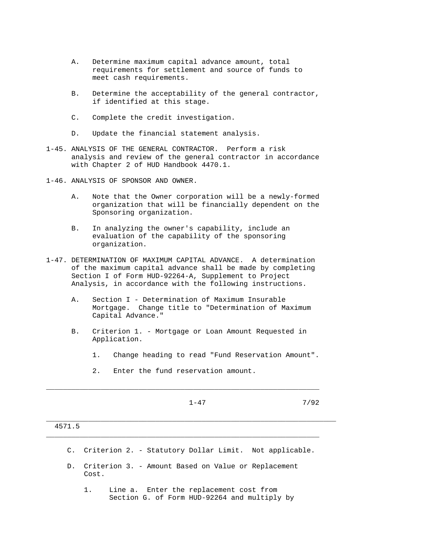- A. Determine maximum capital advance amount, total requirements for settlement and source of funds to meet cash requirements.
- B. Determine the acceptability of the general contractor, if identified at this stage.
- C. Complete the credit investigation.
- D. Update the financial statement analysis.
- 1-45. ANALYSIS OF THE GENERAL CONTRACTOR. Perform a risk analysis and review of the general contractor in accordance with Chapter 2 of HUD Handbook 4470.1.
- 1-46. ANALYSIS OF SPONSOR AND OWNER.
	- A. Note that the Owner corporation will be a newly-formed organization that will be financially dependent on the Sponsoring organization.
	- B. In analyzing the owner's capability, include an evaluation of the capability of the sponsoring organization.
- 1-47. DETERMINATION OF MAXIMUM CAPITAL ADVANCE. A determination of the maximum capital advance shall be made by completing Section I of Form HUD-92264-A, Supplement to Project Analysis, in accordance with the following instructions.
	- A. Section I Determination of Maximum Insurable Mortgage. Change title to "Determination of Maximum Capital Advance."
	- B. Criterion 1. Mortgage or Loan Amount Requested in Application.
		- 1. Change heading to read "Fund Reservation Amount".
		- 2. Enter the fund reservation amount.

 $\_$  ,  $\_$  ,  $\_$  ,  $\_$  ,  $\_$  ,  $\_$  ,  $\_$  ,  $\_$  ,  $\_$  ,  $\_$  ,  $\_$  ,  $\_$  ,  $\_$  ,  $\_$  ,  $\_$  ,  $\_$  ,  $\_$  ,  $\_$  ,  $\_$  ,  $\_$  ,  $\_$  ,  $\_$  ,  $\_$  ,  $\_$  ,  $\_$  ,  $\_$  ,  $\_$  ,  $\_$  ,  $\_$  ,  $\_$  ,  $\_$  ,  $\_$  ,  $\_$  ,  $\_$  ,  $\_$  ,  $\_$  ,  $\_$  ,

 $1-47$  7/92

## 4571.5

C. Criterion 2. - Statutory Dollar Limit. Not applicable.

\_\_\_\_\_\_\_\_\_\_\_\_\_\_\_\_\_\_\_\_\_\_\_\_\_\_\_\_\_\_\_\_\_\_\_\_\_\_\_\_\_\_\_\_\_\_\_\_\_\_\_\_\_\_\_\_\_\_\_\_\_\_\_\_\_\_\_\_\_

 D. Criterion 3. - Amount Based on Value or Replacement Cost.

\_\_\_\_\_\_\_\_\_\_\_\_\_\_\_\_\_\_\_\_\_\_\_\_\_\_\_\_\_\_\_\_\_\_\_\_\_\_\_\_\_\_\_\_\_\_\_\_\_\_\_\_\_\_\_\_\_\_\_\_\_\_\_\_\_

 1. Line a. Enter the replacement cost from Section G. of Form HUD-92264 and multiply by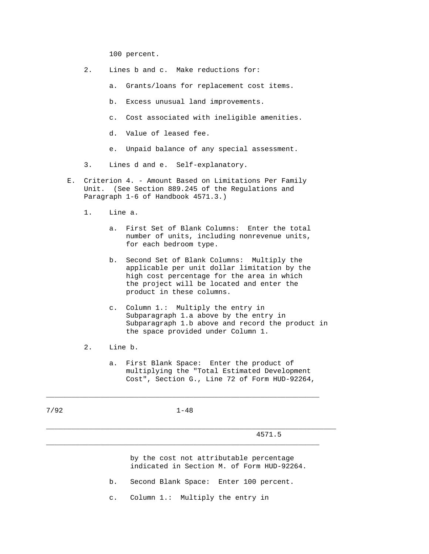100 percent.

- 2. Lines b and c. Make reductions for:
	- a. Grants/loans for replacement cost items.
	- b. Excess unusual land improvements.
	- c. Cost associated with ineligible amenities.
	- d. Value of leased fee.
	- e. Unpaid balance of any special assessment.
- 3. Lines d and e. Self-explanatory.
- E. Criterion 4. Amount Based on Limitations Per Family Unit. (See Section 889.245 of the Regulations and Paragraph 1-6 of Handbook 4571.3.)
	- 1. Line a.
		- a. First Set of Blank Columns: Enter the total number of units, including nonrevenue units, for each bedroom type.
		- b. Second Set of Blank Columns: Multiply the applicable per unit dollar limitation by the high cost percentage for the area in which the project will be located and enter the product in these columns.
		- c. Column 1.: Multiply the entry in Subparagraph 1.a above by the entry in Subparagraph 1.b above and record the product in the space provided under Column 1.
	- 2. Line b.
		- a. First Blank Space: Enter the product of multiplying the "Total Estimated Development Cost", Section G., Line 72 of Form HUD-92264,

7/92 1-48

\_\_\_\_\_\_\_\_\_\_\_\_\_\_\_\_\_\_\_\_\_\_\_\_\_\_\_\_\_\_\_\_\_\_\_\_\_\_\_\_\_\_\_\_\_\_\_\_\_\_\_\_\_\_\_\_\_\_\_\_\_\_\_\_\_\_\_\_\_

\_\_\_\_\_\_\_\_\_\_\_\_\_\_\_\_\_\_\_\_\_\_\_\_\_\_\_\_\_\_\_\_\_\_\_\_\_\_\_\_\_\_\_\_\_\_\_\_\_\_\_\_\_\_\_\_\_\_\_\_\_\_\_\_\_

\_\_\_\_\_\_\_\_\_\_\_\_\_\_\_\_\_\_\_\_\_\_\_\_\_\_\_\_\_\_\_\_\_\_\_\_\_\_\_\_\_\_\_\_\_\_\_\_\_\_\_\_\_\_\_\_\_\_\_\_\_\_\_\_\_

4571.5

 by the cost not attributable percentage indicated in Section M. of Form HUD-92264.

b. Second Blank Space: Enter 100 percent.

c. Column 1.: Multiply the entry in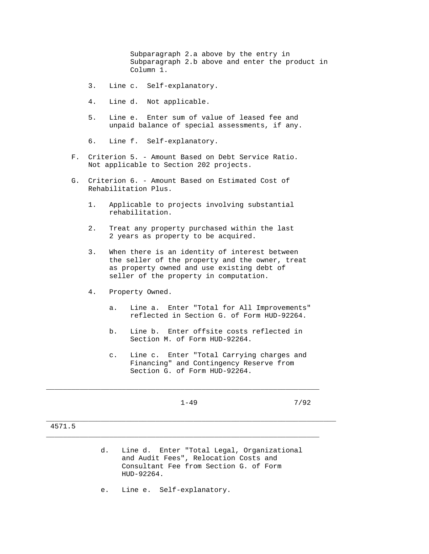Subparagraph 2.a above by the entry in Subparagraph 2.b above and enter the product in Column 1.

- 3. Line c. Self-explanatory.
- 4. Line d. Not applicable.
- 5. Line e. Enter sum of value of leased fee and unpaid balance of special assessments, if any.
- 6. Line f. Self-explanatory.
- F. Criterion 5. Amount Based on Debt Service Ratio. Not applicable to Section 202 projects.
- G. Criterion 6. Amount Based on Estimated Cost of Rehabilitation Plus.
	- 1. Applicable to projects involving substantial rehabilitation.
	- 2. Treat any property purchased within the last 2 years as property to be acquired.
	- 3. When there is an identity of interest between the seller of the property and the owner, treat as property owned and use existing debt of seller of the property in computation.
	- 4. Property Owned.
		- a. Line a. Enter "Total for All Improvements" reflected in Section G. of Form HUD-92264.
		- b. Line b. Enter offsite costs reflected in Section M. of Form HUD-92264.
		- c. Line c. Enter "Total Carrying charges and Financing" and Contingency Reserve from Section G. of Form HUD-92264.

\_\_\_\_\_\_\_\_\_\_\_\_\_\_\_\_\_\_\_\_\_\_\_\_\_\_\_\_\_\_\_\_\_\_\_\_\_\_\_\_\_\_\_\_\_\_\_\_\_\_\_\_\_\_\_\_\_\_\_\_\_\_\_\_\_\_\_\_\_

 $\_$  ,  $\_$  ,  $\_$  ,  $\_$  ,  $\_$  ,  $\_$  ,  $\_$  ,  $\_$  ,  $\_$  ,  $\_$  ,  $\_$  ,  $\_$  ,  $\_$  ,  $\_$  ,  $\_$  ,  $\_$  ,  $\_$  ,  $\_$  ,  $\_$  ,  $\_$  ,  $\_$  ,  $\_$  ,  $\_$  ,  $\_$  ,  $\_$  ,  $\_$  ,  $\_$  ,  $\_$  ,  $\_$  ,  $\_$  ,  $\_$  ,  $\_$  ,  $\_$  ,  $\_$  ,  $\_$  ,  $\_$  ,  $\_$  ,

\_\_\_\_\_\_\_\_\_\_\_\_\_\_\_\_\_\_\_\_\_\_\_\_\_\_\_\_\_\_\_\_\_\_\_\_\_\_\_\_\_\_\_\_\_\_\_\_\_\_\_\_\_\_\_\_\_\_\_\_\_\_\_\_\_

 $1-49$  7/92

## 4571.5

- d. Line d. Enter "Total Legal, Organizational and Audit Fees", Relocation Costs and Consultant Fee from Section G. of Form HUD-92264.
- e. Line e. Self-explanatory.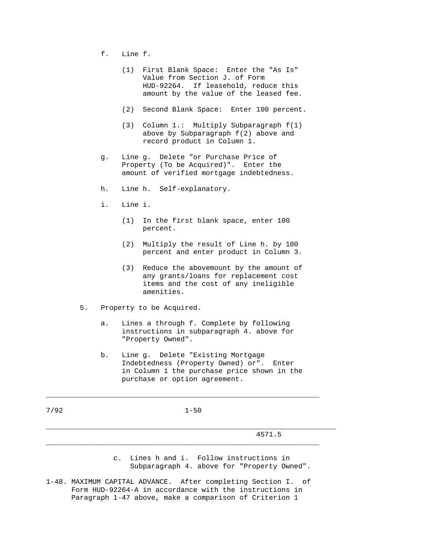- f. Line f.
	- (1) First Blank Space: Enter the "As Is" Value from Section J. of Form HUD-92264. If leasehold, reduce this amount by the value of the leased fee.
	- (2) Second Blank Space: Enter 100 percent.
	- (3) Column 1.: Multiply Subparagraph f(1) above by Subparagraph f(2) above and record product in Column 1.
- g. Line g. Delete "or Purchase Price of Property (To be Acquired)". Enter the amount of verified mortgage indebtedness.
- h. Line h. Self-explanatory.
- i. Line i.
	- (1) In the first blank space, enter 100 percent.
	- (2) Multiply the result of Line h. by 100 percent and enter product in Column 3.
	- (3) Reduce the abovemount by the amount of any grants/loans for replacement cost items and the cost of any ineligible amenities.
- 5. Property to be Acquired.
	- a. Lines a through f. Complete by following instructions in subparagraph 4. above for "Property Owned".
	- b. Line g. Delete "Existing Mortgage Indebtedness (Property Owned) or". Enter in Column 1 the purchase price shown in the purchase or option agreement.

7/92 1-50

\_\_\_\_\_\_\_\_\_\_\_\_\_\_\_\_\_\_\_\_\_\_\_\_\_\_\_\_\_\_\_\_\_\_\_\_\_\_\_\_\_\_\_\_\_\_\_\_\_\_\_\_\_\_\_\_\_\_\_\_\_\_\_\_\_\_\_\_\_

\_\_\_\_\_\_\_\_\_\_\_\_\_\_\_\_\_\_\_\_\_\_\_\_\_\_\_\_\_\_\_\_\_\_\_\_\_\_\_\_\_\_\_\_\_\_\_\_\_\_\_\_\_\_\_\_\_\_\_\_\_\_\_\_\_

\_\_\_\_\_\_\_\_\_\_\_\_\_\_\_\_\_\_\_\_\_\_\_\_\_\_\_\_\_\_\_\_\_\_\_\_\_\_\_\_\_\_\_\_\_\_\_\_\_\_\_\_\_\_\_\_\_\_\_\_\_\_\_\_\_

4571.5

 c. Lines h and i. Follow instructions in Subparagraph 4. above for "Property Owned".

1-48. MAXIMUM CAPITAL ADVANCE. After completing Section I. of Form HUD-92264-A in accordance with the instructions in Paragraph 1-47 above, make a comparison of Criterion 1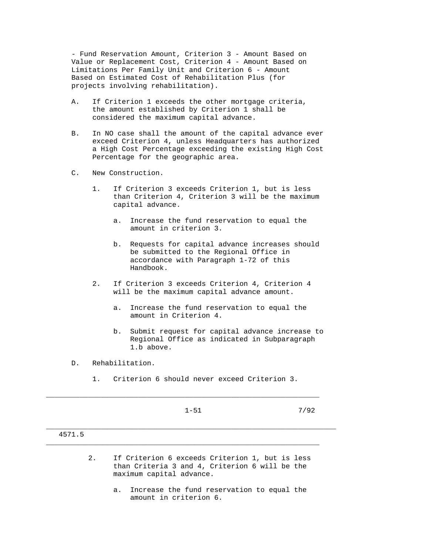- Fund Reservation Amount, Criterion 3 - Amount Based on Value or Replacement Cost, Criterion 4 - Amount Based on Limitations Per Family Unit and Criterion 6 - Amount Based on Estimated Cost of Rehabilitation Plus (for projects involving rehabilitation).

- A. If Criterion 1 exceeds the other mortgage criteria, the amount established by Criterion 1 shall be considered the maximum capital advance.
- B. In NO case shall the amount of the capital advance ever exceed Criterion 4, unless Headquarters has authorized a High Cost Percentage exceeding the existing High Cost Percentage for the geographic area.
- C. New Construction.
	- 1. If Criterion 3 exceeds Criterion 1, but is less than Criterion 4, Criterion 3 will be the maximum capital advance.
		- a. Increase the fund reservation to equal the amount in criterion 3.
		- b. Requests for capital advance increases should be submitted to the Regional Office in accordance with Paragraph 1-72 of this Handbook.
	- 2. If Criterion 3 exceeds Criterion 4, Criterion 4 will be the maximum capital advance amount.
		- a. Increase the fund reservation to equal the amount in Criterion 4.
		- b. Submit request for capital advance increase to Regional Office as indicated in Subparagraph 1.b above.
- D. Rehabilitation.
	- 1. Criterion 6 should never exceed Criterion 3.

|        | $1 - 51$                                                                                          | 7/92 |
|--------|---------------------------------------------------------------------------------------------------|------|
| 4571.5 |                                                                                                   |      |
| 2.     | If Criterion 6 exceeds Criterion 1, but is less<br>than Criteria 3 and 4, Criterion 6 will be the |      |

maximum capital advance.

 a. Increase the fund reservation to equal the amount in criterion 6.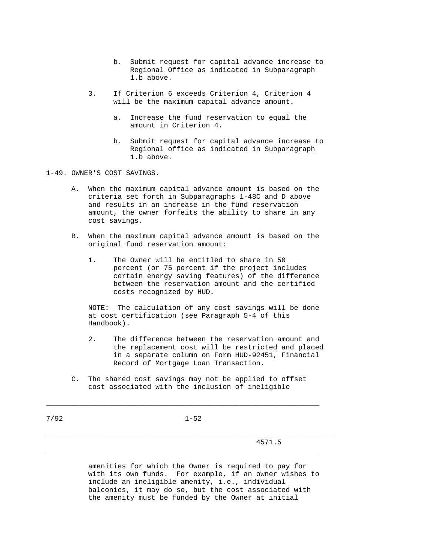- b. Submit request for capital advance increase to Regional Office as indicated in Subparagraph 1.b above.
- 3. If Criterion 6 exceeds Criterion 4, Criterion 4 will be the maximum capital advance amount.
	- a. Increase the fund reservation to equal the amount in Criterion 4.
	- b. Submit request for capital advance increase to Regional office as indicated in Subparagraph 1.b above.

1-49. OWNER'S COST SAVINGS.

- A. When the maximum capital advance amount is based on the criteria set forth in Subparagraphs 1-48C and D above and results in an increase in the fund reservation amount, the owner forfeits the ability to share in any cost savings.
- B. When the maximum capital advance amount is based on the original fund reservation amount:
	- 1. The Owner will be entitled to share in 50 percent (or 75 percent if the project includes certain energy saving features) of the difference between the reservation amount and the certified costs recognized by HUD.

 NOTE: The calculation of any cost savings will be done at cost certification (see Paragraph 5-4 of this Handbook).

- 2. The difference between the reservation amount and the replacement cost will be restricted and placed in a separate column on Form HUD-92451, Financial Record of Mortgage Loan Transaction.
- C. The shared cost savings may not be applied to offset cost associated with the inclusion of ineligible

\_\_\_\_\_\_\_\_\_\_\_\_\_\_\_\_\_\_\_\_\_\_\_\_\_\_\_\_\_\_\_\_\_\_\_\_\_\_\_\_\_\_\_\_\_\_\_\_\_\_\_\_\_\_\_\_\_\_\_\_\_\_\_\_\_\_\_\_\_

\_\_\_\_\_\_\_\_\_\_\_\_\_\_\_\_\_\_\_\_\_\_\_\_\_\_\_\_\_\_\_\_\_\_\_\_\_\_\_\_\_\_\_\_\_\_\_\_\_\_\_\_\_\_\_\_\_\_\_\_\_\_\_\_\_

 $\_$  ,  $\_$  ,  $\_$  ,  $\_$  ,  $\_$  ,  $\_$  ,  $\_$  ,  $\_$  ,  $\_$  ,  $\_$  ,  $\_$  ,  $\_$  ,  $\_$  ,  $\_$  ,  $\_$  ,  $\_$  ,  $\_$  ,  $\_$  ,  $\_$  ,  $\_$  ,  $\_$  ,  $\_$  ,  $\_$  ,  $\_$  ,  $\_$  ,  $\_$  ,  $\_$  ,  $\_$  ,  $\_$  ,  $\_$  ,  $\_$  ,  $\_$  ,  $\_$  ,  $\_$  ,  $\_$  ,  $\_$  ,  $\_$  ,

### 4571.5

 amenities for which the Owner is required to pay for with its own funds. For example, if an owner wishes to include an ineligible amenity, i.e., individual balconies, it may do so, but the cost associated with the amenity must be funded by the Owner at initial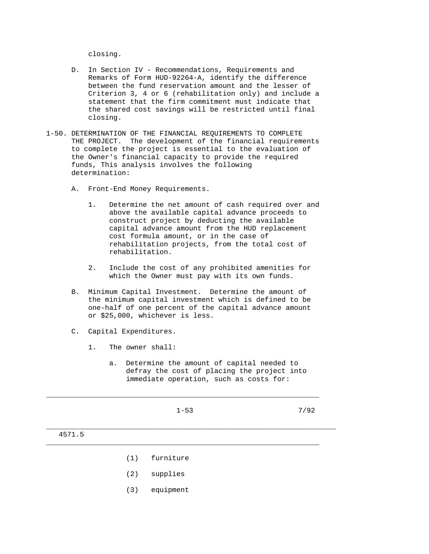closing.

- D. In Section IV Recommendations, Requirements and Remarks of Form HUD-92264-A, identify the difference between the fund reservation amount and the lesser of Criterion 3, 4 or 6 (rehabilitation only) and include a statement that the firm commitment must indicate that the shared cost savings will be restricted until final closing.
- 1-50. DETERMINATION OF THE FINANCIAL REQUIREMENTS TO COMPLETE THE PROJECT. The development of the financial requirements to complete the project is essential to the evaluation of the Owner's financial capacity to provide the required funds, This analysis involves the following determination:
	- A. Front-End Money Requirements.
		- 1. Determine the net amount of cash required over and above the available capital advance proceeds to construct project by deducting the available capital advance amount from the HUD replacement cost formula amount, or in the case of rehabilitation projects, from the total cost of rehabilitation.
		- 2. Include the cost of any prohibited amenities for which the Owner must pay with its own funds.
	- B. Minimum Capital Investment. Determine the amount of the minimum capital investment which is defined to be one-half of one percent of the capital advance amount or \$25,000, whichever is less.
	- C. Capital Expenditures.
		- 1. The owner shall:
			- a. Determine the amount of capital needed to defray the cost of placing the project into immediate operation, such as costs for:

\_\_\_\_\_\_\_\_\_\_\_\_\_\_\_\_\_\_\_\_\_\_\_\_\_\_\_\_\_\_\_\_\_\_\_\_\_\_\_\_\_\_\_\_\_\_\_\_\_\_\_\_\_\_\_\_\_\_\_\_\_\_\_\_\_  $1-53$  7/92 \_\_\_\_\_\_\_\_\_\_\_\_\_\_\_\_\_\_\_\_\_\_\_\_\_\_\_\_\_\_\_\_\_\_\_\_\_\_\_\_\_\_\_\_\_\_\_\_\_\_\_\_\_\_\_\_\_\_\_\_\_\_\_\_\_\_\_\_\_ 4571.5 \_\_\_\_\_\_\_\_\_\_\_\_\_\_\_\_\_\_\_\_\_\_\_\_\_\_\_\_\_\_\_\_\_\_\_\_\_\_\_\_\_\_\_\_\_\_\_\_\_\_\_\_\_\_\_\_\_\_\_\_\_\_\_\_\_ (1) furniture (2) supplies

(3) equipment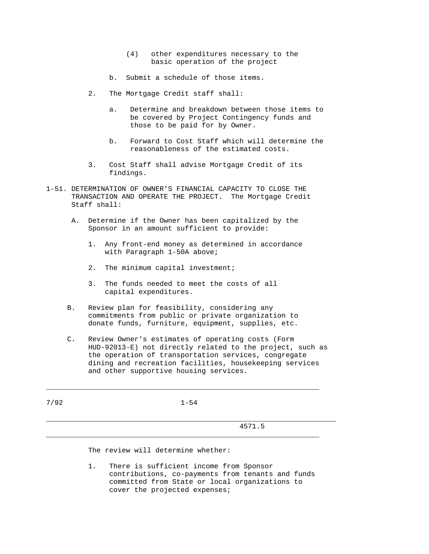- (4) other expenditures necessary to the basic operation of the project
- b. Submit a schedule of those items.
- 2. The Mortgage Credit staff shall:
	- a. Determine and breakdown between those items to be covered by Project Contingency funds and those to be paid for by Owner.
	- b. Forward to Cost Staff which will determine the reasonableness of the estimated costs.
- 3. Cost Staff shall advise Mortgage Credit of its findings.
- 1-51. DETERMINATION OF OWNER'S FINANCIAL CAPACITY TO CLOSE THE TRANSACTION AND OPERATE THE PROJECT. The Mortgage Credit Staff shall:
	- A. Determine if the Owner has been capitalized by the Sponsor in an amount sufficient to provide:
		- 1. Any front-end money as determined in accordance with Paragraph 1-50A above;
		- 2. The minimum capital investment;
		- 3. The funds needed to meet the costs of all capital expenditures.
	- B. Review plan for feasibility, considering any commitments from public or private organization to donate funds, furniture, equipment, supplies, etc.
	- C. Review Owner's estimates of operating costs (Form HUD-92013-E) not directly related to the project, such as the operation of transportation services, congregate dining and recreation facilities, housekeeping services and other supportive housing services.

7/92 1-54

\_\_\_\_\_\_\_\_\_\_\_\_\_\_\_\_\_\_\_\_\_\_\_\_\_\_\_\_\_\_\_\_\_\_\_\_\_\_\_\_\_\_\_\_\_\_\_\_\_\_\_\_\_\_\_\_\_\_\_\_\_\_\_\_\_\_\_\_\_

 $\_$  ,  $\_$  ,  $\_$  ,  $\_$  ,  $\_$  ,  $\_$  ,  $\_$  ,  $\_$  ,  $\_$  ,  $\_$  ,  $\_$  ,  $\_$  ,  $\_$  ,  $\_$  ,  $\_$  ,  $\_$  ,  $\_$  ,  $\_$  ,  $\_$  ,  $\_$  ,  $\_$  ,  $\_$  ,  $\_$  ,  $\_$  ,  $\_$  ,  $\_$  ,  $\_$  ,  $\_$  ,  $\_$  ,  $\_$  ,  $\_$  ,  $\_$  ,  $\_$  ,  $\_$  ,  $\_$  ,  $\_$  ,  $\_$  ,

\_\_\_\_\_\_\_\_\_\_\_\_\_\_\_\_\_\_\_\_\_\_\_\_\_\_\_\_\_\_\_\_\_\_\_\_\_\_\_\_\_\_\_\_\_\_\_\_\_\_\_\_\_\_\_\_\_\_\_\_\_\_\_\_\_

4571.5

The review will determine whether:

 1. There is sufficient income from Sponsor contributions, co-payments from tenants and funds committed from State or local organizations to cover the projected expenses;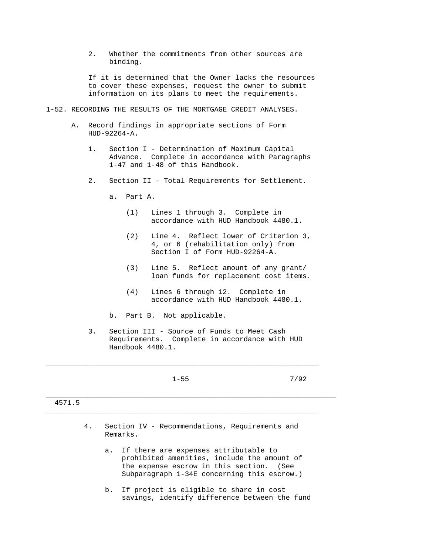2. Whether the commitments from other sources are binding.

 If it is determined that the Owner lacks the resources to cover these expenses, request the owner to submit information on its plans to meet the requirements.

- 1-52. RECORDING THE RESULTS OF THE MORTGAGE CREDIT ANALYSES.
	- A. Record findings in appropriate sections of Form HUD-92264-A.
		- 1. Section I Determination of Maximum Capital Advance. Complete in accordance with Paragraphs 1-47 and 1-48 of this Handbook.
		- 2. Section II Total Requirements for Settlement.
			- a. Part A.
				- (1) Lines 1 through 3. Complete in accordance with HUD Handbook 4480.1.
				- (2) Line 4. Reflect lower of Criterion 3, 4, or 6 (rehabilitation only) from Section I of Form HUD-92264-A.
				- (3) Line 5. Reflect amount of any grant/ loan funds for replacement cost items.
				- (4) Lines 6 through 12. Complete in accordance with HUD Handbook 4480.1.
			- b. Part B. Not applicable.
		- 3. Section III Source of Funds to Meet Cash Requirements. Complete in accordance with HUD Handbook 4480.1.

\_\_\_\_\_\_\_\_\_\_\_\_\_\_\_\_\_\_\_\_\_\_\_\_\_\_\_\_\_\_\_\_\_\_\_\_\_\_\_\_\_\_\_\_\_\_\_\_\_\_\_\_\_\_\_\_\_\_\_\_\_\_\_\_\_

 $1-55$  7/92

## 4571.5

 4. Section IV - Recommendations, Requirements and Remarks.

 $\_$  ,  $\_$  ,  $\_$  ,  $\_$  ,  $\_$  ,  $\_$  ,  $\_$  ,  $\_$  ,  $\_$  ,  $\_$  ,  $\_$  ,  $\_$  ,  $\_$  ,  $\_$  ,  $\_$  ,  $\_$  ,  $\_$  ,  $\_$  ,  $\_$  ,  $\_$  ,  $\_$  ,  $\_$  ,  $\_$  ,  $\_$  ,  $\_$  ,  $\_$  ,  $\_$  ,  $\_$  ,  $\_$  ,  $\_$  ,  $\_$  ,  $\_$  ,  $\_$  ,  $\_$  ,  $\_$  ,  $\_$  ,  $\_$  ,

\_\_\_\_\_\_\_\_\_\_\_\_\_\_\_\_\_\_\_\_\_\_\_\_\_\_\_\_\_\_\_\_\_\_\_\_\_\_\_\_\_\_\_\_\_\_\_\_\_\_\_\_\_\_\_\_\_\_\_\_\_\_\_\_\_\_\_\_\_

- a. If there are expenses attributable to prohibited amenities, include the amount of the expense escrow in this section. (See Subparagraph 1-34E concerning this escrow.)
- b. If project is eligible to share in cost savings, identify difference between the fund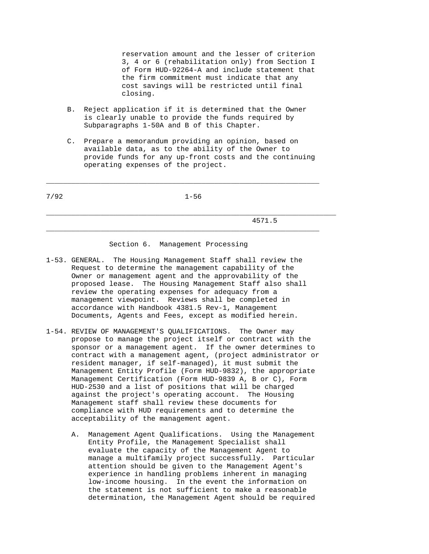reservation amount and the lesser of criterion 3, 4 or 6 (rehabilitation only) from Section I of Form HUD-92264-A and include statement that the firm commitment must indicate that any cost savings will be restricted until final closing.

- B. Reject application if it is determined that the Owner is clearly unable to provide the funds required by Subparagraphs 1-50A and B of this Chapter.
- C. Prepare a memorandum providing an opinion, based on available data, as to the ability of the Owner to provide funds for any up-front costs and the continuing operating expenses of the project.

7/92 1-56

\_\_\_\_\_\_\_\_\_\_\_\_\_\_\_\_\_\_\_\_\_\_\_\_\_\_\_\_\_\_\_\_\_\_\_\_\_\_\_\_\_\_\_\_\_\_\_\_\_\_\_\_\_\_\_\_\_\_\_\_\_\_\_\_\_\_\_\_\_

 $\_$  ,  $\_$  ,  $\_$  ,  $\_$  ,  $\_$  ,  $\_$  ,  $\_$  ,  $\_$  ,  $\_$  ,  $\_$  ,  $\_$  ,  $\_$  ,  $\_$  ,  $\_$  ,  $\_$  ,  $\_$  ,  $\_$  ,  $\_$  ,  $\_$  ,  $\_$  ,  $\_$  ,  $\_$  ,  $\_$  ,  $\_$  ,  $\_$  ,  $\_$  ,  $\_$  ,  $\_$  ,  $\_$  ,  $\_$  ,  $\_$  ,  $\_$  ,  $\_$  ,  $\_$  ,  $\_$  ,  $\_$  ,  $\_$  ,

4571.5

#### Section 6. Management Processing

- 1-53. GENERAL. The Housing Management Staff shall review the Request to determine the management capability of the Owner or management agent and the approvability of the proposed lease. The Housing Management Staff also shall review the operating expenses for adequacy from a management viewpoint. Reviews shall be completed in accordance with Handbook 4381.5 Rev-1, Management Documents, Agents and Fees, except as modified herein.
- 1-54. REVIEW OF MANAGEMENT'S QUALIFICATIONS. The Owner may propose to manage the project itself or contract with the sponsor or a management agent. If the owner determines to contract with a management agent, (project administrator or resident manager, if self-managed), it must submit the Management Entity Profile (Form HUD-9832), the appropriate Management Certification (Form HUD-9839 A, B or C), Form HUD-2530 and a list of positions that will be charged against the project's operating account. The Housing Management staff shall review these documents for compliance with HUD requirements and to determine the acceptability of the management agent.
	- A. Management Agent Qualifications. Using the Management Entity Profile, the Management Specialist shall evaluate the capacity of the Management Agent to manage a multifamily project successfully. Particular attention should be given to the Management Agent's experience in handling problems inherent in managing low-income housing. In the event the information on the statement is not sufficient to make a reasonable determination, the Management Agent should be required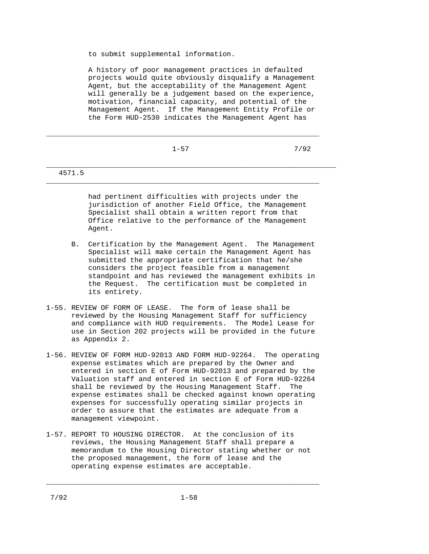to submit supplemental information.

 A history of poor management practices in defaulted projects would quite obviously disqualify a Management Agent, but the acceptability of the Management Agent will generally be a judgement based on the experience, motivation, financial capacity, and potential of the Management Agent. If the Management Entity Profile or the Form HUD-2530 indicates the Management Agent has

| $1 - 57$<br>___ | 7/92 |
|-----------------|------|
|-----------------|------|

\_\_\_\_\_\_\_\_\_\_\_\_\_\_\_\_\_\_\_\_\_\_\_\_\_\_\_\_\_\_\_\_\_\_\_\_\_\_\_\_\_\_\_\_\_\_\_\_\_\_\_\_\_\_\_\_\_\_\_\_\_\_\_\_\_

 $\_$  ,  $\_$  ,  $\_$  ,  $\_$  ,  $\_$  ,  $\_$  ,  $\_$  ,  $\_$  ,  $\_$  ,  $\_$  ,  $\_$  ,  $\_$  ,  $\_$  ,  $\_$  ,  $\_$  ,  $\_$  ,  $\_$  ,  $\_$  ,  $\_$  ,  $\_$  ,  $\_$  ,  $\_$  ,  $\_$  ,  $\_$  ,  $\_$  ,  $\_$  ,  $\_$  ,  $\_$  ,  $\_$  ,  $\_$  ,  $\_$  ,  $\_$  ,  $\_$  ,  $\_$  ,  $\_$  ,  $\_$  ,  $\_$  ,

\_\_\_\_\_\_\_\_\_\_\_\_\_\_\_\_\_\_\_\_\_\_\_\_\_\_\_\_\_\_\_\_\_\_\_\_\_\_\_\_\_\_\_\_\_\_\_\_\_\_\_\_\_\_\_\_\_\_\_\_\_\_\_\_\_\_\_\_\_

## 4571.5

 had pertinent difficulties with projects under the jurisdiction of another Field Office, the Management Specialist shall obtain a written report from that Office relative to the performance of the Management Agent.

- B. Certification by the Management Agent. The Management Specialist will make certain the Management Agent has submitted the appropriate certification that he/she considers the project feasible from a management standpoint and has reviewed the management exhibits in the Request. The certification must be completed in its entirety.
- 1-55. REVIEW OF FORM OF LEASE. The form of lease shall be reviewed by the Housing Management Staff for sufficiency and compliance with HUD requirements. The Model Lease for use in Section 202 projects will be provided in the future as Appendix 2.
- 1-56. REVIEW OF FORM HUD-92013 AND FORM HUD-92264. The operating expense estimates which are prepared by the Owner and entered in section E of Form HUD-92013 and prepared by the Valuation staff and entered in section E of Form HUD-92264 shall be reviewed by the Housing Management Staff. The expense estimates shall be checked against known operating expenses for successfully operating similar projects in order to assure that the estimates are adequate from a management viewpoint.
- 1-57. REPORT TO HOUSING DIRECTOR. At the conclusion of its reviews, the Housing Management Staff shall prepare a memorandum to the Housing Director stating whether or not the proposed management, the form of lease and the operating expense estimates are acceptable.

\_\_\_\_\_\_\_\_\_\_\_\_\_\_\_\_\_\_\_\_\_\_\_\_\_\_\_\_\_\_\_\_\_\_\_\_\_\_\_\_\_\_\_\_\_\_\_\_\_\_\_\_\_\_\_\_\_\_\_\_\_\_\_\_\_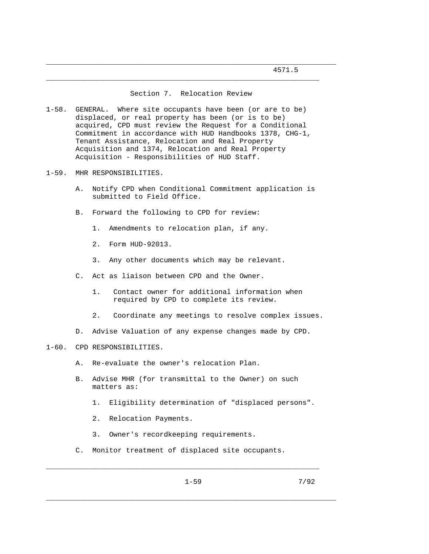Section 7. Relocation Review

 $\_$  ,  $\_$  ,  $\_$  ,  $\_$  ,  $\_$  ,  $\_$  ,  $\_$  ,  $\_$  ,  $\_$  ,  $\_$  ,  $\_$  ,  $\_$  ,  $\_$  ,  $\_$  ,  $\_$  ,  $\_$  ,  $\_$  ,  $\_$  ,  $\_$  ,  $\_$  ,  $\_$  ,  $\_$  ,  $\_$  ,  $\_$  ,  $\_$  ,  $\_$  ,  $\_$  ,  $\_$  ,  $\_$  ,  $\_$  ,  $\_$  ,  $\_$  ,  $\_$  ,  $\_$  ,  $\_$  ,  $\_$  ,  $\_$  ,

\_\_\_\_\_\_\_\_\_\_\_\_\_\_\_\_\_\_\_\_\_\_\_\_\_\_\_\_\_\_\_\_\_\_\_\_\_\_\_\_\_\_\_\_\_\_\_\_\_\_\_\_\_\_\_\_\_\_\_\_\_\_\_\_\_\_\_\_\_

- 1-58. GENERAL. Where site occupants have been (or are to be) displaced, or real property has been (or is to be) acquired, CPD must review the Request for a Conditional Commitment in accordance with HUD Handbooks 1378, CHG-1, Tenant Assistance, Relocation and Real Property Acquisition and 1374, Relocation and Real Property Acquisition - Responsibilities of HUD Staff.
- 1-59. MHR RESPONSIBILITIES.
	- A. Notify CPD when Conditional Commitment application is submitted to Field Office.
	- B. Forward the following to CPD for review:
		- 1. Amendments to relocation plan, if any.
		- 2. Form HUD-92013.
		- 3. Any other documents which may be relevant.
	- C. Act as liaison between CPD and the Owner.
		- 1. Contact owner for additional information when required by CPD to complete its review.
		- 2. Coordinate any meetings to resolve complex issues.
	- D. Advise Valuation of any expense changes made by CPD.

## 1-60. CPD RESPONSIBILITIES.

- A. Re-evaluate the owner's relocation Plan.
- B. Advise MHR (for transmittal to the Owner) on such matters as:
	- 1. Eligibility determination of "displaced persons".
	- 2. Relocation Payments.
	- 3. Owner's recordkeeping requirements.
- C. Monitor treatment of displaced site occupants.

\_\_\_\_\_\_\_\_\_\_\_\_\_\_\_\_\_\_\_\_\_\_\_\_\_\_\_\_\_\_\_\_\_\_\_\_\_\_\_\_\_\_\_\_\_\_\_\_\_\_\_\_\_\_\_\_\_\_\_\_\_\_\_\_\_

\_\_\_\_\_\_\_\_\_\_\_\_\_\_\_\_\_\_\_\_\_\_\_\_\_\_\_\_\_\_\_\_\_\_\_\_\_\_\_\_\_\_\_\_\_\_\_\_\_\_\_\_\_\_\_\_\_\_\_\_\_\_\_\_\_\_\_\_\_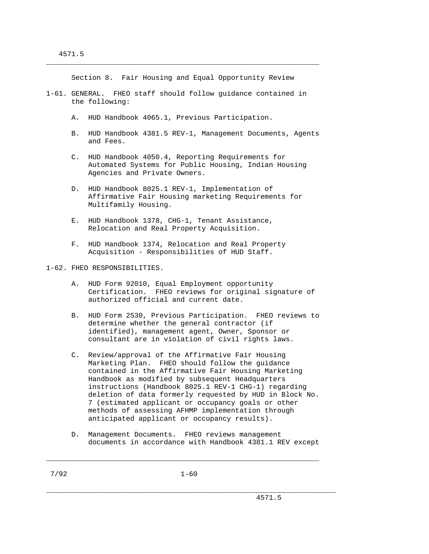Section 8. Fair Housing and Equal Opportunity Review

 $\_$  ,  $\_$  ,  $\_$  ,  $\_$  ,  $\_$  ,  $\_$  ,  $\_$  ,  $\_$  ,  $\_$  ,  $\_$  ,  $\_$  ,  $\_$  ,  $\_$  ,  $\_$  ,  $\_$  ,  $\_$  ,  $\_$  ,  $\_$  ,  $\_$  ,  $\_$  ,  $\_$  ,  $\_$  ,  $\_$  ,  $\_$  ,  $\_$  ,  $\_$  ,  $\_$  ,  $\_$  ,  $\_$  ,  $\_$  ,  $\_$  ,  $\_$  ,  $\_$  ,  $\_$  ,  $\_$  ,  $\_$  ,  $\_$  ,

- 1-61. GENERAL. FHEO staff should follow guidance contained in the following:
	- A. HUD Handbook 4065.1, Previous Participation.
	- B. HUD Handbook 4381.5 REV-1, Management Documents, Agents and Fees.
	- C. HUD Handbook 4050.4, Reporting Requirements for Automated Systems for Public Housing, Indian Housing Agencies and Private Owners.
	- D. HUD Handbook 8025.1 REV-1, Implementation of Affirmative Fair Housing marketing Requirements for Multifamily Housing.
	- E. HUD Handbook 1378, CHG-1, Tenant Assistance, Relocation and Real Property Acquisition.
	- F. HUD Handbook 1374, Relocation and Real Property Acquisition - Responsibilities of HUD Staff.

1-62. FHEO RESPONSIBILITIES.

- A. HUD Form 92010, Equal Employment opportunity Certification. FHEO reviews for original signature of authorized official and current date.
- B. HUD Form 2530, Previous Participation. FHEO reviews to determine whether the general contractor (if identified), management agent, Owner, Sponsor or consultant are in violation of civil rights laws.
- C. Review/approval of the Affirmative Fair Housing Marketing Plan. FHEO should follow the guidance contained in the Affirmative Fair Housing Marketing Handbook as modified by subsequent Headquarters instructions (Handbook 8025.1 REV-1 CHG-1) regarding deletion of data formerly requested by HUD in Block No. 7 (estimated applicant or occupancy goals or other methods of assessing AFHMP implementation through anticipated applicant or occupancy results).
- D. Management Documents. FHEO reviews management documents in accordance with Handbook 4381.1 REV except

\_\_\_\_\_\_\_\_\_\_\_\_\_\_\_\_\_\_\_\_\_\_\_\_\_\_\_\_\_\_\_\_\_\_\_\_\_\_\_\_\_\_\_\_\_\_\_\_\_\_\_\_\_\_\_\_\_\_\_\_\_\_\_\_\_\_\_\_\_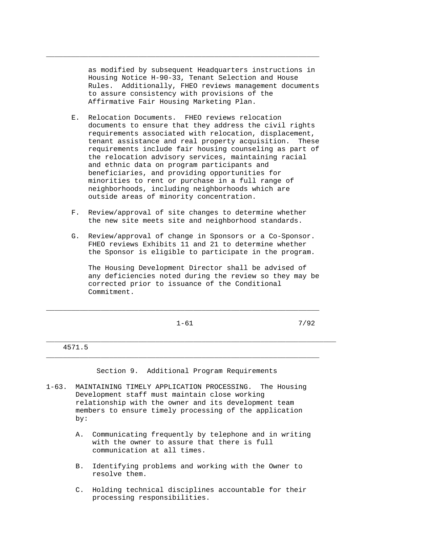as modified by subsequent Headquarters instructions in Housing Notice H-90-33, Tenant Selection and House Rules. Additionally, FHEO reviews management documents to assure consistency with provisions of the Affirmative Fair Housing Marketing Plan.

\_\_\_\_\_\_\_\_\_\_\_\_\_\_\_\_\_\_\_\_\_\_\_\_\_\_\_\_\_\_\_\_\_\_\_\_\_\_\_\_\_\_\_\_\_\_\_\_\_\_\_\_\_\_\_\_\_\_\_\_\_\_\_\_\_

- E. Relocation Documents. FHEO reviews relocation documents to ensure that they address the civil rights requirements associated with relocation, displacement, tenant assistance and real property acquisition. These requirements include fair housing counseling as part of the relocation advisory services, maintaining racial and ethnic data on program participants and beneficiaries, and providing opportunities for minorities to rent or purchase in a full range of neighborhoods, including neighborhoods which are outside areas of minority concentration.
- F. Review/approval of site changes to determine whether the new site meets site and neighborhood standards.
- G. Review/approval of change in Sponsors or a Co-Sponsor. FHEO reviews Exhibits 11 and 21 to determine whether the Sponsor is eligible to participate in the program.

 The Housing Development Director shall be advised of any deficiencies noted during the review so they may be corrected prior to issuance of the Conditional Commitment.

 $\_$  ,  $\_$  ,  $\_$  ,  $\_$  ,  $\_$  ,  $\_$  ,  $\_$  ,  $\_$  ,  $\_$  ,  $\_$  ,  $\_$  ,  $\_$  ,  $\_$  ,  $\_$  ,  $\_$  ,  $\_$  ,  $\_$  ,  $\_$  ,  $\_$  ,  $\_$  ,  $\_$  ,  $\_$  ,  $\_$  ,  $\_$  ,  $\_$  ,  $\_$  ,  $\_$  ,  $\_$  ,  $\_$  ,  $\_$  ,  $\_$  ,  $\_$  ,  $\_$  ,  $\_$  ,  $\_$  ,  $\_$  ,  $\_$  ,

 $1-61$  7/92

#### 4571.5

Section 9. Additional Program Requirements

\_\_\_\_\_\_\_\_\_\_\_\_\_\_\_\_\_\_\_\_\_\_\_\_\_\_\_\_\_\_\_\_\_\_\_\_\_\_\_\_\_\_\_\_\_\_\_\_\_\_\_\_\_\_\_\_\_\_\_\_\_\_\_\_\_

\_\_\_\_\_\_\_\_\_\_\_\_\_\_\_\_\_\_\_\_\_\_\_\_\_\_\_\_\_\_\_\_\_\_\_\_\_\_\_\_\_\_\_\_\_\_\_\_\_\_\_\_\_\_\_\_\_\_\_\_\_\_\_\_\_\_\_\_\_

- 1-63. MAINTAINING TIMELY APPLICATION PROCESSING. The Housing Development staff must maintain close working relationship with the owner and its development team members to ensure timely processing of the application by:
	- A. Communicating frequently by telephone and in writing with the owner to assure that there is full communication at all times.
	- B. Identifying problems and working with the Owner to resolve them.
	- C. Holding technical disciplines accountable for their processing responsibilities.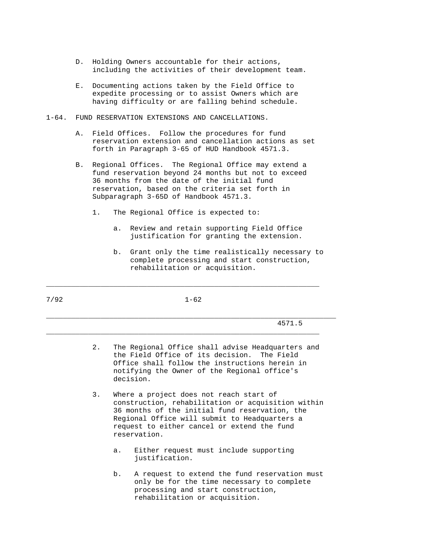- D. Holding Owners accountable for their actions, including the activities of their development team.
- E. Documenting actions taken by the Field Office to expedite processing or to assist Owners which are having difficulty or are falling behind schedule.
- 1-64. FUND RESERVATION EXTENSIONS AND CANCELLATIONS.
	- A. Field Offices. Follow the procedures for fund reservation extension and cancellation actions as set forth in Paragraph 3-65 of HUD Handbook 4571.3.
	- B. Regional Offices. The Regional Office may extend a fund reservation beyond 24 months but not to exceed 36 months from the date of the initial fund reservation, based on the criteria set forth in Subparagraph 3-65D of Handbook 4571.3.
		- 1. The Regional Office is expected to:

- a. Review and retain supporting Field Office justification for granting the extension.
- b. Grant only the time realistically necessary to complete processing and start construction, rehabilitation or acquisition.

| 7/92 |    | $1 - 62$                                                                                                                                                                                                                                                        |
|------|----|-----------------------------------------------------------------------------------------------------------------------------------------------------------------------------------------------------------------------------------------------------------------|
|      |    | 4571.5                                                                                                                                                                                                                                                          |
|      | 2. | The Regional Office shall advise Headquarters and<br>the Field Office of its decision. The Field<br>Office shall follow the instructions herein in<br>notifying the Owner of the Regional office's<br>decision.                                                 |
|      | 3. | Where a project does not reach start of<br>construction, rehabilitation or acquisition within<br>36 months of the initial fund reservation, the<br>Regional Office will submit to Headquarters a<br>request to either cancel or extend the fund<br>reservation. |
|      |    | Either request must include supporting<br>$a$ .<br>justification.                                                                                                                                                                                               |
|      |    | A request to extend the fund reservation must<br>$b$ .<br>only be for the time necessary to complete<br>processing and start construction,<br>rehabilitation or acquisition.                                                                                    |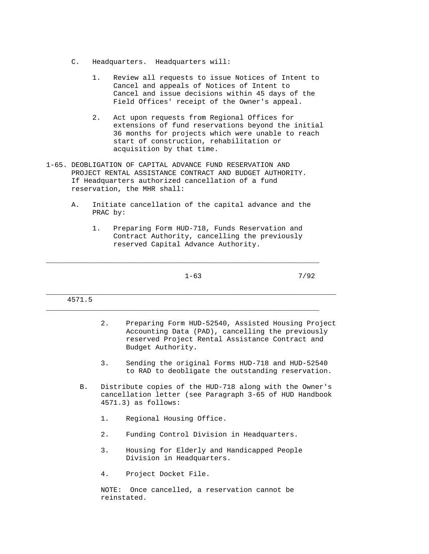- C. Headquarters. Headquarters will:
	- 1. Review all requests to issue Notices of Intent to Cancel and appeals of Notices of Intent to Cancel and issue decisions within 45 days of the Field Offices' receipt of the Owner's appeal.
	- 2. Act upon requests from Regional Offices for extensions of fund reservations beyond the initial 36 months for projects which were unable to reach start of construction, rehabilitation or acquisition by that time.
- 1-65. DEOBLIGATION OF CAPITAL ADVANCE FUND RESERVATION AND PROJECT RENTAL ASSISTANCE CONTRACT AND BUDGET AUTHORITY. If Headquarters authorized cancellation of a fund reservation, the MHR shall:
	- A. Initiate cancellation of the capital advance and the PRAC by:
		- 1. Preparing Form HUD-718, Funds Reservation and Contract Authority, cancelling the previously reserved Capital Advance Authority.

 $\_$  ,  $\_$  ,  $\_$  ,  $\_$  ,  $\_$  ,  $\_$  ,  $\_$  ,  $\_$  ,  $\_$  ,  $\_$  ,  $\_$  ,  $\_$  ,  $\_$  ,  $\_$  ,  $\_$  ,  $\_$  ,  $\_$  ,  $\_$  ,  $\_$  ,  $\_$  ,  $\_$  ,  $\_$  ,  $\_$  ,  $\_$  ,  $\_$  ,  $\_$  ,  $\_$  ,  $\_$  ,  $\_$  ,  $\_$  ,  $\_$  ,  $\_$  ,  $\_$  ,  $\_$  ,  $\_$  ,  $\_$  ,  $\_$  ,

1-63 7/92

| 4571.5 |                                                                                                                                                                                      |
|--------|--------------------------------------------------------------------------------------------------------------------------------------------------------------------------------------|
|        | 2.<br>Preparing Form HUD-52540, Assisted Housing Project<br>Accounting Data (PAD), cancelling the previously<br>reserved Project Rental Assistance Contract and<br>Budget Authority. |
|        | Sending the original Forms HUD-718 and HUD-52540<br>3.<br>to RAD to deobligate the outstanding reservation.                                                                          |
| B.     | Distribute copies of the HUD-718 along with the Owner's<br>cancellation letter (see Paragraph 3-65 of HUD Handbook<br>$4571.3)$ as follows:                                          |
|        | $1$ .<br>Regional Housing Office.                                                                                                                                                    |
|        | 2.<br>Funding Control Division in Headquarters.                                                                                                                                      |
|        | 3.<br>Housing for Elderly and Handicapped People<br>Division in Headquarters.                                                                                                        |
|        | Project Docket File.<br>4.                                                                                                                                                           |
|        | NOTE: Once cancelled, a reservation cannot be<br>reinstated.                                                                                                                         |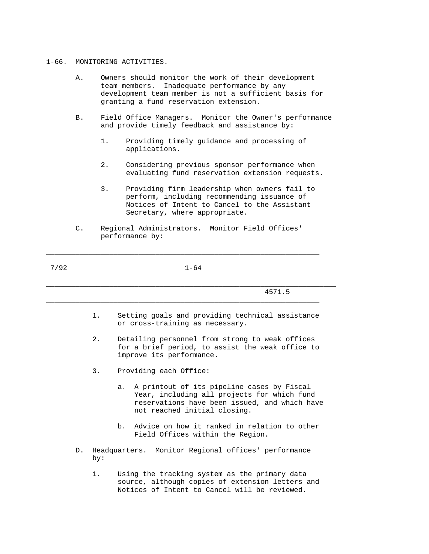## 1-66. MONITORING ACTIVITIES.

- A. Owners should monitor the work of their development team members. Inadequate performance by any development team member is not a sufficient basis for granting a fund reservation extension.
- B. Field Office Managers. Monitor the Owner's performance and provide timely feedback and assistance by:
	- 1. Providing timely guidance and processing of applications.
	- 2. Considering previous sponsor performance when evaluating fund reservation extension requests.
	- 3. Providing firm leadership when owners fail to perform, including recommending issuance of Notices of Intent to Cancel to the Assistant Secretary, where appropriate.
- C. Regional Administrators. Monitor Field Offices' performance by:

\_\_\_\_\_\_\_\_\_\_\_\_\_\_\_\_\_\_\_\_\_\_\_\_\_\_\_\_\_\_\_\_\_\_\_\_\_\_\_\_\_\_\_\_\_\_\_\_\_\_\_\_\_\_\_\_\_\_\_\_\_\_\_\_\_

| 7/92  | $1 - 64$ |                                                                                                                                                                                              |  |
|-------|----------|----------------------------------------------------------------------------------------------------------------------------------------------------------------------------------------------|--|
|       |          | 4571.5                                                                                                                                                                                       |  |
|       | 1.       | Setting goals and providing technical assistance<br>or cross-training as necessary.                                                                                                          |  |
|       | 2.       | Detailing personnel from strong to weak offices<br>for a brief period, to assist the weak office to<br>improve its performance.                                                              |  |
|       | 3.       | Providing each Office:                                                                                                                                                                       |  |
|       |          | A printout of its pipeline cases by Fiscal<br>a <sub>1</sub><br>Year, including all projects for which fund<br>reservations have been issued, and which have<br>not reached initial closing. |  |
|       |          | Advice on how it ranked in relation to other<br>$h_{\perp}$<br>Field Offices within the Region.                                                                                              |  |
| $D$ . | by:      | Headquarters. Monitor Regional offices' performance                                                                                                                                          |  |
|       | 1.       | Using the tracking system as the primary data<br>source, although copies of extension letters and<br>Notices of Intent to Cancel will be reviewed.                                           |  |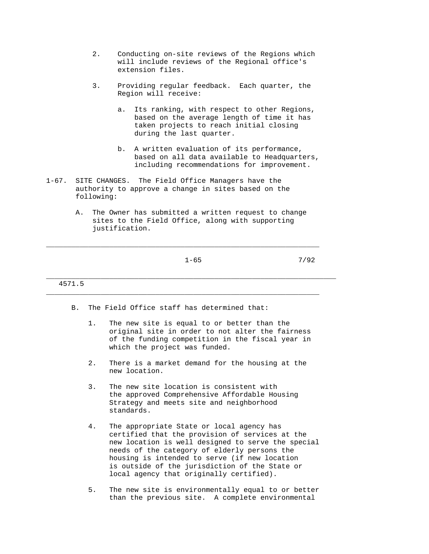- 2. Conducting on-site reviews of the Regions which will include reviews of the Regional office's extension files.
- 3. Providing regular feedback. Each quarter, the Region will receive:
	- a. Its ranking, with respect to other Regions, based on the average length of time it has taken projects to reach initial closing during the last quarter.
	- b. A written evaluation of its performance, based on all data available to Headquarters, including recommendations for improvement.
- 1-67. SITE CHANGES. The Field Office Managers have the authority to approve a change in sites based on the following:
	- A. The Owner has submitted a written request to change sites to the Field Office, along with supporting justification.

\_\_\_\_\_\_\_\_\_\_\_\_\_\_\_\_\_\_\_\_\_\_\_\_\_\_\_\_\_\_\_\_\_\_\_\_\_\_\_\_\_\_\_\_\_\_\_\_\_\_\_\_\_\_\_\_\_\_\_\_\_\_\_\_\_

 $\_$  ,  $\_$  ,  $\_$  ,  $\_$  ,  $\_$  ,  $\_$  ,  $\_$  ,  $\_$  ,  $\_$  ,  $\_$  ,  $\_$  ,  $\_$  ,  $\_$  ,  $\_$  ,  $\_$  ,  $\_$  ,  $\_$  ,  $\_$  ,  $\_$  ,  $\_$  ,  $\_$  ,  $\_$  ,  $\_$  ,  $\_$  ,  $\_$  ,  $\_$  ,  $\_$  ,  $\_$  ,  $\_$  ,  $\_$  ,  $\_$  ,  $\_$  ,  $\_$  ,  $\_$  ,  $\_$  ,  $\_$  ,  $\_$  ,

 $1-65$  7/92

4571.5

- B. The Field Office staff has determined that:
	- 1. The new site is equal to or better than the original site in order to not alter the fairness of the funding competition in the fiscal year in which the project was funded.
	- 2. There is a market demand for the housing at the new location.
	- 3. The new site location is consistent with the approved Comprehensive Affordable Housing Strategy and meets site and neighborhood standards.
	- 4. The appropriate State or local agency has certified that the provision of services at the new location is well designed to serve the special needs of the category of elderly persons the housing is intended to serve (if new location is outside of the jurisdiction of the State or local agency that originally certified).
	- 5. The new site is environmentally equal to or better than the previous site. A complete environmental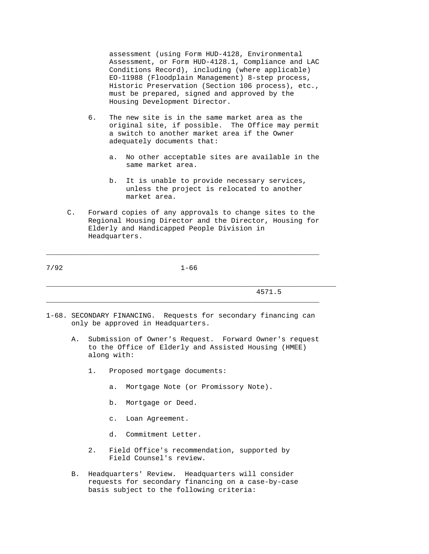assessment (using Form HUD-4128, Environmental Assessment, or Form HUD-4128.1, Compliance and LAC Conditions Record), including (where applicable) EO-11988 (Floodplain Management) 8-step process, Historic Preservation (Section 106 process), etc., must be prepared, signed and approved by the Housing Development Director.

- 6. The new site is in the same market area as the original site, if possible. The Office may permit a switch to another market area if the Owner adequately documents that:
	- a. No other acceptable sites are available in the same market area.
	- b. It is unable to provide necessary services, unless the project is relocated to another market area.
- C. Forward copies of any approvals to change sites to the Regional Housing Director and the Director, Housing for Elderly and Handicapped People Division in Headquarters.

\_\_\_\_\_\_\_\_\_\_\_\_\_\_\_\_\_\_\_\_\_\_\_\_\_\_\_\_\_\_\_\_\_\_\_\_\_\_\_\_\_\_\_\_\_\_\_\_\_\_\_\_\_\_\_\_\_\_\_\_\_\_\_\_\_\_\_\_\_

\_\_\_\_\_\_\_\_\_\_\_\_\_\_\_\_\_\_\_\_\_\_\_\_\_\_\_\_\_\_\_\_\_\_\_\_\_\_\_\_\_\_\_\_\_\_\_\_\_\_\_\_\_\_\_\_\_\_\_\_\_\_\_\_\_

| 7/92 | $1 - 66$ |
|------|----------|
|------|----------|

4571.5

1-68. SECONDARY FINANCING. Requests for secondary financing can only be approved in Headquarters.

- A. Submission of Owner's Request. Forward Owner's request to the Office of Elderly and Assisted Housing (HMEE) along with:
	- 1. Proposed mortgage documents:
		- a. Mortgage Note (or Promissory Note).
		- b. Mortgage or Deed.
		- c. Loan Agreement.
		- d. Commitment Letter.
	- 2. Field Office's recommendation, supported by Field Counsel's review.
- B. Headquarters' Review. Headquarters will consider requests for secondary financing on a case-by-case basis subject to the following criteria: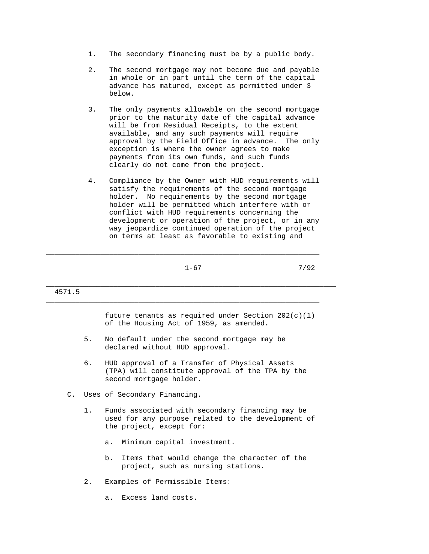- 1. The secondary financing must be by a public body.
- 2. The second mortgage may not become due and payable in whole or in part until the term of the capital advance has matured, except as permitted under 3 below.
- 3. The only payments allowable on the second mortgage prior to the maturity date of the capital advance will be from Residual Receipts, to the extent available, and any such payments will require approval by the Field Office in advance. The only exception is where the owner agrees to make payments from its own funds, and such funds clearly do not come from the project.
- 4. Compliance by the Owner with HUD requirements will satisfy the requirements of the second mortgage holder. No requirements by the second mortgage holder will be permitted which interfere with or conflict with HUD requirements concerning the development or operation of the project, or in any way jeopardize continued operation of the project on terms at least as favorable to existing and

\_\_\_\_\_\_\_\_\_\_\_\_\_\_\_\_\_\_\_\_\_\_\_\_\_\_\_\_\_\_\_\_\_\_\_\_\_\_\_\_\_\_\_\_\_\_\_\_\_\_\_\_\_\_\_\_\_\_\_\_\_\_\_\_\_

 $1-67$  7/92

4571.5

future tenants as required under Section  $202(c)(1)$ of the Housing Act of 1959, as amended.

 5. No default under the second mortgage may be declared without HUD approval.

 $\_$  ,  $\_$  ,  $\_$  ,  $\_$  ,  $\_$  ,  $\_$  ,  $\_$  ,  $\_$  ,  $\_$  ,  $\_$  ,  $\_$  ,  $\_$  ,  $\_$  ,  $\_$  ,  $\_$  ,  $\_$  ,  $\_$  ,  $\_$  ,  $\_$  ,  $\_$  ,  $\_$  ,  $\_$  ,  $\_$  ,  $\_$  ,  $\_$  ,  $\_$  ,  $\_$  ,  $\_$  ,  $\_$  ,  $\_$  ,  $\_$  ,  $\_$  ,  $\_$  ,  $\_$  ,  $\_$  ,  $\_$  ,  $\_$  ,

- 6. HUD approval of a Transfer of Physical Assets (TPA) will constitute approval of the TPA by the second mortgage holder.
- C. Uses of Secondary Financing.
	- 1. Funds associated with secondary financing may be used for any purpose related to the development of the project, except for:
		- a. Minimum capital investment.
		- b. Items that would change the character of the project, such as nursing stations.
	- 2. Examples of Permissible Items:

a. Excess land costs.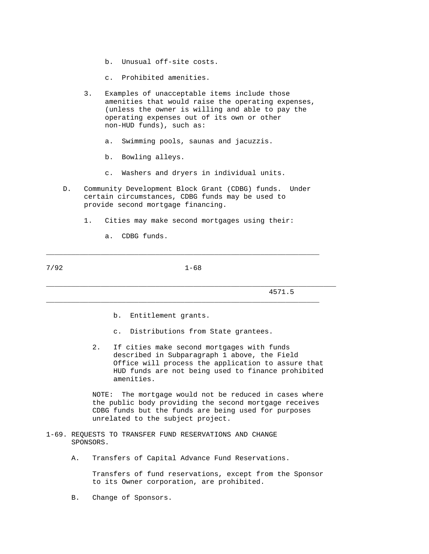- b. Unusual off-site costs.
- c. Prohibited amenities.
- 3. Examples of unacceptable items include those amenities that would raise the operating expenses, (unless the owner is willing and able to pay the operating expenses out of its own or other non-HUD funds), such as:
	- a. Swimming pools, saunas and jacuzzis.
	- b. Bowling alleys.
	- c. Washers and dryers in individual units.
- D. Community Development Block Grant (CDBG) funds. Under certain circumstances, CDBG funds may be used to provide second mortgage financing.
	- 1. Cities may make second mortgages using their:

 $\_$  ,  $\_$  ,  $\_$  ,  $\_$  ,  $\_$  ,  $\_$  ,  $\_$  ,  $\_$  ,  $\_$  ,  $\_$  ,  $\_$  ,  $\_$  ,  $\_$  ,  $\_$  ,  $\_$  ,  $\_$  ,  $\_$  ,  $\_$  ,  $\_$  ,  $\_$  ,  $\_$  ,  $\_$  ,  $\_$  ,  $\_$  ,  $\_$  ,  $\_$  ,  $\_$  ,  $\_$  ,  $\_$  ,  $\_$  ,  $\_$  ,  $\_$  ,  $\_$  ,  $\_$  ,  $\_$  ,  $\_$  ,  $\_$  ,

a. CDBG funds.

7/92 1-68

\_\_\_\_\_\_\_\_\_\_\_\_\_\_\_\_\_\_\_\_\_\_\_\_\_\_\_\_\_\_\_\_\_\_\_\_\_\_\_\_\_\_\_\_\_\_\_\_\_\_\_\_\_\_\_\_\_\_\_\_\_\_\_\_\_\_\_\_\_

4571.5

- b. Entitlement grants.
- c. Distributions from State grantees.
- 2. If cities make second mortgages with funds described in Subparagraph 1 above, the Field Office will process the application to assure that HUD funds are not being used to finance prohibited amenities.

 NOTE: The mortgage would not be reduced in cases where the public body providing the second mortgage receives CDBG funds but the funds are being used for purposes unrelated to the subject project.

- 1-69. REQUESTS TO TRANSFER FUND RESERVATIONS AND CHANGE SPONSORS.
	- A. Transfers of Capital Advance Fund Reservations.

 Transfers of fund reservations, except from the Sponsor to its Owner corporation, are prohibited.

B. Change of Sponsors.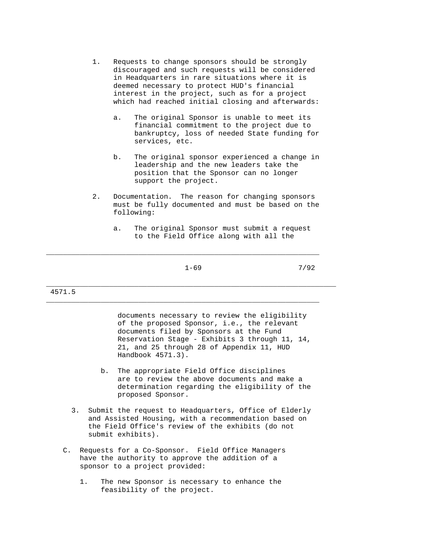- 1. Requests to change sponsors should be strongly discouraged and such requests will be considered in Headquarters in rare situations where it is deemed necessary to protect HUD's financial interest in the project, such as for a project which had reached initial closing and afterwards:
	- a. The original Sponsor is unable to meet its financial commitment to the project due to bankruptcy, loss of needed State funding for services, etc.
	- b. The original sponsor experienced a change in leadership and the new leaders take the position that the Sponsor can no longer support the project.
- 2. Documentation. The reason for changing sponsors must be fully documented and must be based on the following:
	- a. The original Sponsor must submit a request to the Field Office along with all the

1-69 7/92

\_\_\_\_\_\_\_\_\_\_\_\_\_\_\_\_\_\_\_\_\_\_\_\_\_\_\_\_\_\_\_\_\_\_\_\_\_\_\_\_\_\_\_\_\_\_\_\_\_\_\_\_\_\_\_\_\_\_\_\_\_\_\_\_\_\_\_\_\_

\_\_\_\_\_\_\_\_\_\_\_\_\_\_\_\_\_\_\_\_\_\_\_\_\_\_\_\_\_\_\_\_\_\_\_\_\_\_\_\_\_\_\_\_\_\_\_\_\_\_\_\_\_\_\_\_\_\_\_\_\_\_\_\_\_

 $\_$  ,  $\_$  ,  $\_$  ,  $\_$  ,  $\_$  ,  $\_$  ,  $\_$  ,  $\_$  ,  $\_$  ,  $\_$  ,  $\_$  ,  $\_$  ,  $\_$  ,  $\_$  ,  $\_$  ,  $\_$  ,  $\_$  ,  $\_$  ,  $\_$  ,  $\_$  ,  $\_$  ,  $\_$  ,  $\_$  ,  $\_$  ,  $\_$  ,  $\_$  ,  $\_$  ,  $\_$  ,  $\_$  ,  $\_$  ,  $\_$  ,  $\_$  ,  $\_$  ,  $\_$  ,  $\_$  ,  $\_$  ,  $\_$  ,

## 4571.5

 documents necessary to review the eligibility of the proposed Sponsor, i.e., the relevant documents filed by Sponsors at the Fund Reservation Stage - Exhibits 3 through 11, 14, 21, and 25 through 28 of Appendix 11, HUD Handbook 4571.3).

- b. The appropriate Field Office disciplines are to review the above documents and make a determination regarding the eligibility of the proposed Sponsor.
- 3. Submit the request to Headquarters, Office of Elderly and Assisted Housing, with a recommendation based on the Field Office's review of the exhibits (do not submit exhibits).
- C. Requests for a Co-Sponsor. Field Office Managers have the authority to approve the addition of a sponsor to a project provided:
	- 1. The new Sponsor is necessary to enhance the feasibility of the project.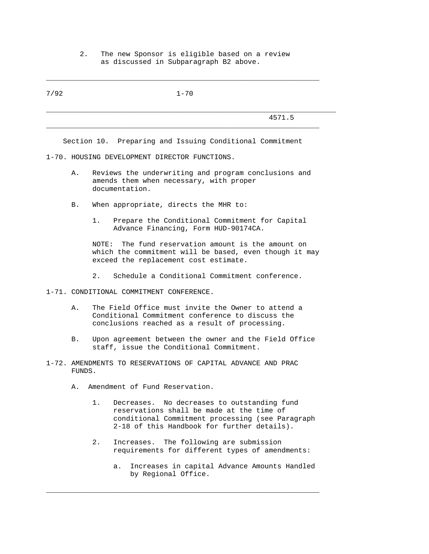2. The new Sponsor is eligible based on a review as discussed in Subparagraph B2 above.

 $\_$  ,  $\_$  ,  $\_$  ,  $\_$  ,  $\_$  ,  $\_$  ,  $\_$  ,  $\_$  ,  $\_$  ,  $\_$  ,  $\_$  ,  $\_$  ,  $\_$  ,  $\_$  ,  $\_$  ,  $\_$  ,  $\_$  ,  $\_$  ,  $\_$  ,  $\_$  ,  $\_$  ,  $\_$  ,  $\_$  ,  $\_$  ,  $\_$  ,  $\_$  ,  $\_$  ,  $\_$  ,  $\_$  ,  $\_$  ,  $\_$  ,  $\_$  ,  $\_$  ,  $\_$  ,  $\_$  ,  $\_$  ,  $\_$  ,

7/92 1-70 \_\_\_\_\_\_\_\_\_\_\_\_\_\_\_\_\_\_\_\_\_\_\_\_\_\_\_\_\_\_\_\_\_\_\_\_\_\_\_\_\_\_\_\_\_\_\_\_\_\_\_\_\_\_\_\_\_\_\_\_\_\_\_\_\_\_\_\_\_ 4571.5 \_\_\_\_\_\_\_\_\_\_\_\_\_\_\_\_\_\_\_\_\_\_\_\_\_\_\_\_\_\_\_\_\_\_\_\_\_\_\_\_\_\_\_\_\_\_\_\_\_\_\_\_\_\_\_\_\_\_\_\_\_\_\_\_\_ Section 10. Preparing and Issuing Conditional Commitment

#### 1-70. HOUSING DEVELOPMENT DIRECTOR FUNCTIONS.

- A. Reviews the underwriting and program conclusions and amends them when necessary, with proper documentation.
- B. When appropriate, directs the MHR to:
	- 1. Prepare the Conditional Commitment for Capital Advance Financing, Form HUD-90174CA.

 NOTE: The fund reservation amount is the amount on which the commitment will be based, even though it may exceed the replacement cost estimate.

2. Schedule a Conditional Commitment conference.

1-71. CONDITIONAL COMMITMENT CONFERENCE.

- A. The Field Office must invite the Owner to attend a Conditional Commitment conference to discuss the conclusions reached as a result of processing.
- B. Upon agreement between the owner and the Field Office staff, issue the Conditional Commitment.
- 1-72. AMENDMENTS TO RESERVATIONS OF CAPITAL ADVANCE AND PRAC FUNDS.
	- A. Amendment of Fund Reservation.
		- 1. Decreases. No decreases to outstanding fund reservations shall be made at the time of conditional Commitment processing (see Paragraph 2-18 of this Handbook for further details).
		- 2. Increases. The following are submission requirements for different types of amendments:

 $\_$  ,  $\_$  ,  $\_$  ,  $\_$  ,  $\_$  ,  $\_$  ,  $\_$  ,  $\_$  ,  $\_$  ,  $\_$  ,  $\_$  ,  $\_$  ,  $\_$  ,  $\_$  ,  $\_$  ,  $\_$  ,  $\_$  ,  $\_$  ,  $\_$  ,  $\_$  ,  $\_$  ,  $\_$  ,  $\_$  ,  $\_$  ,  $\_$  ,  $\_$  ,  $\_$  ,  $\_$  ,  $\_$  ,  $\_$  ,  $\_$  ,  $\_$  ,  $\_$  ,  $\_$  ,  $\_$  ,  $\_$  ,  $\_$  ,

 a. Increases in capital Advance Amounts Handled by Regional Office.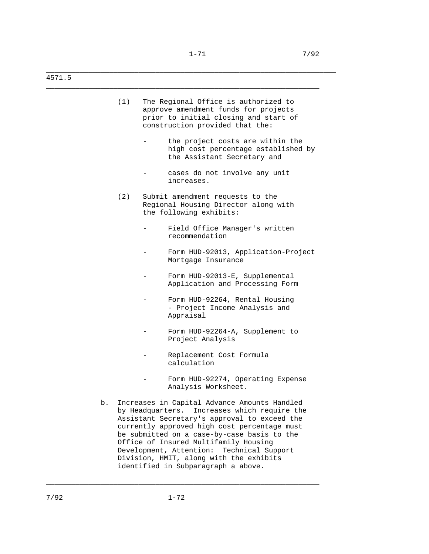\_\_\_\_\_\_\_\_\_\_\_\_\_\_\_\_\_\_\_\_\_\_\_\_\_\_\_\_\_\_\_\_\_\_\_\_\_\_\_\_\_\_\_\_\_\_\_\_\_\_\_\_\_\_\_\_\_\_\_\_\_\_\_\_\_

4571.5

|    | (1)                      | The Regional Office is authorized to<br>approve amendment funds for projects<br>prior to initial closing and start of<br>construction provided that the:                                                                                                                                                                                                                                                            |
|----|--------------------------|---------------------------------------------------------------------------------------------------------------------------------------------------------------------------------------------------------------------------------------------------------------------------------------------------------------------------------------------------------------------------------------------------------------------|
|    |                          | the project costs are within the<br>high cost percentage established by<br>the Assistant Secretary and                                                                                                                                                                                                                                                                                                              |
|    |                          | cases do not involve any unit<br>increases.                                                                                                                                                                                                                                                                                                                                                                         |
|    | (2)                      | Submit amendment requests to the<br>Regional Housing Director along with<br>the following exhibits:                                                                                                                                                                                                                                                                                                                 |
|    |                          | Field Office Manager's written<br>recommendation                                                                                                                                                                                                                                                                                                                                                                    |
|    |                          | Form HUD-92013, Application-Project<br>Mortgage Insurance                                                                                                                                                                                                                                                                                                                                                           |
|    |                          | Form HUD-92013-E, Supplemental<br>Application and Processing Form                                                                                                                                                                                                                                                                                                                                                   |
|    |                          | Form HUD-92264, Rental Housing<br>- Project Income Analysis and<br>Appraisal                                                                                                                                                                                                                                                                                                                                        |
|    |                          | Form HUD-92264-A, Supplement to<br>Project Analysis                                                                                                                                                                                                                                                                                                                                                                 |
|    |                          | Replacement Cost Formula<br>calculation                                                                                                                                                                                                                                                                                                                                                                             |
|    | $\overline{\phantom{0}}$ | Form HUD-92274, Operating Expense<br>Analysis Worksheet.                                                                                                                                                                                                                                                                                                                                                            |
| b. |                          | Increases in Capital Advance Amounts Handled<br>by Headquarters. Increases which require the<br>Assistant Secretary's approval to exceed the<br>currently approved high cost percentage must<br>be submitted on a case-by-case basis to the<br>Office of Insured Multifamily Housing<br>Development, Attention: Technical Support<br>Division, HMIT, along with the exhibits<br>identified in Subparagraph a above. |